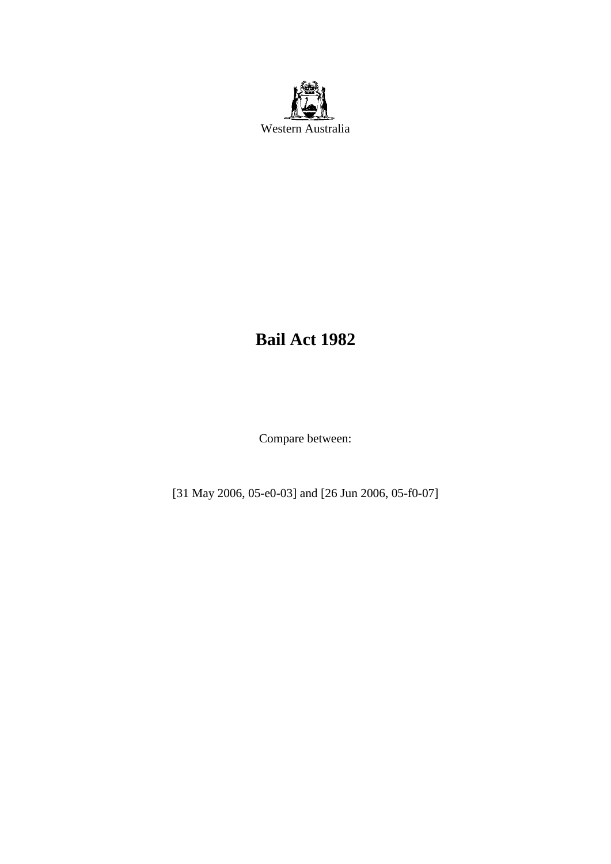

# **Bail Act 1982**

Compare between:

[31 May 2006, 05-e0-03] and [26 Jun 2006, 05-f0-07]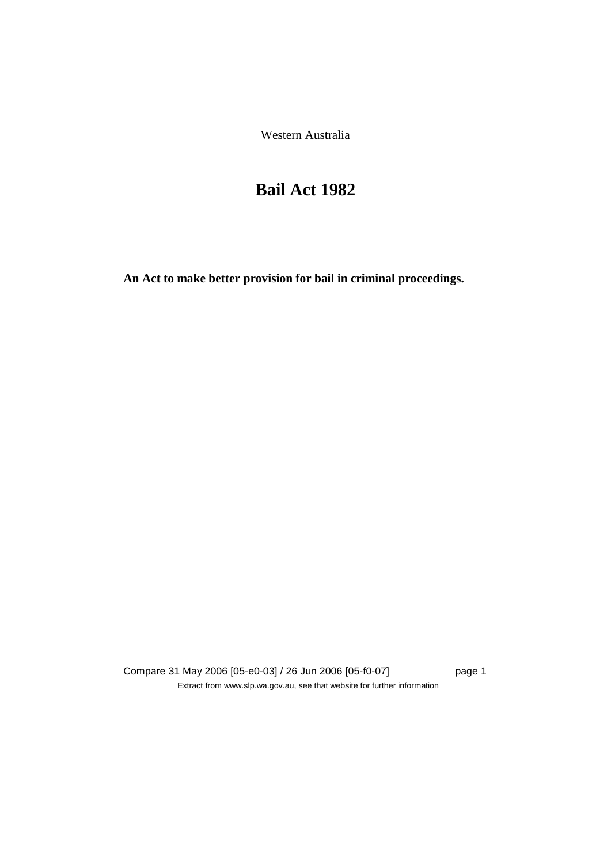Western Australia

# **Bail Act 1982**

**An Act to make better provision for bail in criminal proceedings.** 

Compare 31 May 2006 [05-e0-03] / 26 Jun 2006 [05-f0-07] page 1 Extract from www.slp.wa.gov.au, see that website for further information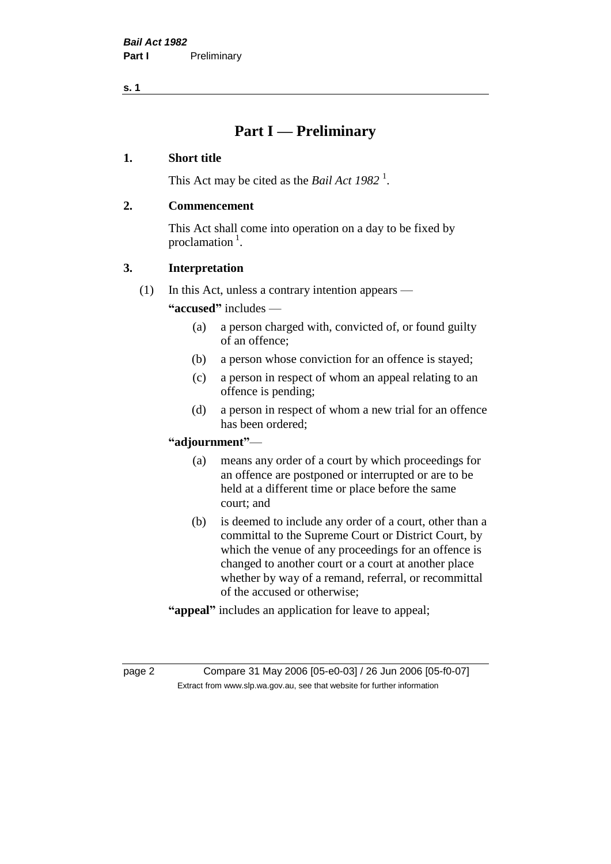## **Part I — Preliminary**

## **1. Short title**

This Act may be cited as the *Bail Act* 1982<sup>1</sup>.

## **2. Commencement**

This Act shall come into operation on a day to be fixed by proclamation  $<sup>1</sup>$ .</sup>

## **3. Interpretation**

(1) In this Act, unless a contrary intention appears —

**"accused"** includes —

- (a) a person charged with, convicted of, or found guilty of an offence;
- (b) a person whose conviction for an offence is stayed;
- (c) a person in respect of whom an appeal relating to an offence is pending;
- (d) a person in respect of whom a new trial for an offence has been ordered;

## **"adjournment"**—

- (a) means any order of a court by which proceedings for an offence are postponed or interrupted or are to be held at a different time or place before the same court; and
- (b) is deemed to include any order of a court, other than a committal to the Supreme Court or District Court, by which the venue of any proceedings for an offence is changed to another court or a court at another place whether by way of a remand, referral, or recommittal of the accused or otherwise;
- **"appeal"** includes an application for leave to appeal;

page 2 Compare 31 May 2006 [05-e0-03] / 26 Jun 2006 [05-f0-07] Extract from www.slp.wa.gov.au, see that website for further information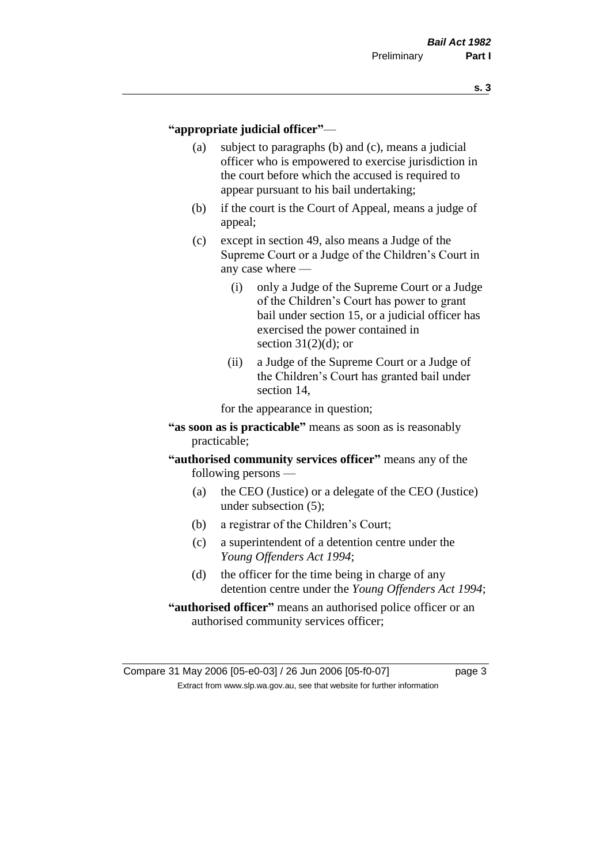### **"appropriate judicial officer"**—

- (a) subject to paragraphs (b) and (c), means a judicial officer who is empowered to exercise jurisdiction in the court before which the accused is required to appear pursuant to his bail undertaking;
- (b) if the court is the Court of Appeal, means a judge of appeal;
- (c) except in section 49, also means a Judge of the Supreme Court or a Judge of the Children's Court in any case where —
	- (i) only a Judge of the Supreme Court or a Judge of the Children's Court has power to grant bail under section 15, or a judicial officer has exercised the power contained in section  $31(2)(d)$ ; or
	- (ii) a Judge of the Supreme Court or a Judge of the Children's Court has granted bail under section 14,

for the appearance in question;

- **"as soon as is practicable"** means as soon as is reasonably practicable;
- **"authorised community services officer"** means any of the following persons —
	- (a) the CEO (Justice) or a delegate of the CEO (Justice) under subsection (5);
	- (b) a registrar of the Children's Court;
	- (c) a superintendent of a detention centre under the *Young Offenders Act 1994*;
	- (d) the officer for the time being in charge of any detention centre under the *Young Offenders Act 1994*;
- **"authorised officer"** means an authorised police officer or an authorised community services officer;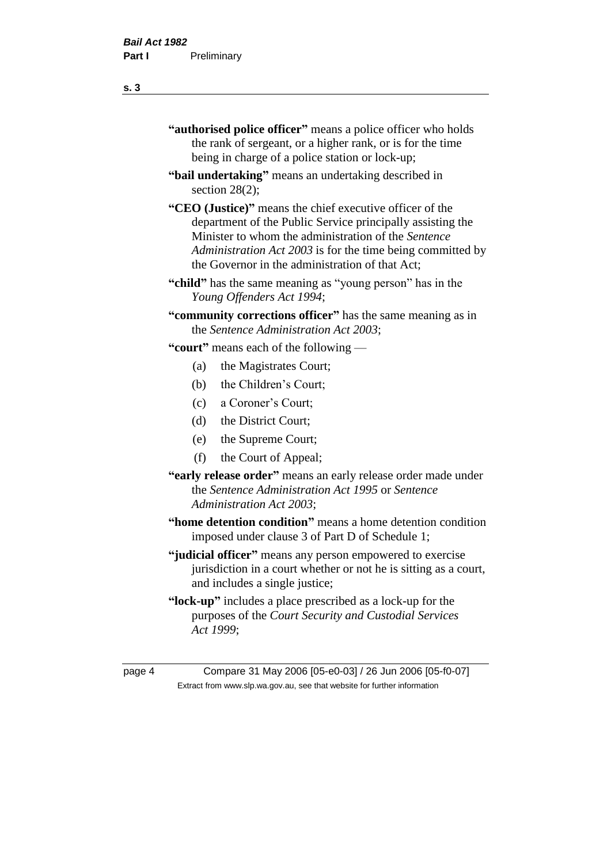| "authorised police officer" means a police officer who holds |
|--------------------------------------------------------------|
| the rank of sergeant, or a higher rank, or is for the time   |
| being in charge of a police station or lock-up;              |

- **"bail undertaking"** means an undertaking described in section 28(2);
- **"CEO (Justice)"** means the chief executive officer of the department of the Public Service principally assisting the Minister to whom the administration of the *Sentence Administration Act 2003* is for the time being committed by the Governor in the administration of that Act;
- **"child"** has the same meaning as "young person" has in the *Young Offenders Act 1994*;
- **"community corrections officer"** has the same meaning as in the *Sentence Administration Act 2003*;

**"court"** means each of the following —

- (a) the Magistrates Court;
- (b) the Children's Court;
- (c) a Coroner's Court;
- (d) the District Court;
- (e) the Supreme Court;
- (f) the Court of Appeal;
- **"early release order"** means an early release order made under the *Sentence Administration Act 1995* or *Sentence Administration Act 2003*;
- **"home detention condition"** means a home detention condition imposed under clause 3 of Part D of Schedule 1;
- **"judicial officer"** means any person empowered to exercise jurisdiction in a court whether or not he is sitting as a court, and includes a single justice;
- **"lock-up"** includes a place prescribed as a lock-up for the purposes of the *Court Security and Custodial Services Act 1999*;

page 4 Compare 31 May 2006 [05-e0-03] / 26 Jun 2006 [05-f0-07] Extract from www.slp.wa.gov.au, see that website for further information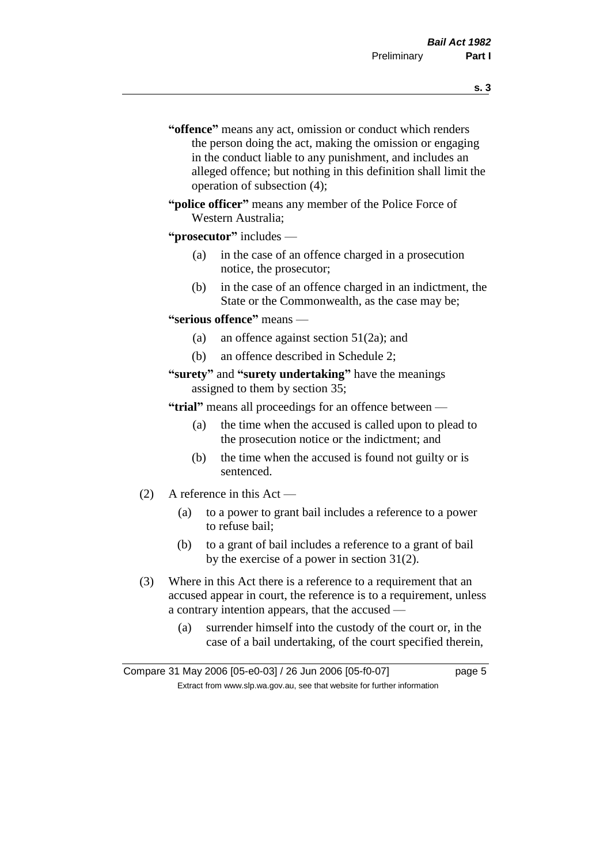- **s. 3**
- **"offence"** means any act, omission or conduct which renders the person doing the act, making the omission or engaging in the conduct liable to any punishment, and includes an alleged offence; but nothing in this definition shall limit the operation of subsection (4);
- **"police officer"** means any member of the Police Force of Western Australia;

## **"prosecutor"** includes —

- (a) in the case of an offence charged in a prosecution notice, the prosecutor;
- (b) in the case of an offence charged in an indictment, the State or the Commonwealth, as the case may be;

### **"serious offence"** means —

- (a) an offence against section 51(2a); and
- (b) an offence described in Schedule 2;

## **"surety"** and **"surety undertaking"** have the meanings assigned to them by section 35;

**"trial"** means all proceedings for an offence between —

- (a) the time when the accused is called upon to plead to the prosecution notice or the indictment; and
- (b) the time when the accused is found not guilty or is sentenced.
- (2) A reference in this Act
	- (a) to a power to grant bail includes a reference to a power to refuse bail;
	- (b) to a grant of bail includes a reference to a grant of bail by the exercise of a power in section 31(2).
- (3) Where in this Act there is a reference to a requirement that an accused appear in court, the reference is to a requirement, unless a contrary intention appears, that the accused —
	- (a) surrender himself into the custody of the court or, in the case of a bail undertaking, of the court specified therein,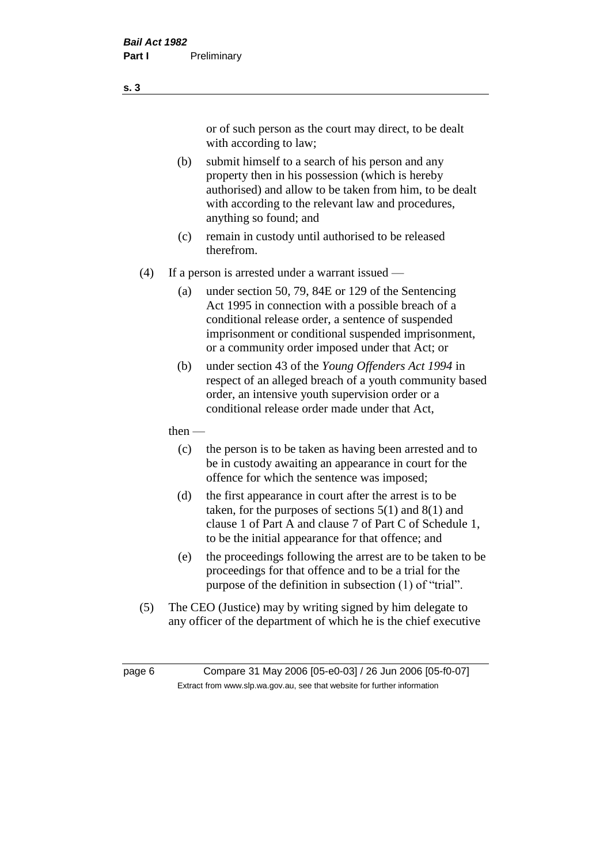or of such person as the court may direct, to be dealt with according to law;

(b) submit himself to a search of his person and any property then in his possession (which is hereby authorised) and allow to be taken from him, to be dealt with according to the relevant law and procedures, anything so found; and

- (c) remain in custody until authorised to be released therefrom.
- (4) If a person is arrested under a warrant issued
	- (a) under section 50, 79, 84E or 129 of the Sentencing Act 1995 in connection with a possible breach of a conditional release order, a sentence of suspended imprisonment or conditional suspended imprisonment, or a community order imposed under that Act; or
	- (b) under section 43 of the *Young Offenders Act 1994* in respect of an alleged breach of a youth community based order, an intensive youth supervision order or a conditional release order made under that Act,
	- then
		- (c) the person is to be taken as having been arrested and to be in custody awaiting an appearance in court for the offence for which the sentence was imposed;
		- (d) the first appearance in court after the arrest is to be taken, for the purposes of sections  $5(1)$  and  $8(1)$  and clause 1 of Part A and clause 7 of Part C of Schedule 1, to be the initial appearance for that offence; and
		- (e) the proceedings following the arrest are to be taken to be proceedings for that offence and to be a trial for the purpose of the definition in subsection (1) of "trial".
- (5) The CEO (Justice) may by writing signed by him delegate to any officer of the department of which he is the chief executive

page 6 Compare 31 May 2006 [05-e0-03] / 26 Jun 2006 [05-f0-07] Extract from www.slp.wa.gov.au, see that website for further information

**s. 3**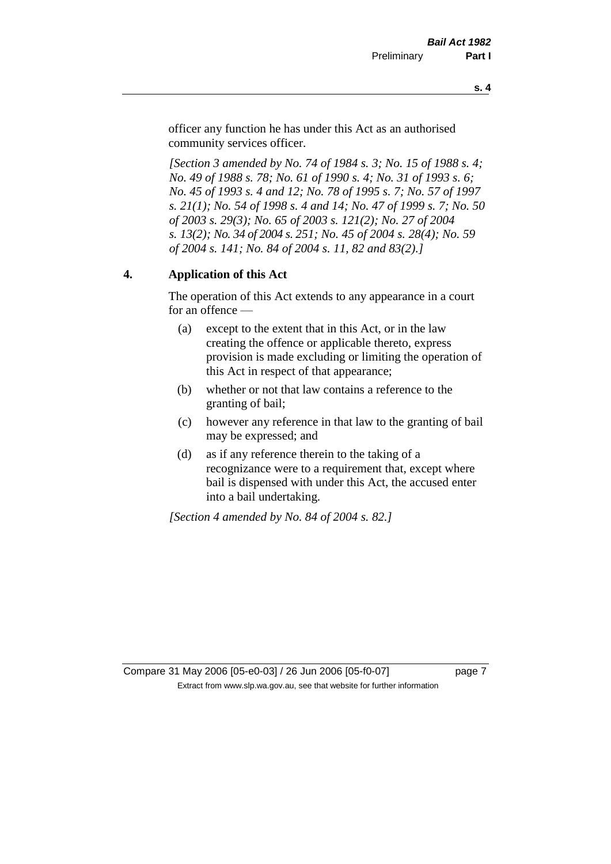officer any function he has under this Act as an authorised community services officer.

*[Section 3 amended by No. 74 of 1984 s. 3; No. 15 of 1988 s. 4; No. 49 of 1988 s. 78; No. 61 of 1990 s. 4; No. 31 of 1993 s. 6; No. 45 of 1993 s. 4 and 12; No. 78 of 1995 s. 7; No. 57 of 1997 s. 21(1); No. 54 of 1998 s. 4 and 14; No. 47 of 1999 s. 7; No. 50 of 2003 s. 29(3); No. 65 of 2003 s. 121(2); No. 27 of 2004 s. 13(2); No. 34 of 2004 s. 251; No. 45 of 2004 s. 28(4); No. 59 of 2004 s. 141; No. 84 of 2004 s. 11, 82 and 83(2).]* 

## **4. Application of this Act**

The operation of this Act extends to any appearance in a court for an offence —

- (a) except to the extent that in this Act, or in the law creating the offence or applicable thereto, express provision is made excluding or limiting the operation of this Act in respect of that appearance;
- (b) whether or not that law contains a reference to the granting of bail;
- (c) however any reference in that law to the granting of bail may be expressed; and
- (d) as if any reference therein to the taking of a recognizance were to a requirement that, except where bail is dispensed with under this Act, the accused enter into a bail undertaking.

*[Section 4 amended by No. 84 of 2004 s. 82.]*

Compare 31 May 2006 [05-e0-03] / 26 Jun 2006 [05-f0-07] page 7 Extract from www.slp.wa.gov.au, see that website for further information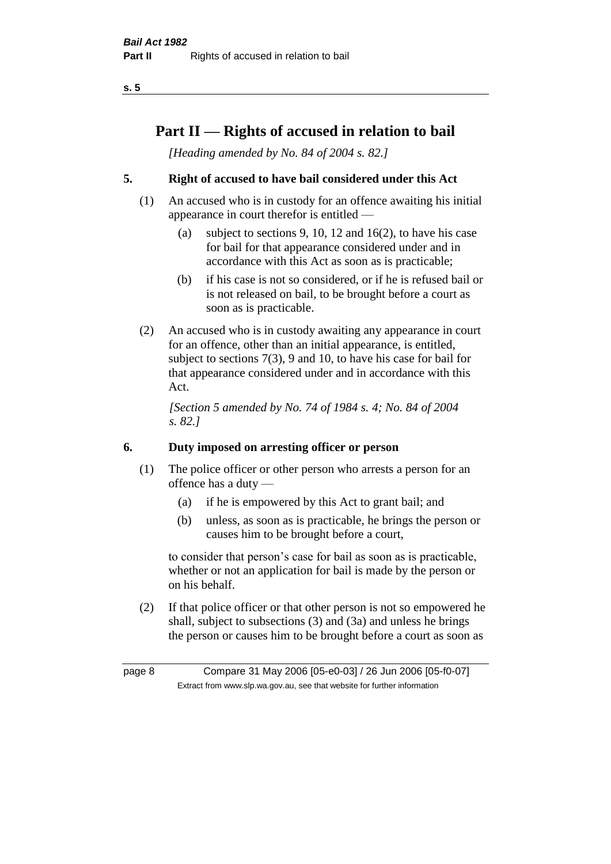## **Part II — Rights of accused in relation to bail**

*[Heading amended by No. 84 of 2004 s. 82.]* 

## **5. Right of accused to have bail considered under this Act**

- (1) An accused who is in custody for an offence awaiting his initial appearance in court therefor is entitled —
	- (a) subject to sections 9, 10, 12 and 16(2), to have his case for bail for that appearance considered under and in accordance with this Act as soon as is practicable;
	- (b) if his case is not so considered, or if he is refused bail or is not released on bail, to be brought before a court as soon as is practicable.
- (2) An accused who is in custody awaiting any appearance in court for an offence, other than an initial appearance, is entitled, subject to sections 7(3), 9 and 10, to have his case for bail for that appearance considered under and in accordance with this Act.

*[Section 5 amended by No. 74 of 1984 s. 4; No. 84 of 2004 s. 82.]* 

## **6. Duty imposed on arresting officer or person**

- (1) The police officer or other person who arrests a person for an offence has a duty —
	- (a) if he is empowered by this Act to grant bail; and
	- (b) unless, as soon as is practicable, he brings the person or causes him to be brought before a court,

to consider that person's case for bail as soon as is practicable, whether or not an application for bail is made by the person or on his behalf.

(2) If that police officer or that other person is not so empowered he shall, subject to subsections (3) and (3a) and unless he brings the person or causes him to be brought before a court as soon as

page 8 Compare 31 May 2006 [05-e0-03] / 26 Jun 2006 [05-f0-07] Extract from www.slp.wa.gov.au, see that website for further information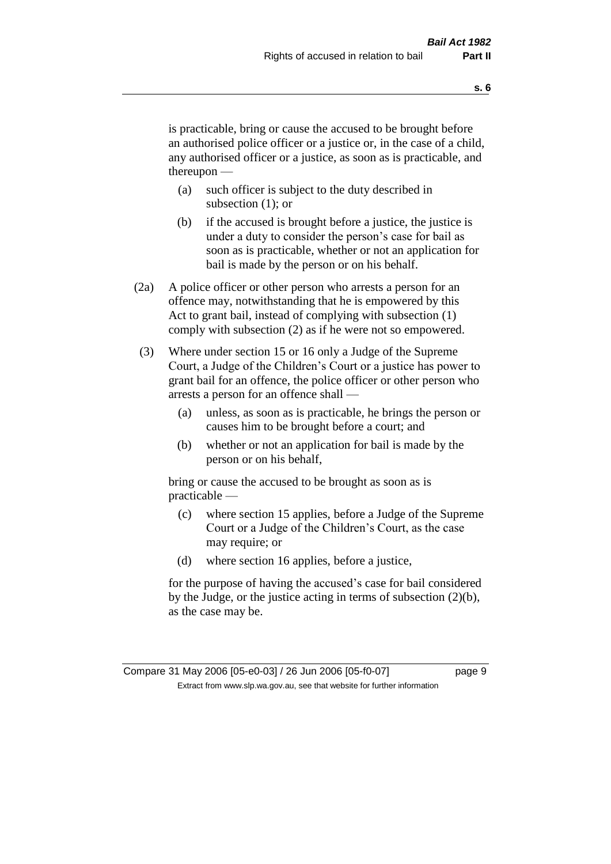is practicable, bring or cause the accused to be brought before an authorised police officer or a justice or, in the case of a child, any authorised officer or a justice, as soon as is practicable, and thereupon —

- (a) such officer is subject to the duty described in subsection (1); or
- (b) if the accused is brought before a justice, the justice is under a duty to consider the person's case for bail as soon as is practicable, whether or not an application for bail is made by the person or on his behalf.
- (2a) A police officer or other person who arrests a person for an offence may, notwithstanding that he is empowered by this Act to grant bail, instead of complying with subsection (1) comply with subsection (2) as if he were not so empowered.
- (3) Where under section 15 or 16 only a Judge of the Supreme Court, a Judge of the Children's Court or a justice has power to grant bail for an offence, the police officer or other person who arrests a person for an offence shall —
	- (a) unless, as soon as is practicable, he brings the person or causes him to be brought before a court; and
	- (b) whether or not an application for bail is made by the person or on his behalf,

bring or cause the accused to be brought as soon as is practicable —

- (c) where section 15 applies, before a Judge of the Supreme Court or a Judge of the Children's Court, as the case may require; or
- (d) where section 16 applies, before a justice,

for the purpose of having the accused's case for bail considered by the Judge, or the justice acting in terms of subsection (2)(b), as the case may be.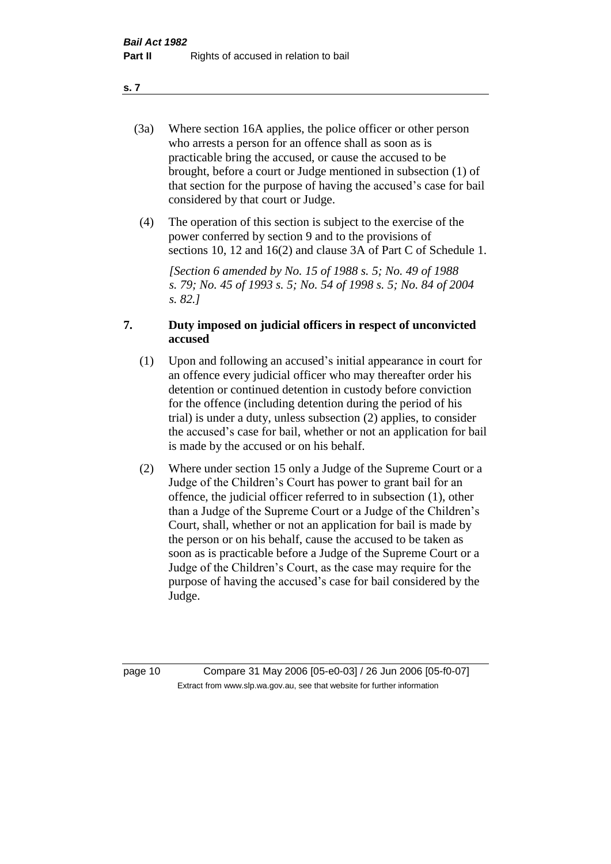- (3a) Where section 16A applies, the police officer or other person who arrests a person for an offence shall as soon as is practicable bring the accused, or cause the accused to be brought, before a court or Judge mentioned in subsection (1) of that section for the purpose of having the accused's case for bail considered by that court or Judge.
- (4) The operation of this section is subject to the exercise of the power conferred by section 9 and to the provisions of sections 10, 12 and 16(2) and clause 3A of Part C of Schedule 1.

*[Section 6 amended by No. 15 of 1988 s. 5; No. 49 of 1988 s. 79; No. 45 of 1993 s. 5; No. 54 of 1998 s. 5; No. 84 of 2004 s. 82.]* 

## **7. Duty imposed on judicial officers in respect of unconvicted accused**

- (1) Upon and following an accused's initial appearance in court for an offence every judicial officer who may thereafter order his detention or continued detention in custody before conviction for the offence (including detention during the period of his trial) is under a duty, unless subsection (2) applies, to consider the accused's case for bail, whether or not an application for bail is made by the accused or on his behalf.
- (2) Where under section 15 only a Judge of the Supreme Court or a Judge of the Children's Court has power to grant bail for an offence, the judicial officer referred to in subsection (1), other than a Judge of the Supreme Court or a Judge of the Children's Court, shall, whether or not an application for bail is made by the person or on his behalf, cause the accused to be taken as soon as is practicable before a Judge of the Supreme Court or a Judge of the Children's Court, as the case may require for the purpose of having the accused's case for bail considered by the Judge.

page 10 Compare 31 May 2006 [05-e0-03] / 26 Jun 2006 [05-f0-07] Extract from www.slp.wa.gov.au, see that website for further information

**s. 7**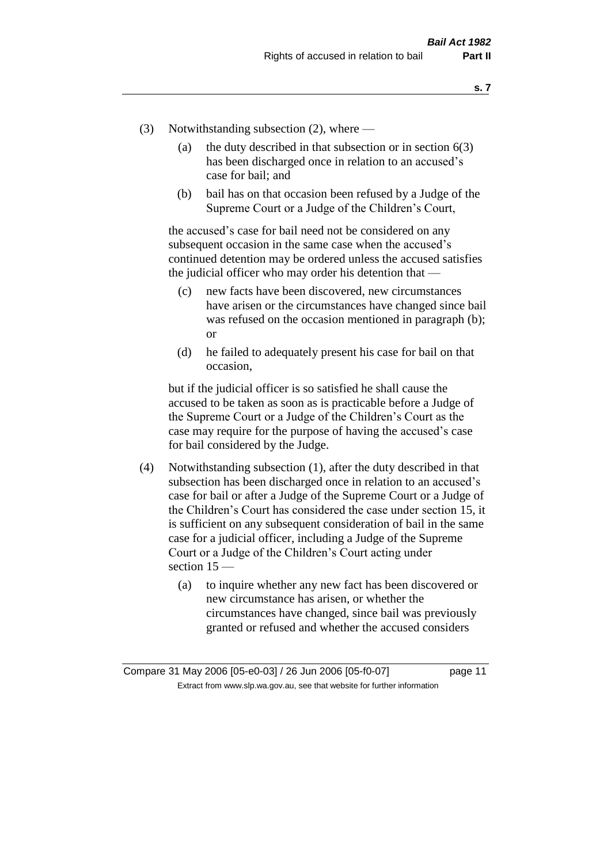- (3) Notwithstanding subsection (2), where
	- (a) the duty described in that subsection or in section  $6(3)$ has been discharged once in relation to an accused's case for bail; and
	- (b) bail has on that occasion been refused by a Judge of the Supreme Court or a Judge of the Children's Court,

the accused's case for bail need not be considered on any subsequent occasion in the same case when the accused's continued detention may be ordered unless the accused satisfies the judicial officer who may order his detention that —

- (c) new facts have been discovered, new circumstances have arisen or the circumstances have changed since bail was refused on the occasion mentioned in paragraph (b); or
- (d) he failed to adequately present his case for bail on that occasion,

but if the judicial officer is so satisfied he shall cause the accused to be taken as soon as is practicable before a Judge of the Supreme Court or a Judge of the Children's Court as the case may require for the purpose of having the accused's case for bail considered by the Judge.

- (4) Notwithstanding subsection (1), after the duty described in that subsection has been discharged once in relation to an accused's case for bail or after a Judge of the Supreme Court or a Judge of the Children's Court has considered the case under section 15, it is sufficient on any subsequent consideration of bail in the same case for a judicial officer, including a Judge of the Supreme Court or a Judge of the Children's Court acting under section 15 —
	- (a) to inquire whether any new fact has been discovered or new circumstance has arisen, or whether the circumstances have changed, since bail was previously granted or refused and whether the accused considers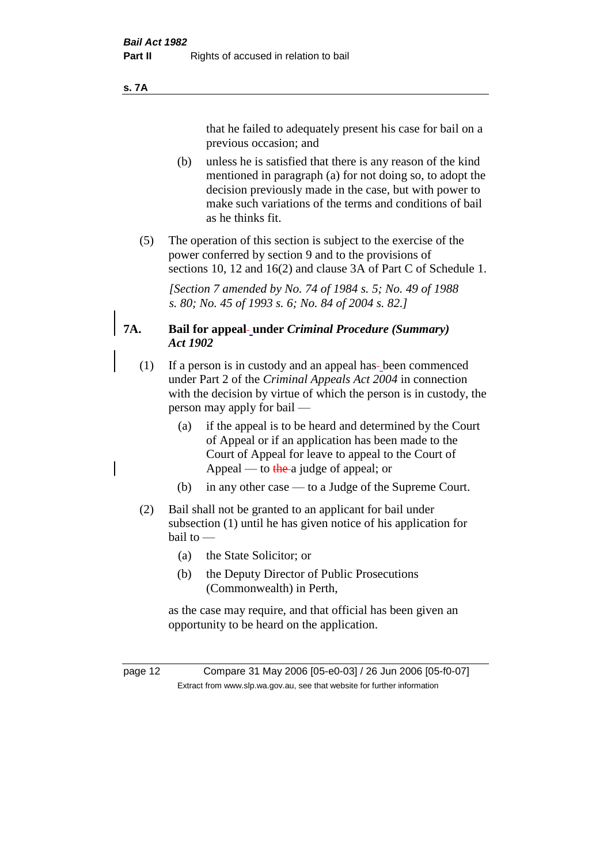#### **s. 7A**

that he failed to adequately present his case for bail on a previous occasion; and

- (b) unless he is satisfied that there is any reason of the kind mentioned in paragraph (a) for not doing so, to adopt the decision previously made in the case, but with power to make such variations of the terms and conditions of bail as he thinks fit.
- (5) The operation of this section is subject to the exercise of the power conferred by section 9 and to the provisions of sections 10, 12 and 16(2) and clause 3A of Part C of Schedule 1.

*[Section 7 amended by No. 74 of 1984 s. 5; No. 49 of 1988 s. 80; No. 45 of 1993 s. 6; No. 84 of 2004 s. 82.]* 

## **7A. Bail for appeal under** *Criminal Procedure (Summary) Act 1902*

- (1) If a person is in custody and an appeal has been commenced under Part 2 of the *Criminal Appeals Act 2004* in connection with the decision by virtue of which the person is in custody, the person may apply for bail —
	- (a) if the appeal is to be heard and determined by the Court of Appeal or if an application has been made to the Court of Appeal for leave to appeal to the Court of Appeal — to the a judge of appeal; or
	- (b) in any other case to a Judge of the Supreme Court.
- (2) Bail shall not be granted to an applicant for bail under subsection (1) until he has given notice of his application for bail to —
	- (a) the State Solicitor; or
	- (b) the Deputy Director of Public Prosecutions (Commonwealth) in Perth,

as the case may require, and that official has been given an opportunity to be heard on the application.

page 12 Compare 31 May 2006 [05-e0-03] / 26 Jun 2006 [05-f0-07] Extract from www.slp.wa.gov.au, see that website for further information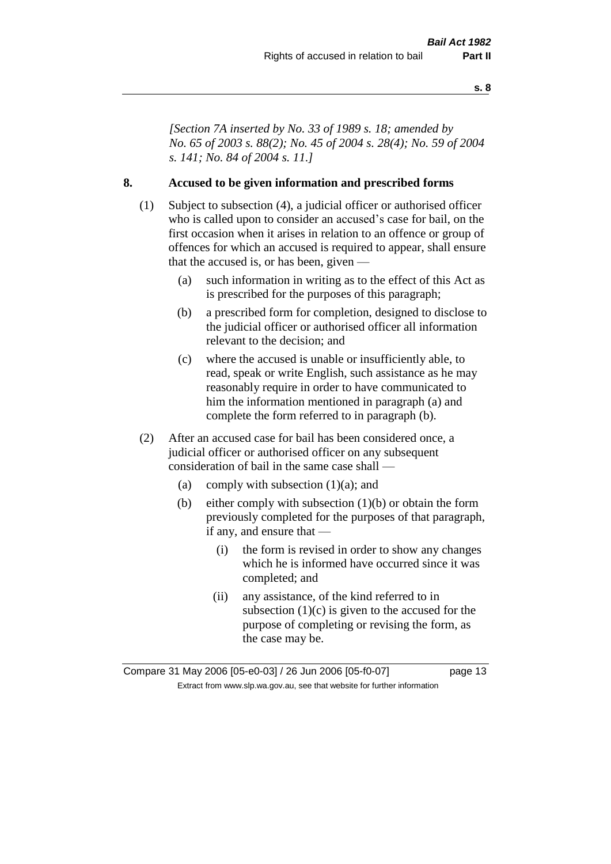*[Section 7A inserted by No. 33 of 1989 s. 18; amended by No. 65 of 2003 s. 88(2); No. 45 of 2004 s. 28(4); No. 59 of 2004 s. 141; No. 84 of 2004 s. 11.]* 

## **8. Accused to be given information and prescribed forms**

- (1) Subject to subsection (4), a judicial officer or authorised officer who is called upon to consider an accused's case for bail, on the first occasion when it arises in relation to an offence or group of offences for which an accused is required to appear, shall ensure that the accused is, or has been, given —
	- (a) such information in writing as to the effect of this Act as is prescribed for the purposes of this paragraph;
	- (b) a prescribed form for completion, designed to disclose to the judicial officer or authorised officer all information relevant to the decision; and
	- (c) where the accused is unable or insufficiently able, to read, speak or write English, such assistance as he may reasonably require in order to have communicated to him the information mentioned in paragraph (a) and complete the form referred to in paragraph (b).
- (2) After an accused case for bail has been considered once, a judicial officer or authorised officer on any subsequent consideration of bail in the same case shall —
	- (a) comply with subsection  $(1)(a)$ ; and
	- (b) either comply with subsection (1)(b) or obtain the form previously completed for the purposes of that paragraph, if any, and ensure that —
		- (i) the form is revised in order to show any changes which he is informed have occurred since it was completed; and
		- (ii) any assistance, of the kind referred to in subsection  $(1)(c)$  is given to the accused for the purpose of completing or revising the form, as the case may be.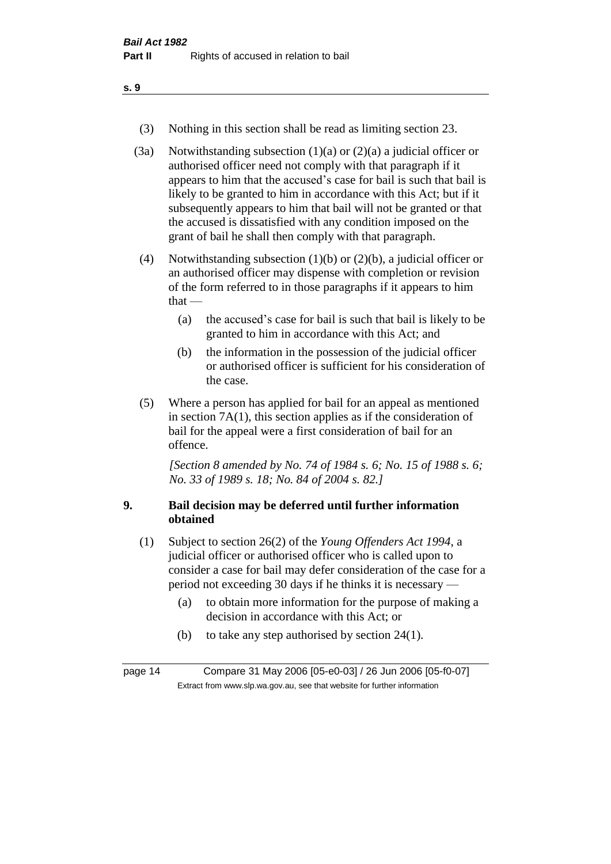- (3) Nothing in this section shall be read as limiting section 23.
- (3a) Notwithstanding subsection  $(1)(a)$  or  $(2)(a)$  a judicial officer or authorised officer need not comply with that paragraph if it appears to him that the accused's case for bail is such that bail is likely to be granted to him in accordance with this Act; but if it subsequently appears to him that bail will not be granted or that the accused is dissatisfied with any condition imposed on the grant of bail he shall then comply with that paragraph.
- (4) Notwithstanding subsection (1)(b) or (2)(b), a judicial officer or an authorised officer may dispense with completion or revision of the form referred to in those paragraphs if it appears to him that  $-$ 
	- (a) the accused's case for bail is such that bail is likely to be granted to him in accordance with this Act; and
	- (b) the information in the possession of the judicial officer or authorised officer is sufficient for his consideration of the case.
- (5) Where a person has applied for bail for an appeal as mentioned in section 7A(1), this section applies as if the consideration of bail for the appeal were a first consideration of bail for an offence.

*[Section 8 amended by No. 74 of 1984 s. 6; No. 15 of 1988 s. 6; No. 33 of 1989 s. 18; No. 84 of 2004 s. 82.]* 

## **9. Bail decision may be deferred until further information obtained**

- (1) Subject to section 26(2) of the *Young Offenders Act 1994*, a judicial officer or authorised officer who is called upon to consider a case for bail may defer consideration of the case for a period not exceeding 30 days if he thinks it is necessary —
	- (a) to obtain more information for the purpose of making a decision in accordance with this Act; or
	- (b) to take any step authorised by section 24(1).

page 14 Compare 31 May 2006 [05-e0-03] / 26 Jun 2006 [05-f0-07] Extract from www.slp.wa.gov.au, see that website for further information

**s. 9**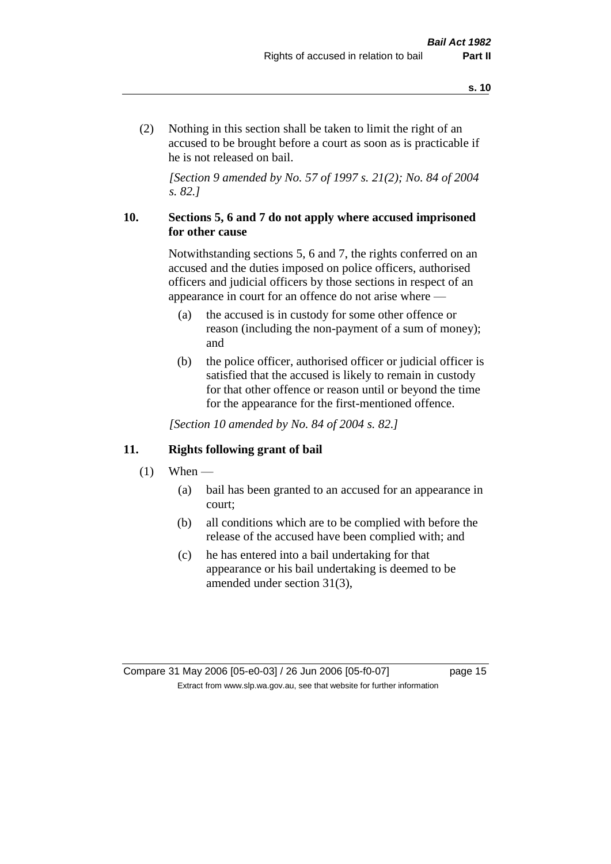(2) Nothing in this section shall be taken to limit the right of an accused to be brought before a court as soon as is practicable if he is not released on bail.

*[Section 9 amended by No. 57 of 1997 s. 21(2); No. 84 of 2004 s. 82.]*

## **10. Sections 5, 6 and 7 do not apply where accused imprisoned for other cause**

Notwithstanding sections 5, 6 and 7, the rights conferred on an accused and the duties imposed on police officers, authorised officers and judicial officers by those sections in respect of an appearance in court for an offence do not arise where —

- (a) the accused is in custody for some other offence or reason (including the non-payment of a sum of money); and
- (b) the police officer, authorised officer or judicial officer is satisfied that the accused is likely to remain in custody for that other offence or reason until or beyond the time for the appearance for the first-mentioned offence.

*[Section 10 amended by No. 84 of 2004 s. 82.]*

## **11. Rights following grant of bail**

- $(1)$  When
	- (a) bail has been granted to an accused for an appearance in court;
	- (b) all conditions which are to be complied with before the release of the accused have been complied with; and
	- (c) he has entered into a bail undertaking for that appearance or his bail undertaking is deemed to be amended under section 31(3),

Compare 31 May 2006 [05-e0-03] / 26 Jun 2006 [05-f0-07] page 15 Extract from www.slp.wa.gov.au, see that website for further information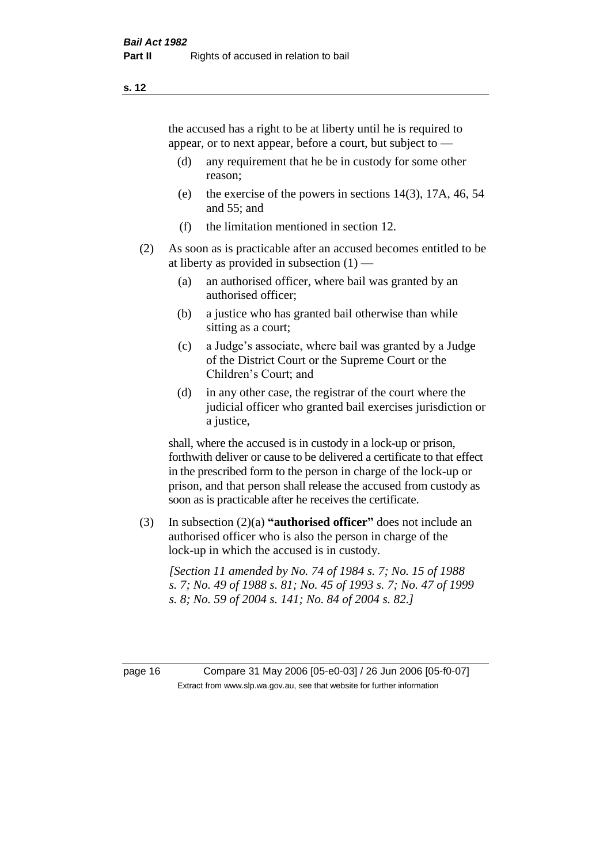the accused has a right to be at liberty until he is required to appear, or to next appear, before a court, but subject to —

- (d) any requirement that he be in custody for some other reason;
- (e) the exercise of the powers in sections 14(3), 17A, 46, 54 and 55; and
- (f) the limitation mentioned in section 12.
- (2) As soon as is practicable after an accused becomes entitled to be at liberty as provided in subsection  $(1)$  —
	- (a) an authorised officer, where bail was granted by an authorised officer;
	- (b) a justice who has granted bail otherwise than while sitting as a court;
	- (c) a Judge's associate, where bail was granted by a Judge of the District Court or the Supreme Court or the Children's Court; and
	- (d) in any other case, the registrar of the court where the judicial officer who granted bail exercises jurisdiction or a justice,

shall, where the accused is in custody in a lock-up or prison, forthwith deliver or cause to be delivered a certificate to that effect in the prescribed form to the person in charge of the lock-up or prison, and that person shall release the accused from custody as soon as is practicable after he receives the certificate.

(3) In subsection (2)(a) **"authorised officer"** does not include an authorised officer who is also the person in charge of the lock-up in which the accused is in custody.

*[Section 11 amended by No. 74 of 1984 s. 7; No. 15 of 1988 s. 7; No. 49 of 1988 s. 81; No. 45 of 1993 s. 7; No. 47 of 1999 s. 8; No. 59 of 2004 s. 141; No. 84 of 2004 s. 82.]* 

page 16 Compare 31 May 2006 [05-e0-03] / 26 Jun 2006 [05-f0-07] Extract from www.slp.wa.gov.au, see that website for further information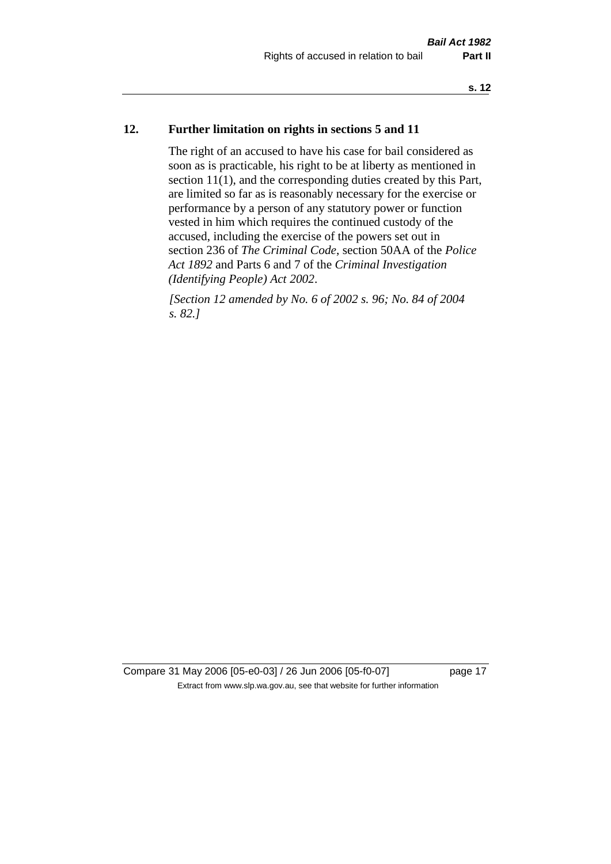## **12. Further limitation on rights in sections 5 and 11**

The right of an accused to have his case for bail considered as soon as is practicable, his right to be at liberty as mentioned in section 11(1), and the corresponding duties created by this Part, are limited so far as is reasonably necessary for the exercise or performance by a person of any statutory power or function vested in him which requires the continued custody of the accused, including the exercise of the powers set out in section 236 of *The Criminal Code*, section 50AA of the *Police Act 1892* and Parts 6 and 7 of the *Criminal Investigation (Identifying People) Act 2002*.

*[Section 12 amended by No. 6 of 2002 s. 96; No. 84 of 2004 s. 82.]*

Compare 31 May 2006 [05-e0-03] / 26 Jun 2006 [05-f0-07] page 17 Extract from www.slp.wa.gov.au, see that website for further information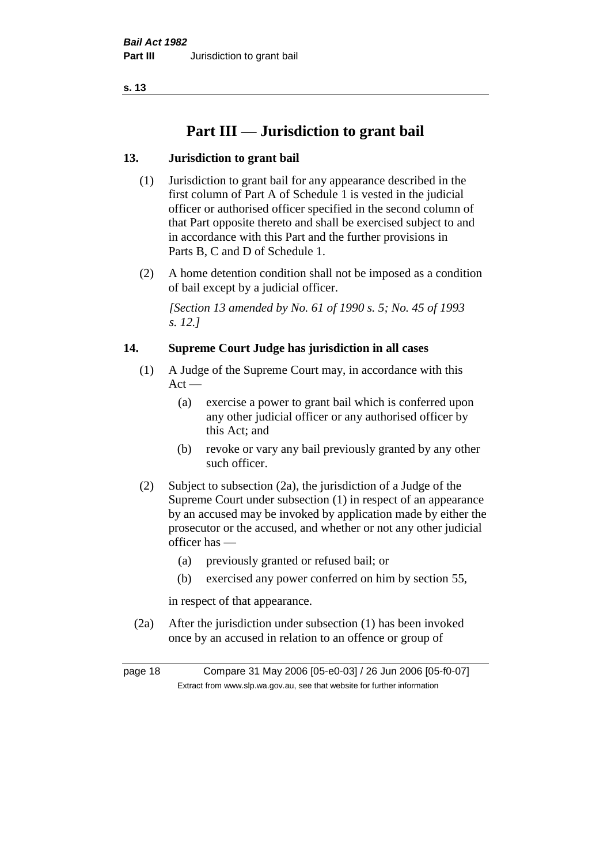## **Part III — Jurisdiction to grant bail**

## **13. Jurisdiction to grant bail**

- (1) Jurisdiction to grant bail for any appearance described in the first column of Part A of Schedule 1 is vested in the judicial officer or authorised officer specified in the second column of that Part opposite thereto and shall be exercised subject to and in accordance with this Part and the further provisions in Parts B, C and D of Schedule 1.
- (2) A home detention condition shall not be imposed as a condition of bail except by a judicial officer.

*[Section 13 amended by No. 61 of 1990 s. 5; No. 45 of 1993 s. 12.]* 

## **14. Supreme Court Judge has jurisdiction in all cases**

- (1) A Judge of the Supreme Court may, in accordance with this  $Act -$ 
	- (a) exercise a power to grant bail which is conferred upon any other judicial officer or any authorised officer by this Act; and
	- (b) revoke or vary any bail previously granted by any other such officer.
- (2) Subject to subsection (2a), the jurisdiction of a Judge of the Supreme Court under subsection (1) in respect of an appearance by an accused may be invoked by application made by either the prosecutor or the accused, and whether or not any other judicial officer has —
	- (a) previously granted or refused bail; or
	- (b) exercised any power conferred on him by section 55,

in respect of that appearance.

(2a) After the jurisdiction under subsection (1) has been invoked once by an accused in relation to an offence or group of

page 18 Compare 31 May 2006 [05-e0-03] / 26 Jun 2006 [05-f0-07] Extract from www.slp.wa.gov.au, see that website for further information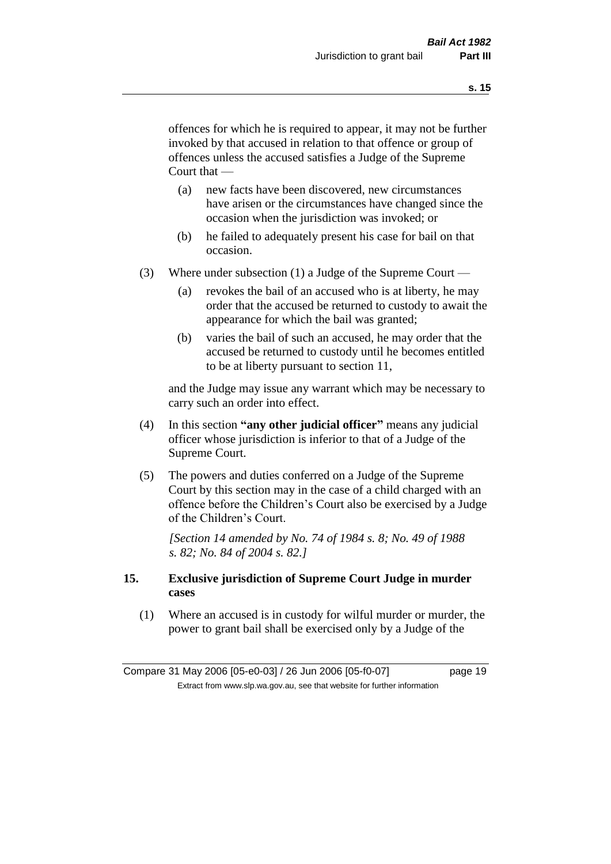offences for which he is required to appear, it may not be further invoked by that accused in relation to that offence or group of offences unless the accused satisfies a Judge of the Supreme Court that —

- (a) new facts have been discovered, new circumstances have arisen or the circumstances have changed since the occasion when the jurisdiction was invoked; or
- (b) he failed to adequately present his case for bail on that occasion.
- (3) Where under subsection (1) a Judge of the Supreme Court
	- (a) revokes the bail of an accused who is at liberty, he may order that the accused be returned to custody to await the appearance for which the bail was granted;
	- (b) varies the bail of such an accused, he may order that the accused be returned to custody until he becomes entitled to be at liberty pursuant to section 11,

and the Judge may issue any warrant which may be necessary to carry such an order into effect.

- (4) In this section **"any other judicial officer"** means any judicial officer whose jurisdiction is inferior to that of a Judge of the Supreme Court.
- (5) The powers and duties conferred on a Judge of the Supreme Court by this section may in the case of a child charged with an offence before the Children's Court also be exercised by a Judge of the Children's Court.

*[Section 14 amended by No. 74 of 1984 s. 8; No. 49 of 1988 s. 82; No. 84 of 2004 s. 82.]* 

## **15. Exclusive jurisdiction of Supreme Court Judge in murder cases**

(1) Where an accused is in custody for wilful murder or murder, the power to grant bail shall be exercised only by a Judge of the

Compare 31 May 2006 [05-e0-03] / 26 Jun 2006 [05-f0-07] page 19 Extract from www.slp.wa.gov.au, see that website for further information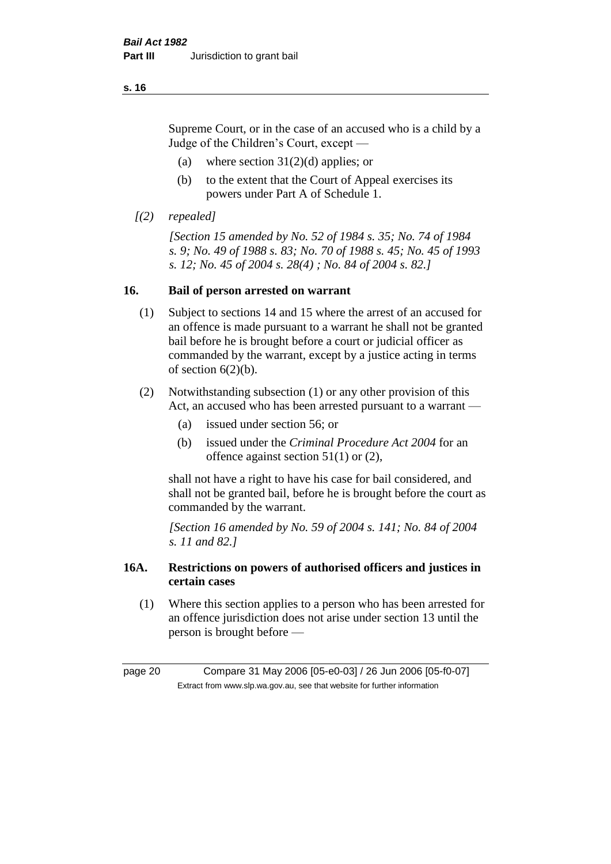Supreme Court, or in the case of an accused who is a child by a Judge of the Children's Court, except —

- (a) where section  $31(2)(d)$  applies; or
- (b) to the extent that the Court of Appeal exercises its powers under Part A of Schedule 1.
- *[(2) repealed]*

*[Section 15 amended by No. 52 of 1984 s. 35; No. 74 of 1984 s. 9; No. 49 of 1988 s. 83; No. 70 of 1988 s. 45; No. 45 of 1993 s. 12; No. 45 of 2004 s. 28(4) ; No. 84 of 2004 s. 82.]* 

## **16. Bail of person arrested on warrant**

- (1) Subject to sections 14 and 15 where the arrest of an accused for an offence is made pursuant to a warrant he shall not be granted bail before he is brought before a court or judicial officer as commanded by the warrant, except by a justice acting in terms of section  $6(2)(b)$ .
- (2) Notwithstanding subsection (1) or any other provision of this Act, an accused who has been arrested pursuant to a warrant -
	- (a) issued under section 56; or
	- (b) issued under the *Criminal Procedure Act 2004* for an offence against section 51(1) or (2),

shall not have a right to have his case for bail considered, and shall not be granted bail, before he is brought before the court as commanded by the warrant.

*[Section 16 amended by No. 59 of 2004 s. 141; No. 84 of 2004 s. 11 and 82.]*

## **16A. Restrictions on powers of authorised officers and justices in certain cases**

(1) Where this section applies to a person who has been arrested for an offence jurisdiction does not arise under section 13 until the person is brought before —

page 20 Compare 31 May 2006 [05-e0-03] / 26 Jun 2006 [05-f0-07] Extract from www.slp.wa.gov.au, see that website for further information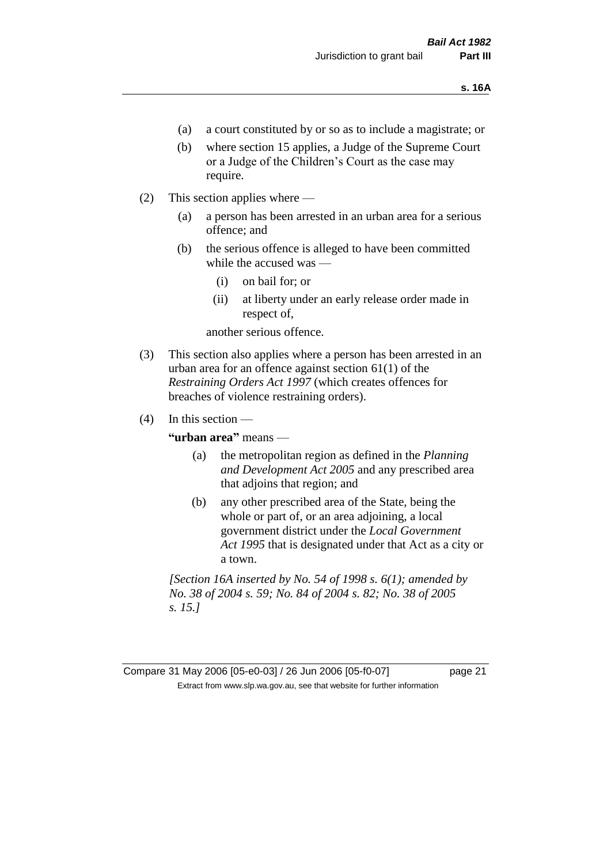- (a) a court constituted by or so as to include a magistrate; or
- (b) where section 15 applies, a Judge of the Supreme Court or a Judge of the Children's Court as the case may require.
- (2) This section applies where
	- (a) a person has been arrested in an urban area for a serious offence; and
	- (b) the serious offence is alleged to have been committed while the accused was —
		- (i) on bail for; or
		- (ii) at liberty under an early release order made in respect of,

another serious offence.

- (3) This section also applies where a person has been arrested in an urban area for an offence against section 61(1) of the *Restraining Orders Act 1997* (which creates offences for breaches of violence restraining orders).
- $(4)$  In this section —

**"urban area"** means —

- (a) the metropolitan region as defined in the *Planning and Development Act 2005* and any prescribed area that adjoins that region; and
- (b) any other prescribed area of the State, being the whole or part of, or an area adjoining, a local government district under the *Local Government Act 1995* that is designated under that Act as a city or a town.

*[Section 16A inserted by No. 54 of 1998 s. 6(1); amended by No. 38 of 2004 s. 59; No. 84 of 2004 s. 82; No. 38 of 2005 s. 15.]*

Compare 31 May 2006 [05-e0-03] / 26 Jun 2006 [05-f0-07] page 21 Extract from www.slp.wa.gov.au, see that website for further information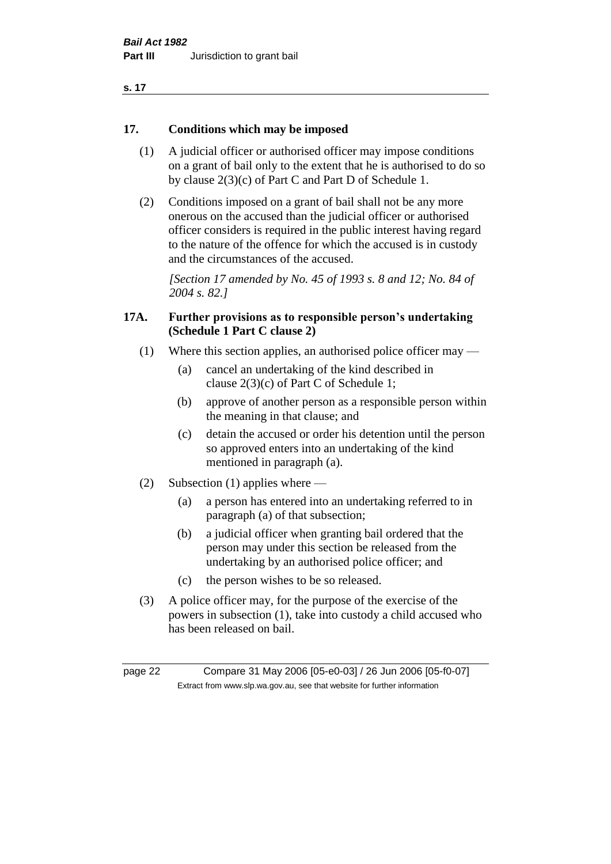| . .<br>۰. |  |
|-----------|--|
|-----------|--|

## **17. Conditions which may be imposed**

- (1) A judicial officer or authorised officer may impose conditions on a grant of bail only to the extent that he is authorised to do so by clause 2(3)(c) of Part C and Part D of Schedule 1.
- (2) Conditions imposed on a grant of bail shall not be any more onerous on the accused than the judicial officer or authorised officer considers is required in the public interest having regard to the nature of the offence for which the accused is in custody and the circumstances of the accused.

*[Section 17 amended by No. 45 of 1993 s. 8 and 12; No. 84 of 2004 s. 82.]* 

## **17A. Further provisions as to responsible person's undertaking (Schedule 1 Part C clause 2)**

- (1) Where this section applies, an authorised police officer may
	- (a) cancel an undertaking of the kind described in clause 2(3)(c) of Part C of Schedule 1;
	- (b) approve of another person as a responsible person within the meaning in that clause; and
	- (c) detain the accused or order his detention until the person so approved enters into an undertaking of the kind mentioned in paragraph (a).
- (2) Subsection (1) applies where
	- (a) a person has entered into an undertaking referred to in paragraph (a) of that subsection;
	- (b) a judicial officer when granting bail ordered that the person may under this section be released from the undertaking by an authorised police officer; and
	- (c) the person wishes to be so released.
- (3) A police officer may, for the purpose of the exercise of the powers in subsection (1), take into custody a child accused who has been released on bail.

page 22 Compare 31 May 2006 [05-e0-03] / 26 Jun 2006 [05-f0-07] Extract from www.slp.wa.gov.au, see that website for further information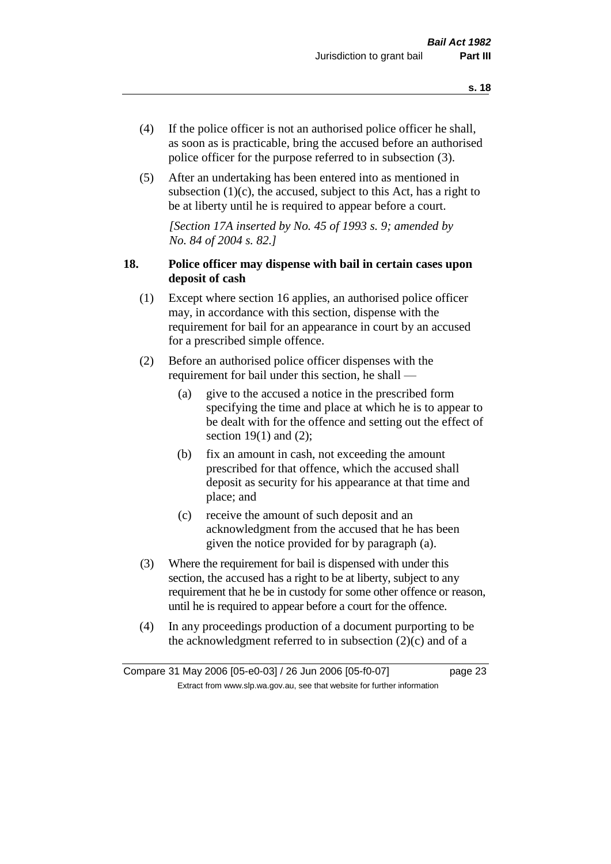- (4) If the police officer is not an authorised police officer he shall, as soon as is practicable, bring the accused before an authorised police officer for the purpose referred to in subsection (3).
- (5) After an undertaking has been entered into as mentioned in subsection  $(1)(c)$ , the accused, subject to this Act, has a right to be at liberty until he is required to appear before a court.

*[Section 17A inserted by No. 45 of 1993 s. 9; amended by No. 84 of 2004 s. 82.]* 

## **18. Police officer may dispense with bail in certain cases upon deposit of cash**

- (1) Except where section 16 applies, an authorised police officer may, in accordance with this section, dispense with the requirement for bail for an appearance in court by an accused for a prescribed simple offence.
- (2) Before an authorised police officer dispenses with the requirement for bail under this section, he shall —
	- (a) give to the accused a notice in the prescribed form specifying the time and place at which he is to appear to be dealt with for the offence and setting out the effect of section  $19(1)$  and  $(2)$ ;
	- (b) fix an amount in cash, not exceeding the amount prescribed for that offence, which the accused shall deposit as security for his appearance at that time and place; and
	- (c) receive the amount of such deposit and an acknowledgment from the accused that he has been given the notice provided for by paragraph (a).
- (3) Where the requirement for bail is dispensed with under this section, the accused has a right to be at liberty, subject to any requirement that he be in custody for some other offence or reason, until he is required to appear before a court for the offence.
- (4) In any proceedings production of a document purporting to be the acknowledgment referred to in subsection  $(2)(c)$  and of a

Compare 31 May 2006 [05-e0-03] / 26 Jun 2006 [05-f0-07] page 23 Extract from www.slp.wa.gov.au, see that website for further information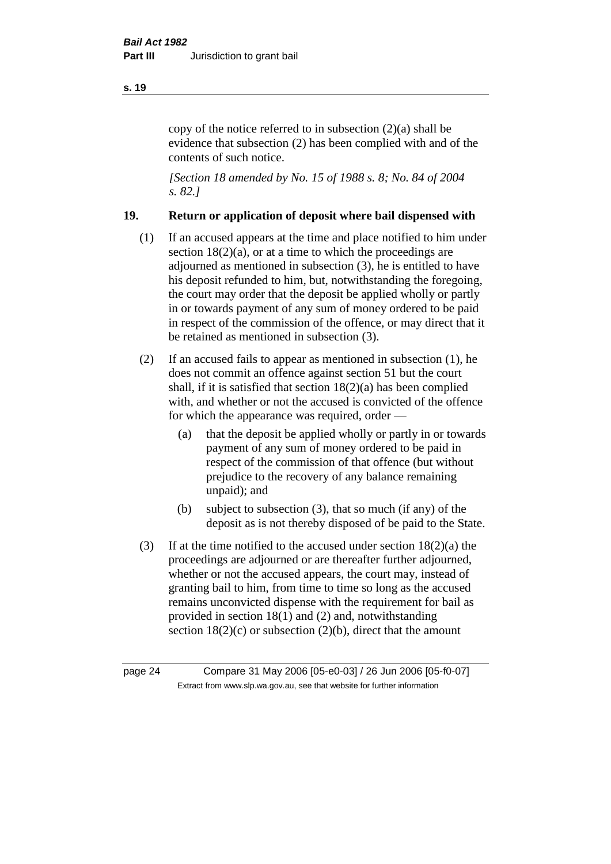copy of the notice referred to in subsection (2)(a) shall be evidence that subsection (2) has been complied with and of the contents of such notice.

*[Section 18 amended by No. 15 of 1988 s. 8; No. 84 of 2004 s. 82.]* 

## **19. Return or application of deposit where bail dispensed with**

- (1) If an accused appears at the time and place notified to him under section  $18(2)(a)$ , or at a time to which the proceedings are adjourned as mentioned in subsection (3), he is entitled to have his deposit refunded to him, but, notwithstanding the foregoing, the court may order that the deposit be applied wholly or partly in or towards payment of any sum of money ordered to be paid in respect of the commission of the offence, or may direct that it be retained as mentioned in subsection (3).
- (2) If an accused fails to appear as mentioned in subsection (1), he does not commit an offence against section 51 but the court shall, if it is satisfied that section 18(2)(a) has been complied with, and whether or not the accused is convicted of the offence for which the appearance was required, order —
	- (a) that the deposit be applied wholly or partly in or towards payment of any sum of money ordered to be paid in respect of the commission of that offence (but without prejudice to the recovery of any balance remaining unpaid); and
	- (b) subject to subsection (3), that so much (if any) of the deposit as is not thereby disposed of be paid to the State.
- (3) If at the time notified to the accused under section  $18(2)(a)$  the proceedings are adjourned or are thereafter further adjourned, whether or not the accused appears, the court may, instead of granting bail to him, from time to time so long as the accused remains unconvicted dispense with the requirement for bail as provided in section 18(1) and (2) and, notwithstanding section  $18(2)(c)$  or subsection  $(2)(b)$ , direct that the amount

page 24 Compare 31 May 2006 [05-e0-03] / 26 Jun 2006 [05-f0-07] Extract from www.slp.wa.gov.au, see that website for further information

#### **s. 19**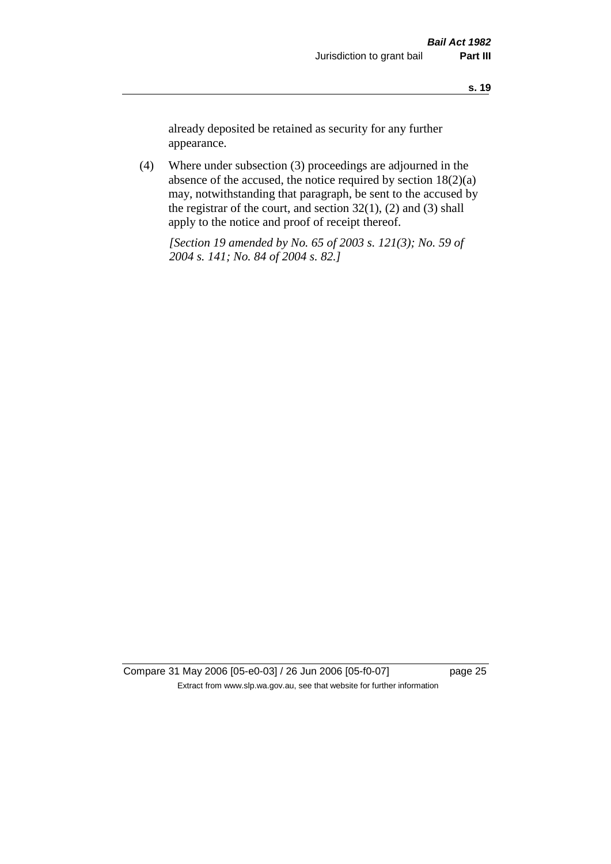already deposited be retained as security for any further appearance.

(4) Where under subsection (3) proceedings are adjourned in the absence of the accused, the notice required by section 18(2)(a) may, notwithstanding that paragraph, be sent to the accused by the registrar of the court, and section  $32(1)$ ,  $(2)$  and  $(3)$  shall apply to the notice and proof of receipt thereof.

*[Section 19 amended by No. 65 of 2003 s. 121(3); No. 59 of 2004 s. 141; No. 84 of 2004 s. 82.]*

Compare 31 May 2006 [05-e0-03] / 26 Jun 2006 [05-f0-07] page 25 Extract from www.slp.wa.gov.au, see that website for further information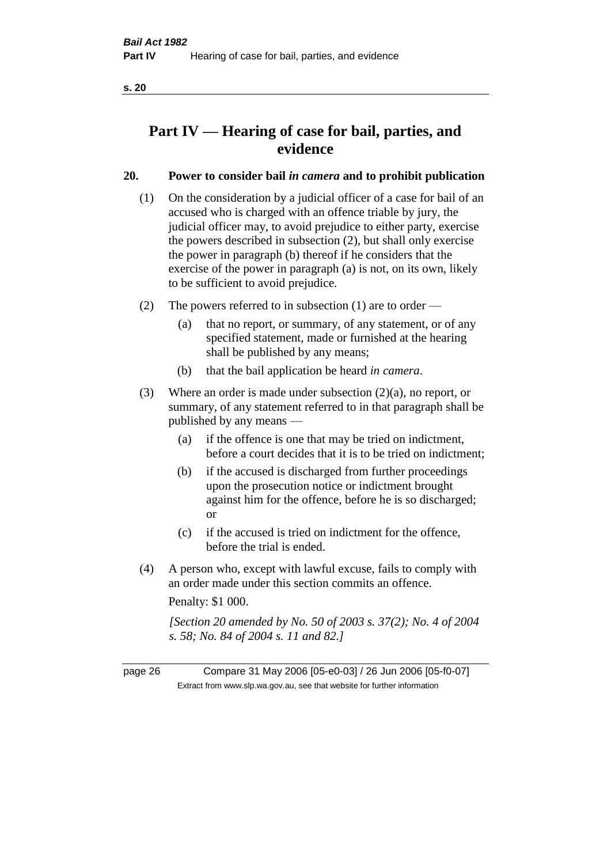## **Part IV — Hearing of case for bail, parties, and evidence**

## **20. Power to consider bail** *in camera* **and to prohibit publication**

- (1) On the consideration by a judicial officer of a case for bail of an accused who is charged with an offence triable by jury, the judicial officer may, to avoid prejudice to either party, exercise the powers described in subsection (2), but shall only exercise the power in paragraph (b) thereof if he considers that the exercise of the power in paragraph (a) is not, on its own, likely to be sufficient to avoid prejudice.
- (2) The powers referred to in subsection (1) are to order
	- (a) that no report, or summary, of any statement, or of any specified statement, made or furnished at the hearing shall be published by any means;
	- (b) that the bail application be heard *in camera*.
- (3) Where an order is made under subsection (2)(a), no report, or summary, of any statement referred to in that paragraph shall be published by any means —
	- (a) if the offence is one that may be tried on indictment, before a court decides that it is to be tried on indictment;
	- (b) if the accused is discharged from further proceedings upon the prosecution notice or indictment brought against him for the offence, before he is so discharged; or
	- (c) if the accused is tried on indictment for the offence, before the trial is ended.
- (4) A person who, except with lawful excuse, fails to comply with an order made under this section commits an offence.

Penalty: \$1 000.

*[Section 20 amended by No. 50 of 2003 s. 37(2); No. 4 of 2004 s. 58; No. 84 of 2004 s. 11 and 82.]*

page 26 Compare 31 May 2006 [05-e0-03] / 26 Jun 2006 [05-f0-07] Extract from www.slp.wa.gov.au, see that website for further information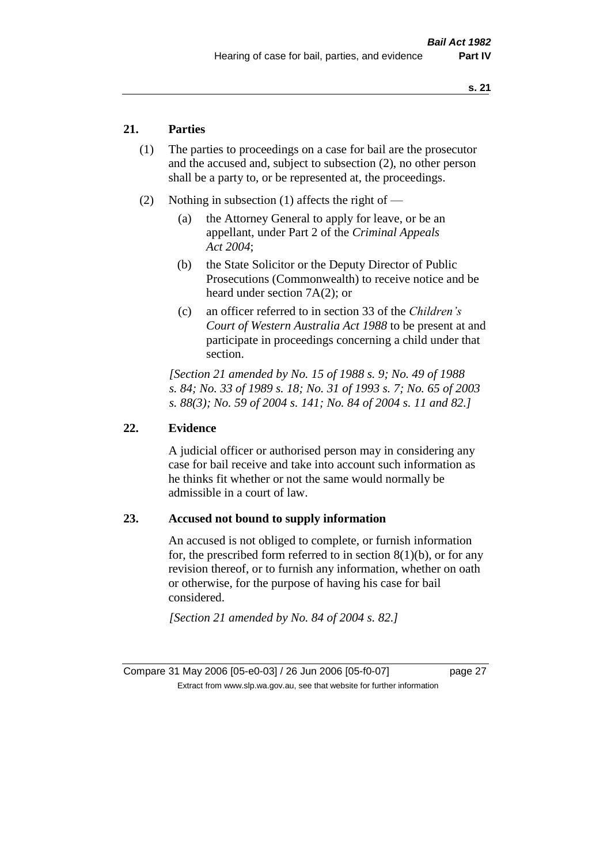## **21. Parties**

- (1) The parties to proceedings on a case for bail are the prosecutor and the accused and, subject to subsection (2), no other person shall be a party to, or be represented at, the proceedings.
- (2) Nothing in subsection (1) affects the right of
	- (a) the Attorney General to apply for leave, or be an appellant, under Part 2 of the *Criminal Appeals Act 2004*;
	- (b) the State Solicitor or the Deputy Director of Public Prosecutions (Commonwealth) to receive notice and be heard under section 7A(2); or
	- (c) an officer referred to in section 33 of the *Children's Court of Western Australia Act 1988* to be present at and participate in proceedings concerning a child under that section.

*[Section 21 amended by No. 15 of 1988 s. 9; No. 49 of 1988 s. 84; No. 33 of 1989 s. 18; No. 31 of 1993 s. 7; No. 65 of 2003 s. 88(3); No. 59 of 2004 s. 141; No. 84 of 2004 s. 11 and 82.]* 

### **22. Evidence**

A judicial officer or authorised person may in considering any case for bail receive and take into account such information as he thinks fit whether or not the same would normally be admissible in a court of law.

## **23. Accused not bound to supply information**

An accused is not obliged to complete, or furnish information for, the prescribed form referred to in section  $8(1)(b)$ , or for any revision thereof, or to furnish any information, whether on oath or otherwise, for the purpose of having his case for bail considered.

*[Section 21 amended by No. 84 of 2004 s. 82.]* 

Compare 31 May 2006 [05-e0-03] / 26 Jun 2006 [05-f0-07] page 27 Extract from www.slp.wa.gov.au, see that website for further information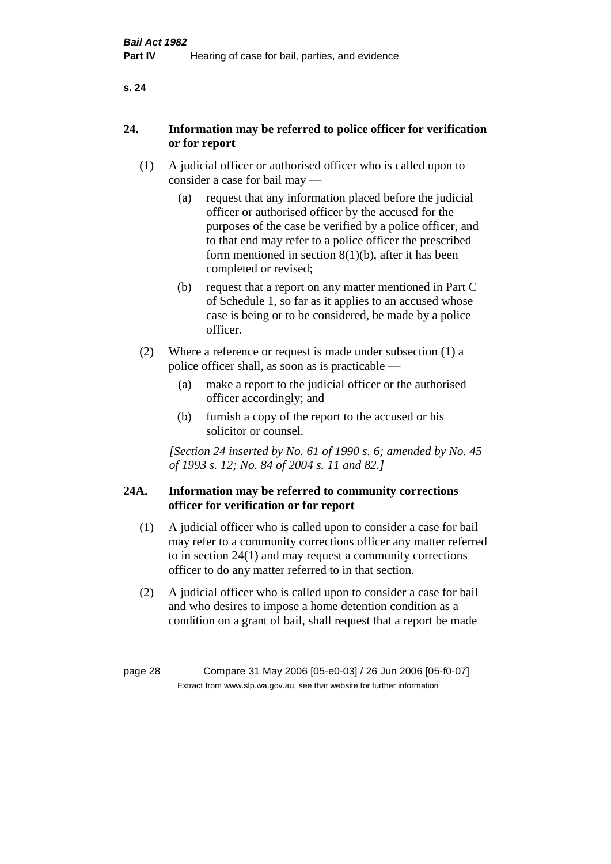## **24. Information may be referred to police officer for verification or for report**

- (1) A judicial officer or authorised officer who is called upon to consider a case for bail may —
	- (a) request that any information placed before the judicial officer or authorised officer by the accused for the purposes of the case be verified by a police officer, and to that end may refer to a police officer the prescribed form mentioned in section 8(1)(b), after it has been completed or revised;
	- (b) request that a report on any matter mentioned in Part C of Schedule 1, so far as it applies to an accused whose case is being or to be considered, be made by a police officer.
- (2) Where a reference or request is made under subsection (1) a police officer shall, as soon as is practicable —
	- (a) make a report to the judicial officer or the authorised officer accordingly; and
	- (b) furnish a copy of the report to the accused or his solicitor or counsel.

*[Section 24 inserted by No. 61 of 1990 s. 6; amended by No. 45 of 1993 s. 12; No. 84 of 2004 s. 11 and 82.]* 

## **24A. Information may be referred to community corrections officer for verification or for report**

- (1) A judicial officer who is called upon to consider a case for bail may refer to a community corrections officer any matter referred to in section 24(1) and may request a community corrections officer to do any matter referred to in that section.
- (2) A judicial officer who is called upon to consider a case for bail and who desires to impose a home detention condition as a condition on a grant of bail, shall request that a report be made

page 28 Compare 31 May 2006 [05-e0-03] / 26 Jun 2006 [05-f0-07] Extract from www.slp.wa.gov.au, see that website for further information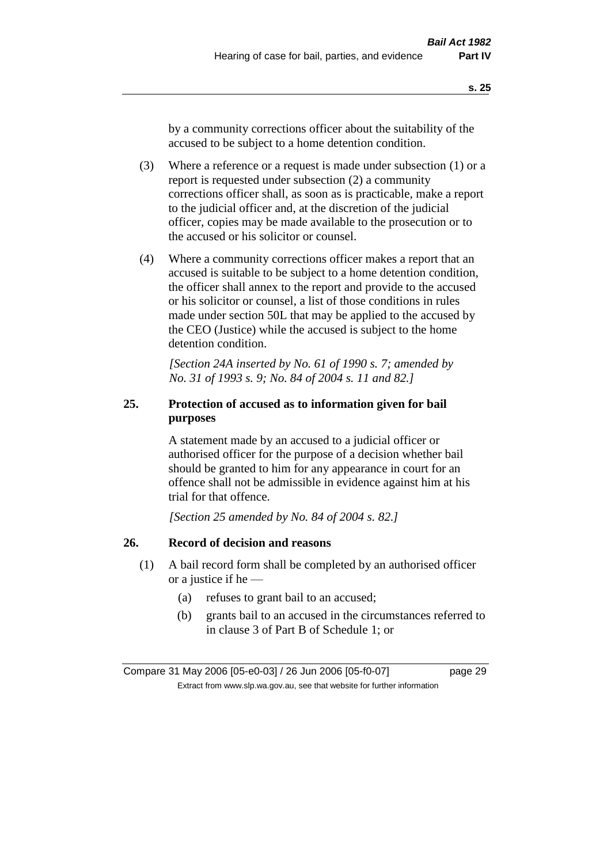by a community corrections officer about the suitability of the accused to be subject to a home detention condition.

- (3) Where a reference or a request is made under subsection (1) or a report is requested under subsection (2) a community corrections officer shall, as soon as is practicable, make a report to the judicial officer and, at the discretion of the judicial officer, copies may be made available to the prosecution or to the accused or his solicitor or counsel.
- (4) Where a community corrections officer makes a report that an accused is suitable to be subject to a home detention condition, the officer shall annex to the report and provide to the accused or his solicitor or counsel, a list of those conditions in rules made under section 50L that may be applied to the accused by the CEO (Justice) while the accused is subject to the home detention condition.

*[Section 24A inserted by No. 61 of 1990 s. 7; amended by No. 31 of 1993 s. 9; No. 84 of 2004 s. 11 and 82.]* 

## **25. Protection of accused as to information given for bail purposes**

A statement made by an accused to a judicial officer or authorised officer for the purpose of a decision whether bail should be granted to him for any appearance in court for an offence shall not be admissible in evidence against him at his trial for that offence.

*[Section 25 amended by No. 84 of 2004 s. 82.]* 

## **26. Record of decision and reasons**

- (1) A bail record form shall be completed by an authorised officer or a justice if he —
	- (a) refuses to grant bail to an accused;
	- (b) grants bail to an accused in the circumstances referred to in clause 3 of Part B of Schedule 1; or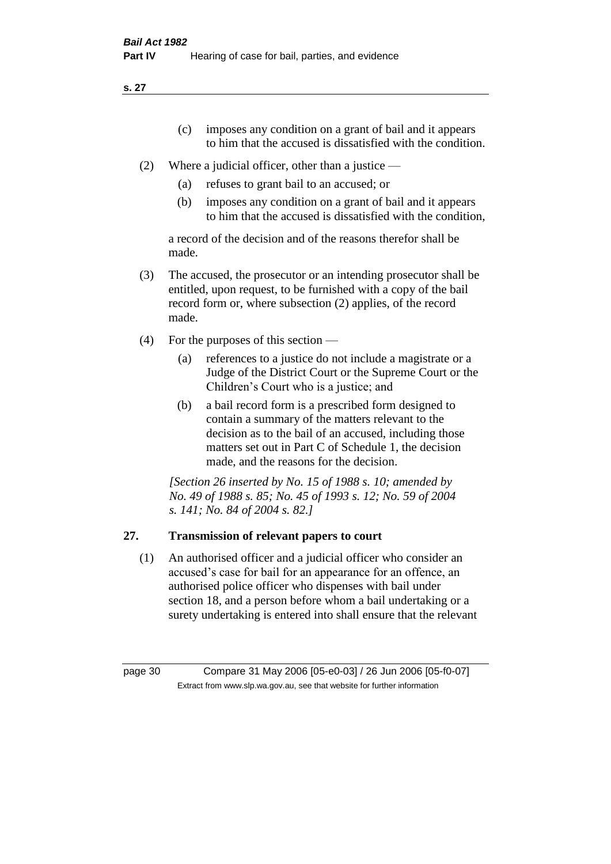- (c) imposes any condition on a grant of bail and it appears to him that the accused is dissatisfied with the condition.
- (2) Where a judicial officer, other than a justice
	- (a) refuses to grant bail to an accused; or
	- (b) imposes any condition on a grant of bail and it appears to him that the accused is dissatisfied with the condition,

a record of the decision and of the reasons therefor shall be made.

- (3) The accused, the prosecutor or an intending prosecutor shall be entitled, upon request, to be furnished with a copy of the bail record form or, where subsection (2) applies, of the record made.
- (4) For the purposes of this section
	- (a) references to a justice do not include a magistrate or a Judge of the District Court or the Supreme Court or the Children's Court who is a justice; and
	- (b) a bail record form is a prescribed form designed to contain a summary of the matters relevant to the decision as to the bail of an accused, including those matters set out in Part C of Schedule 1, the decision made, and the reasons for the decision.

*[Section 26 inserted by No. 15 of 1988 s. 10; amended by No. 49 of 1988 s. 85; No. 45 of 1993 s. 12; No. 59 of 2004 s. 141; No. 84 of 2004 s. 82.]* 

## **27. Transmission of relevant papers to court**

(1) An authorised officer and a judicial officer who consider an accused's case for bail for an appearance for an offence, an authorised police officer who dispenses with bail under section 18, and a person before whom a bail undertaking or a surety undertaking is entered into shall ensure that the relevant

page 30 Compare 31 May 2006 [05-e0-03] / 26 Jun 2006 [05-f0-07] Extract from www.slp.wa.gov.au, see that website for further information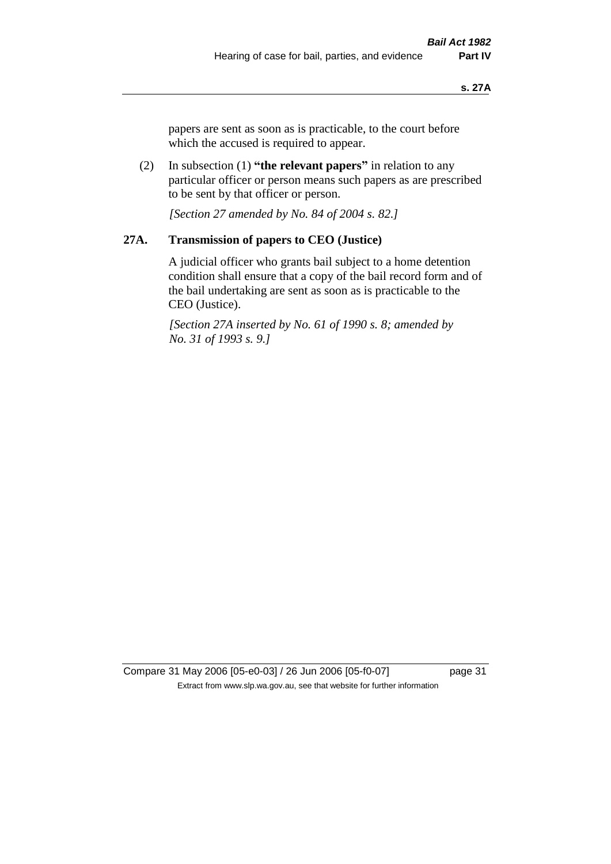papers are sent as soon as is practicable, to the court before which the accused is required to appear.

(2) In subsection (1) **"the relevant papers"** in relation to any particular officer or person means such papers as are prescribed to be sent by that officer or person.

*[Section 27 amended by No. 84 of 2004 s. 82.]* 

## **27A. Transmission of papers to CEO (Justice)**

A judicial officer who grants bail subject to a home detention condition shall ensure that a copy of the bail record form and of the bail undertaking are sent as soon as is practicable to the CEO (Justice).

*[Section 27A inserted by No. 61 of 1990 s. 8; amended by No. 31 of 1993 s. 9.]* 

Compare 31 May 2006 [05-e0-03] / 26 Jun 2006 [05-f0-07] page 31 Extract from www.slp.wa.gov.au, see that website for further information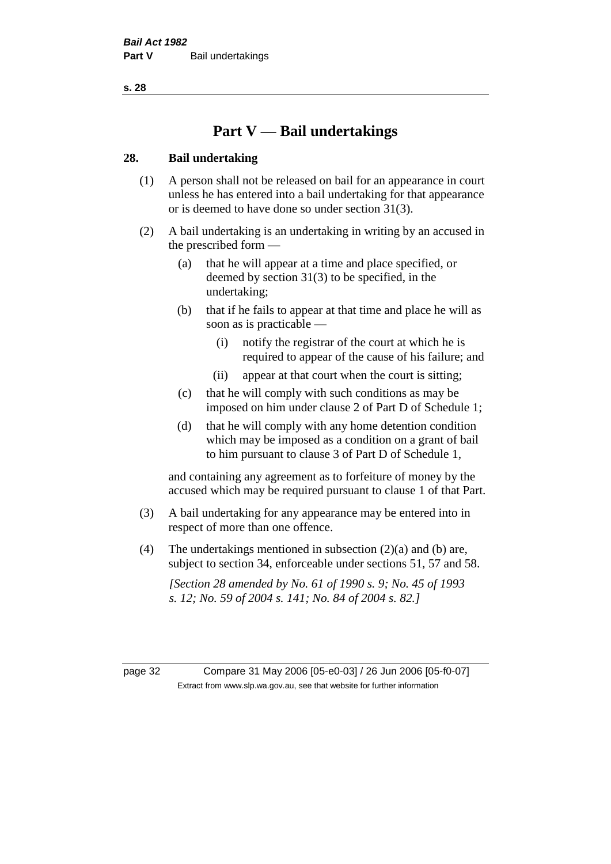## **Part V — Bail undertakings**

### **28. Bail undertaking**

- (1) A person shall not be released on bail for an appearance in court unless he has entered into a bail undertaking for that appearance or is deemed to have done so under section 31(3).
- (2) A bail undertaking is an undertaking in writing by an accused in the prescribed form —
	- (a) that he will appear at a time and place specified, or deemed by section 31(3) to be specified, in the undertaking;
	- (b) that if he fails to appear at that time and place he will as soon as is practicable —
		- (i) notify the registrar of the court at which he is required to appear of the cause of his failure; and
		- (ii) appear at that court when the court is sitting;
	- (c) that he will comply with such conditions as may be imposed on him under clause 2 of Part D of Schedule 1;
	- (d) that he will comply with any home detention condition which may be imposed as a condition on a grant of bail to him pursuant to clause 3 of Part D of Schedule 1,

and containing any agreement as to forfeiture of money by the accused which may be required pursuant to clause 1 of that Part.

- (3) A bail undertaking for any appearance may be entered into in respect of more than one offence.
- (4) The undertakings mentioned in subsection (2)(a) and (b) are, subject to section 34, enforceable under sections 51, 57 and 58.

*[Section 28 amended by No. 61 of 1990 s. 9; No. 45 of 1993 s. 12; No. 59 of 2004 s. 141; No. 84 of 2004 s. 82.]* 

page 32 Compare 31 May 2006 [05-e0-03] / 26 Jun 2006 [05-f0-07] Extract from www.slp.wa.gov.au, see that website for further information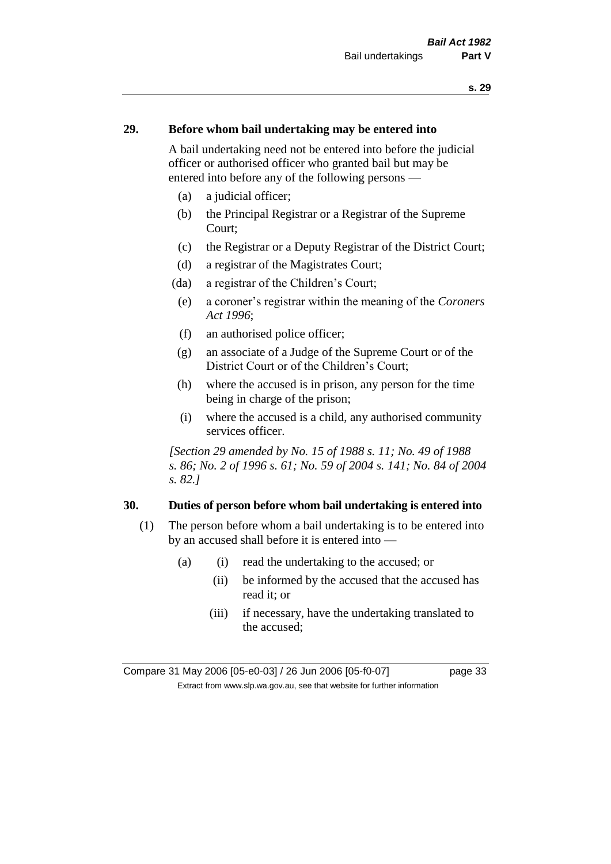## **29. Before whom bail undertaking may be entered into**

A bail undertaking need not be entered into before the judicial officer or authorised officer who granted bail but may be entered into before any of the following persons —

- (a) a judicial officer;
- (b) the Principal Registrar or a Registrar of the Supreme Court;
- (c) the Registrar or a Deputy Registrar of the District Court;
- (d) a registrar of the Magistrates Court;
- (da) a registrar of the Children's Court;
- (e) a coroner's registrar within the meaning of the *Coroners Act 1996*;
- (f) an authorised police officer;
- (g) an associate of a Judge of the Supreme Court or of the District Court or of the Children's Court;
- (h) where the accused is in prison, any person for the time being in charge of the prison;
- (i) where the accused is a child, any authorised community services officer.

*[Section 29 amended by No. 15 of 1988 s. 11; No. 49 of 1988 s. 86; No. 2 of 1996 s. 61; No. 59 of 2004 s. 141; No. 84 of 2004 s. 82.]* 

### **30. Duties of person before whom bail undertaking is entered into**

- (1) The person before whom a bail undertaking is to be entered into by an accused shall before it is entered into —
	- (a) (i) read the undertaking to the accused; or
		- (ii) be informed by the accused that the accused has read it; or
		- (iii) if necessary, have the undertaking translated to the accused;

Compare 31 May 2006 [05-e0-03] / 26 Jun 2006 [05-f0-07] page 33 Extract from www.slp.wa.gov.au, see that website for further information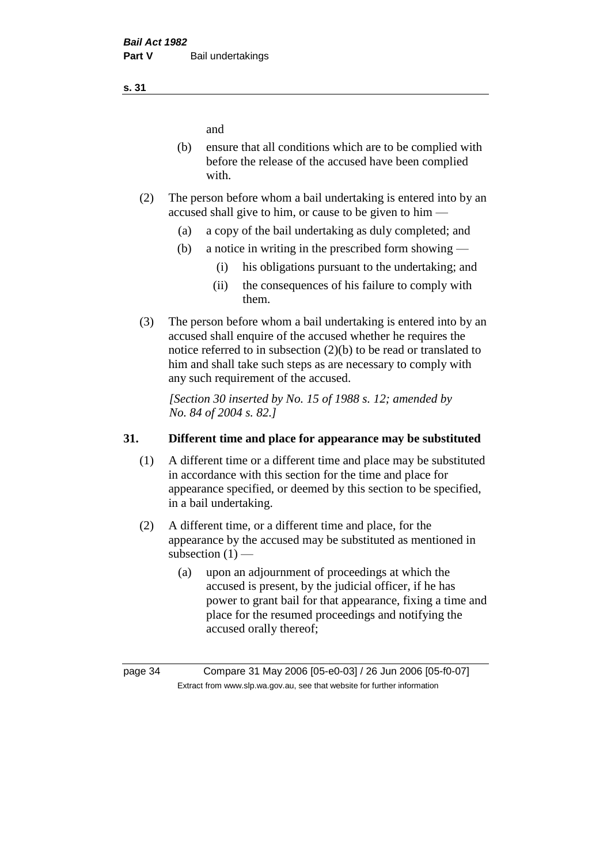and

- (b) ensure that all conditions which are to be complied with before the release of the accused have been complied with.
- (2) The person before whom a bail undertaking is entered into by an accused shall give to him, or cause to be given to him —
	- (a) a copy of the bail undertaking as duly completed; and
	- (b) a notice in writing in the prescribed form showing
		- (i) his obligations pursuant to the undertaking; and
		- (ii) the consequences of his failure to comply with them.
- (3) The person before whom a bail undertaking is entered into by an accused shall enquire of the accused whether he requires the notice referred to in subsection (2)(b) to be read or translated to him and shall take such steps as are necessary to comply with any such requirement of the accused.

*[Section 30 inserted by No. 15 of 1988 s. 12; amended by No. 84 of 2004 s. 82.]* 

## **31. Different time and place for appearance may be substituted**

- (1) A different time or a different time and place may be substituted in accordance with this section for the time and place for appearance specified, or deemed by this section to be specified, in a bail undertaking.
- (2) A different time, or a different time and place, for the appearance by the accused may be substituted as mentioned in subsection  $(1)$  —
	- (a) upon an adjournment of proceedings at which the accused is present, by the judicial officer, if he has power to grant bail for that appearance, fixing a time and place for the resumed proceedings and notifying the accused orally thereof;

**s. 31**

page 34 Compare 31 May 2006 [05-e0-03] / 26 Jun 2006 [05-f0-07] Extract from www.slp.wa.gov.au, see that website for further information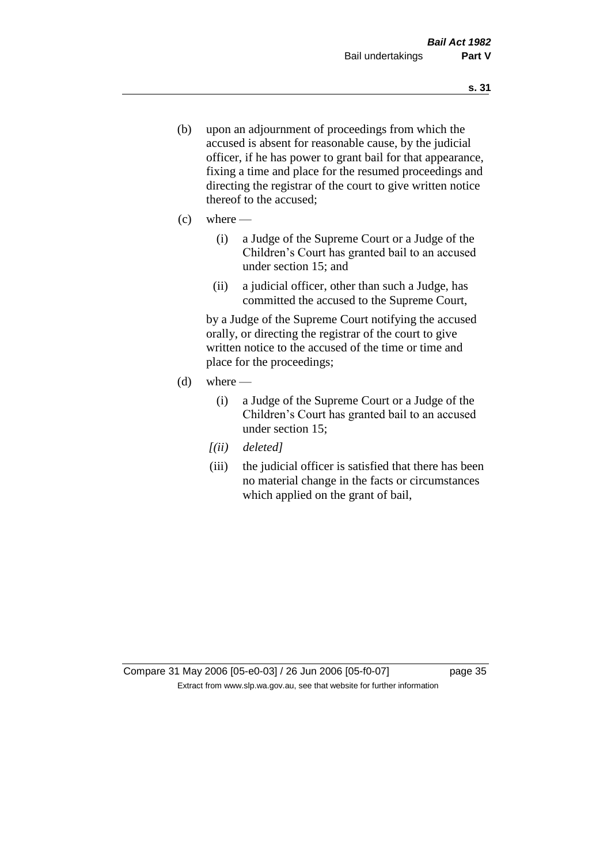- (b) upon an adjournment of proceedings from which the accused is absent for reasonable cause, by the judicial officer, if he has power to grant bail for that appearance, fixing a time and place for the resumed proceedings and directing the registrar of the court to give written notice thereof to the accused;
- $(c)$  where
	- (i) a Judge of the Supreme Court or a Judge of the Children's Court has granted bail to an accused under section 15; and
	- (ii) a judicial officer, other than such a Judge, has committed the accused to the Supreme Court,

by a Judge of the Supreme Court notifying the accused orally, or directing the registrar of the court to give written notice to the accused of the time or time and place for the proceedings;

- $(d)$  where
	- (i) a Judge of the Supreme Court or a Judge of the Children's Court has granted bail to an accused under section 15;
	- *[(ii) deleted]*
	- (iii) the judicial officer is satisfied that there has been no material change in the facts or circumstances which applied on the grant of bail,

Compare 31 May 2006 [05-e0-03] / 26 Jun 2006 [05-f0-07] page 35 Extract from www.slp.wa.gov.au, see that website for further information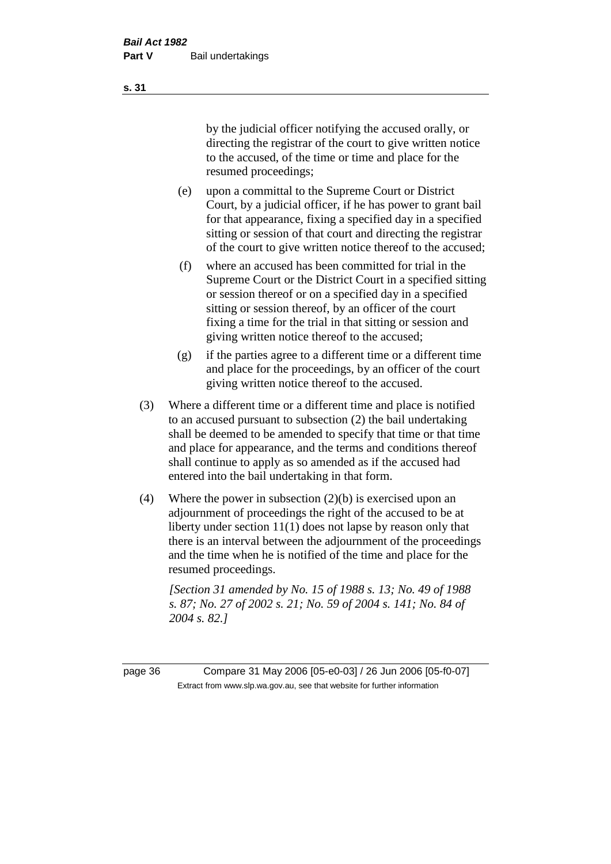by the judicial officer notifying the accused orally, or directing the registrar of the court to give written notice to the accused, of the time or time and place for the resumed proceedings;

- (e) upon a committal to the Supreme Court or District Court, by a judicial officer, if he has power to grant bail for that appearance, fixing a specified day in a specified sitting or session of that court and directing the registrar of the court to give written notice thereof to the accused;
- (f) where an accused has been committed for trial in the Supreme Court or the District Court in a specified sitting or session thereof or on a specified day in a specified sitting or session thereof, by an officer of the court fixing a time for the trial in that sitting or session and giving written notice thereof to the accused;
- (g) if the parties agree to a different time or a different time and place for the proceedings, by an officer of the court giving written notice thereof to the accused.
- (3) Where a different time or a different time and place is notified to an accused pursuant to subsection (2) the bail undertaking shall be deemed to be amended to specify that time or that time and place for appearance, and the terms and conditions thereof shall continue to apply as so amended as if the accused had entered into the bail undertaking in that form.
- (4) Where the power in subsection (2)(b) is exercised upon an adjournment of proceedings the right of the accused to be at liberty under section 11(1) does not lapse by reason only that there is an interval between the adjournment of the proceedings and the time when he is notified of the time and place for the resumed proceedings.

*[Section 31 amended by No. 15 of 1988 s. 13; No. 49 of 1988 s. 87; No. 27 of 2002 s. 21; No. 59 of 2004 s. 141; No. 84 of 2004 s. 82.]* 

page 36 Compare 31 May 2006 [05-e0-03] / 26 Jun 2006 [05-f0-07] Extract from www.slp.wa.gov.au, see that website for further information

**s. 31**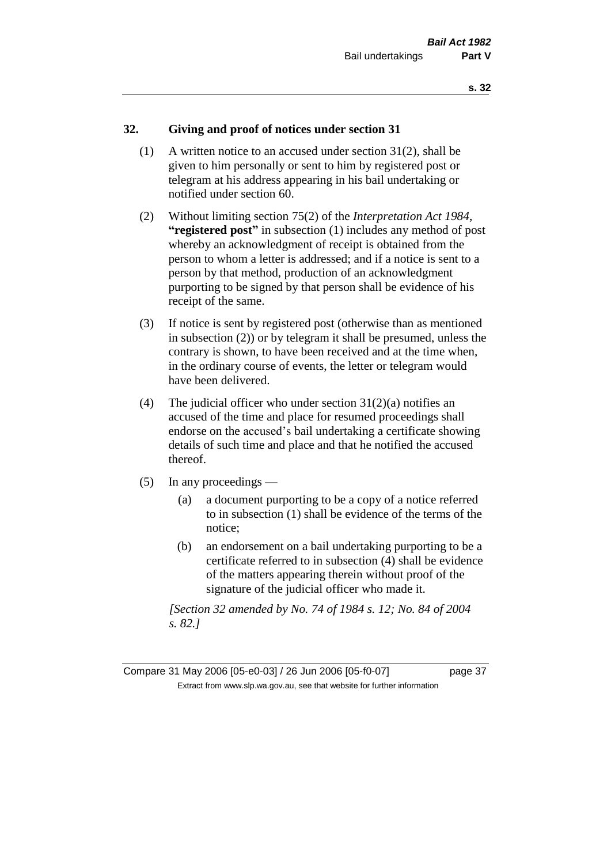## **32. Giving and proof of notices under section 31**

- (1) A written notice to an accused under section 31(2), shall be given to him personally or sent to him by registered post or telegram at his address appearing in his bail undertaking or notified under section 60.
- (2) Without limiting section 75(2) of the *Interpretation Act 1984*, **"registered post"** in subsection (1) includes any method of post whereby an acknowledgment of receipt is obtained from the person to whom a letter is addressed; and if a notice is sent to a person by that method, production of an acknowledgment purporting to be signed by that person shall be evidence of his receipt of the same.
- (3) If notice is sent by registered post (otherwise than as mentioned in subsection (2)) or by telegram it shall be presumed, unless the contrary is shown, to have been received and at the time when, in the ordinary course of events, the letter or telegram would have been delivered.
- (4) The judicial officer who under section  $31(2)(a)$  notifies an accused of the time and place for resumed proceedings shall endorse on the accused's bail undertaking a certificate showing details of such time and place and that he notified the accused thereof.
- (5) In any proceedings
	- (a) a document purporting to be a copy of a notice referred to in subsection (1) shall be evidence of the terms of the notice;
	- (b) an endorsement on a bail undertaking purporting to be a certificate referred to in subsection (4) shall be evidence of the matters appearing therein without proof of the signature of the judicial officer who made it.

*[Section 32 amended by No. 74 of 1984 s. 12; No. 84 of 2004 s. 82.]* 

Compare 31 May 2006 [05-e0-03] / 26 Jun 2006 [05-f0-07] page 37 Extract from www.slp.wa.gov.au, see that website for further information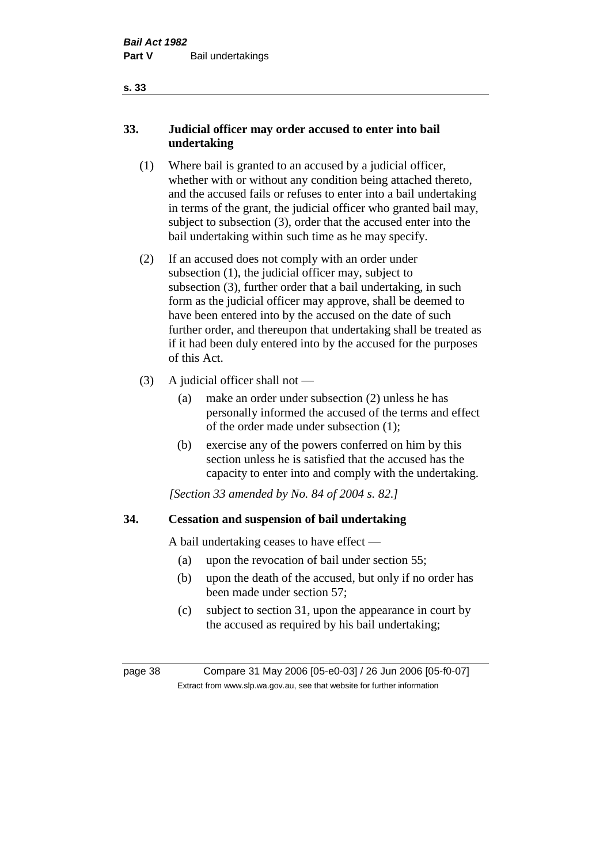## **33. Judicial officer may order accused to enter into bail undertaking**

- (1) Where bail is granted to an accused by a judicial officer, whether with or without any condition being attached thereto, and the accused fails or refuses to enter into a bail undertaking in terms of the grant, the judicial officer who granted bail may, subject to subsection (3), order that the accused enter into the bail undertaking within such time as he may specify.
- (2) If an accused does not comply with an order under subsection (1), the judicial officer may, subject to subsection (3), further order that a bail undertaking, in such form as the judicial officer may approve, shall be deemed to have been entered into by the accused on the date of such further order, and thereupon that undertaking shall be treated as if it had been duly entered into by the accused for the purposes of this Act.
- (3) A judicial officer shall not
	- (a) make an order under subsection (2) unless he has personally informed the accused of the terms and effect of the order made under subsection (1);
	- (b) exercise any of the powers conferred on him by this section unless he is satisfied that the accused has the capacity to enter into and comply with the undertaking.

*[Section 33 amended by No. 84 of 2004 s. 82.]* 

## **34. Cessation and suspension of bail undertaking**

A bail undertaking ceases to have effect —

- (a) upon the revocation of bail under section 55;
- (b) upon the death of the accused, but only if no order has been made under section 57;
- (c) subject to section 31, upon the appearance in court by the accused as required by his bail undertaking;

page 38 Compare 31 May 2006 [05-e0-03] / 26 Jun 2006 [05-f0-07] Extract from www.slp.wa.gov.au, see that website for further information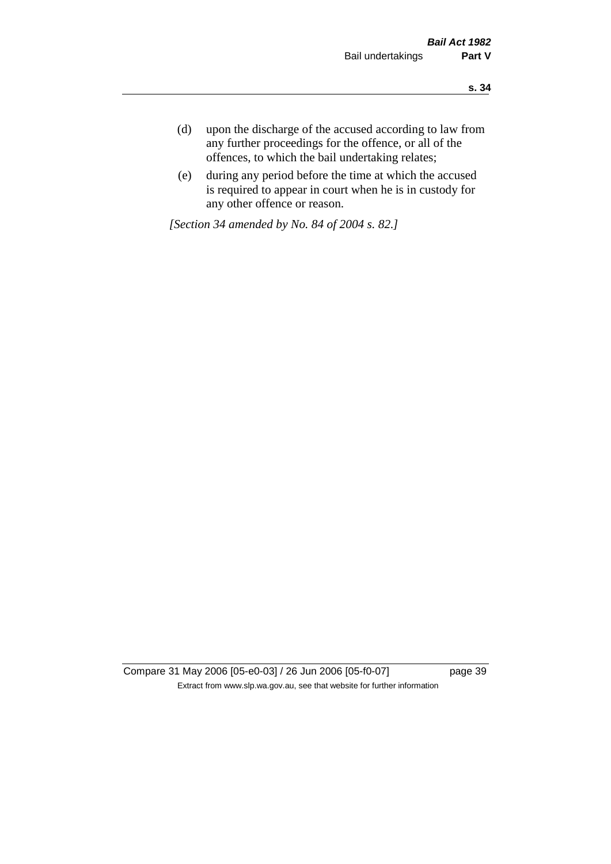- **s. 34**
- (d) upon the discharge of the accused according to law from any further proceedings for the offence, or all of the offences, to which the bail undertaking relates;
- (e) during any period before the time at which the accused is required to appear in court when he is in custody for any other offence or reason.

*[Section 34 amended by No. 84 of 2004 s. 82.]* 

Compare 31 May 2006 [05-e0-03] / 26 Jun 2006 [05-f0-07] page 39 Extract from www.slp.wa.gov.au, see that website for further information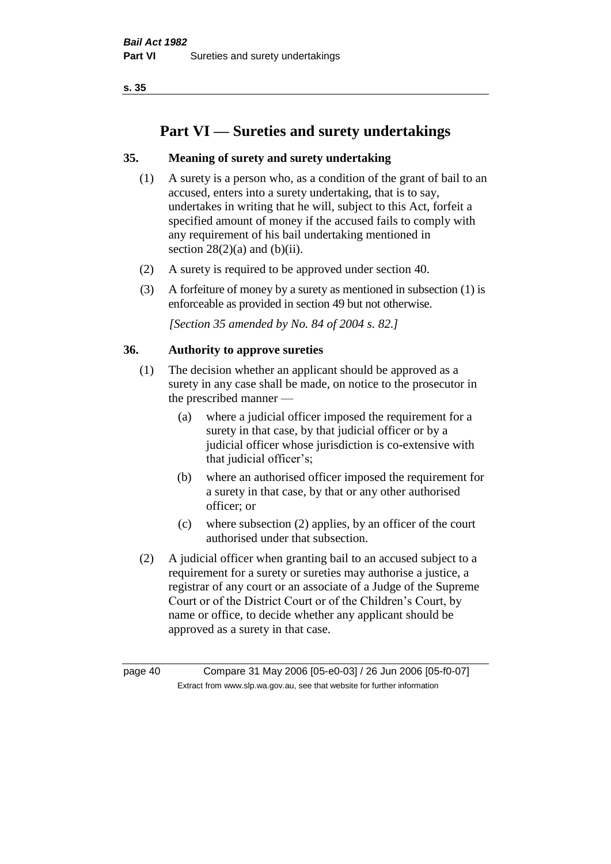# **Part VI — Sureties and surety undertakings**

## **35. Meaning of surety and surety undertaking**

- (1) A surety is a person who, as a condition of the grant of bail to an accused, enters into a surety undertaking, that is to say, undertakes in writing that he will, subject to this Act, forfeit a specified amount of money if the accused fails to comply with any requirement of his bail undertaking mentioned in section  $28(2)(a)$  and  $(b)(ii)$ .
- (2) A surety is required to be approved under section 40.
- (3) A forfeiture of money by a surety as mentioned in subsection (1) is enforceable as provided in section 49 but not otherwise.

*[Section 35 amended by No. 84 of 2004 s. 82.]* 

#### **36. Authority to approve sureties**

- (1) The decision whether an applicant should be approved as a surety in any case shall be made, on notice to the prosecutor in the prescribed manner —
	- (a) where a judicial officer imposed the requirement for a surety in that case, by that judicial officer or by a judicial officer whose jurisdiction is co-extensive with that judicial officer's;
	- (b) where an authorised officer imposed the requirement for a surety in that case, by that or any other authorised officer; or
	- (c) where subsection (2) applies, by an officer of the court authorised under that subsection.
- (2) A judicial officer when granting bail to an accused subject to a requirement for a surety or sureties may authorise a justice, a registrar of any court or an associate of a Judge of the Supreme Court or of the District Court or of the Children's Court, by name or office, to decide whether any applicant should be approved as a surety in that case.

page 40 Compare 31 May 2006 [05-e0-03] / 26 Jun 2006 [05-f0-07] Extract from www.slp.wa.gov.au, see that website for further information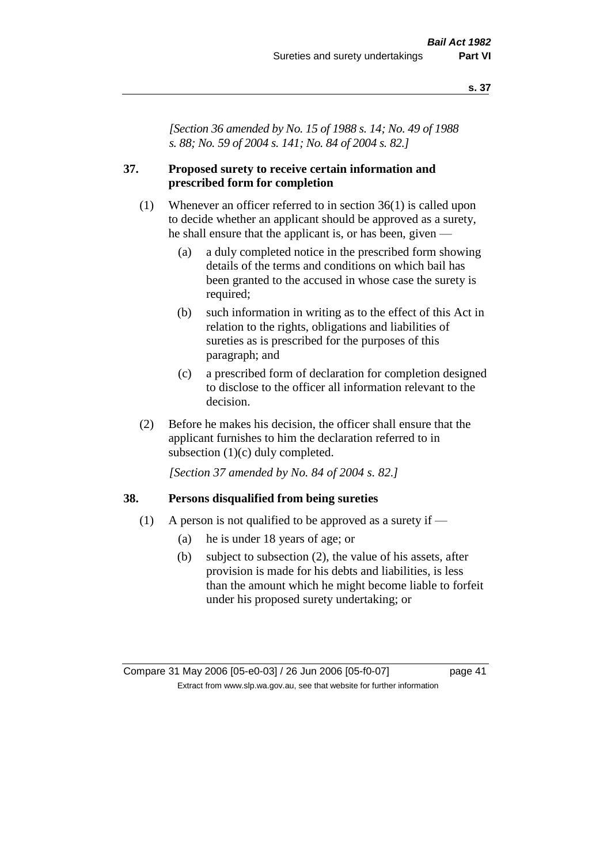*[Section 36 amended by No. 15 of 1988 s. 14; No. 49 of 1988 s. 88; No. 59 of 2004 s. 141; No. 84 of 2004 s. 82.]* 

#### **37. Proposed surety to receive certain information and prescribed form for completion**

- (1) Whenever an officer referred to in section 36(1) is called upon to decide whether an applicant should be approved as a surety, he shall ensure that the applicant is, or has been, given —
	- (a) a duly completed notice in the prescribed form showing details of the terms and conditions on which bail has been granted to the accused in whose case the surety is required;
	- (b) such information in writing as to the effect of this Act in relation to the rights, obligations and liabilities of sureties as is prescribed for the purposes of this paragraph; and
	- (c) a prescribed form of declaration for completion designed to disclose to the officer all information relevant to the decision.
- (2) Before he makes his decision, the officer shall ensure that the applicant furnishes to him the declaration referred to in subsection (1)(c) duly completed.

*[Section 37 amended by No. 84 of 2004 s. 82.]* 

#### **38. Persons disqualified from being sureties**

- (1) A person is not qualified to be approved as a surety if  $-$ 
	- (a) he is under 18 years of age; or
	- (b) subject to subsection (2), the value of his assets, after provision is made for his debts and liabilities, is less than the amount which he might become liable to forfeit under his proposed surety undertaking; or

Compare 31 May 2006 [05-e0-03] / 26 Jun 2006 [05-f0-07] page 41 Extract from www.slp.wa.gov.au, see that website for further information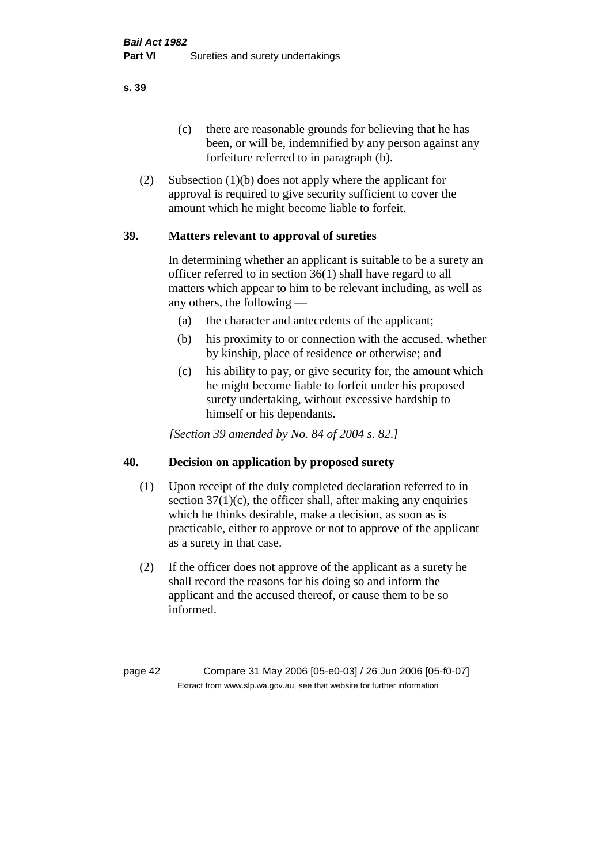(c) there are reasonable grounds for believing that he has been, or will be, indemnified by any person against any forfeiture referred to in paragraph (b).

(2) Subsection (1)(b) does not apply where the applicant for approval is required to give security sufficient to cover the amount which he might become liable to forfeit.

#### **39. Matters relevant to approval of sureties**

In determining whether an applicant is suitable to be a surety an officer referred to in section 36(1) shall have regard to all matters which appear to him to be relevant including, as well as any others, the following —

- (a) the character and antecedents of the applicant;
- (b) his proximity to or connection with the accused, whether by kinship, place of residence or otherwise; and
- (c) his ability to pay, or give security for, the amount which he might become liable to forfeit under his proposed surety undertaking, without excessive hardship to himself or his dependants.

*[Section 39 amended by No. 84 of 2004 s. 82.]* 

#### **40. Decision on application by proposed surety**

- (1) Upon receipt of the duly completed declaration referred to in section  $37(1)(c)$ , the officer shall, after making any enquiries which he thinks desirable, make a decision, as soon as is practicable, either to approve or not to approve of the applicant as a surety in that case.
- (2) If the officer does not approve of the applicant as a surety he shall record the reasons for his doing so and inform the applicant and the accused thereof, or cause them to be so informed.

page 42 Compare 31 May 2006 [05-e0-03] / 26 Jun 2006 [05-f0-07] Extract from www.slp.wa.gov.au, see that website for further information

**s. 39**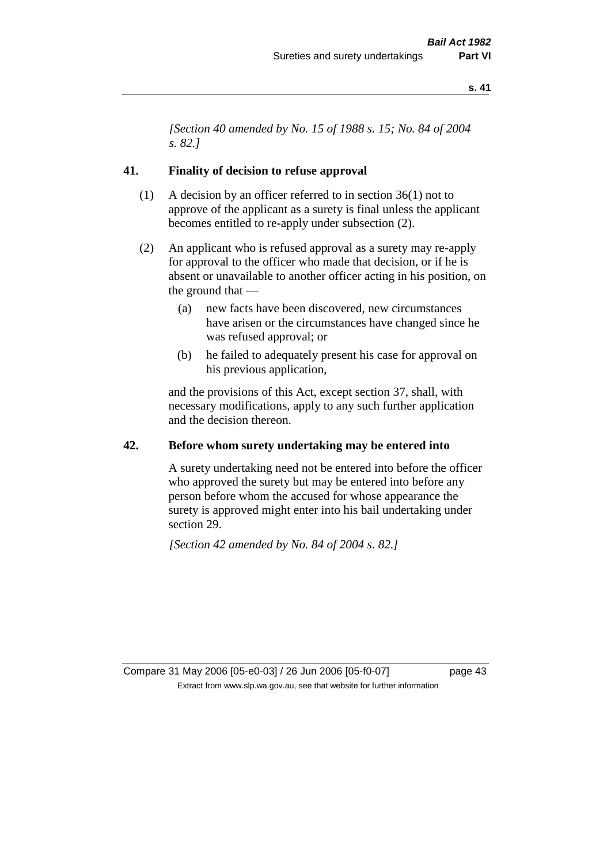*[Section 40 amended by No. 15 of 1988 s. 15; No. 84 of 2004 s. 82.]* 

#### **41. Finality of decision to refuse approval**

- (1) A decision by an officer referred to in section 36(1) not to approve of the applicant as a surety is final unless the applicant becomes entitled to re-apply under subsection (2).
- (2) An applicant who is refused approval as a surety may re-apply for approval to the officer who made that decision, or if he is absent or unavailable to another officer acting in his position, on the ground that —
	- (a) new facts have been discovered, new circumstances have arisen or the circumstances have changed since he was refused approval; or
	- (b) he failed to adequately present his case for approval on his previous application,

and the provisions of this Act, except section 37, shall, with necessary modifications, apply to any such further application and the decision thereon.

#### **42. Before whom surety undertaking may be entered into**

A surety undertaking need not be entered into before the officer who approved the surety but may be entered into before any person before whom the accused for whose appearance the surety is approved might enter into his bail undertaking under section 29.

*[Section 42 amended by No. 84 of 2004 s. 82.]* 

Compare 31 May 2006 [05-e0-03] / 26 Jun 2006 [05-f0-07] page 43 Extract from www.slp.wa.gov.au, see that website for further information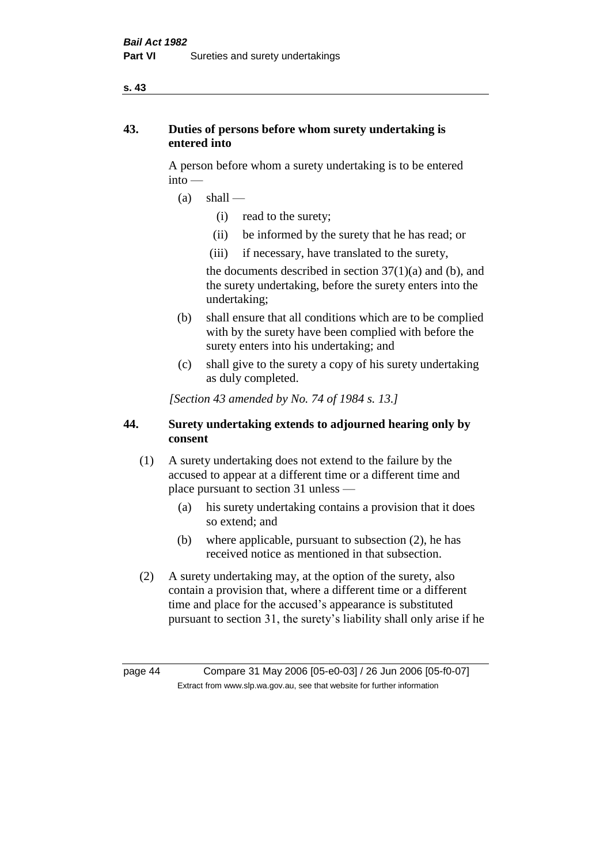## **43. Duties of persons before whom surety undertaking is entered into**

A person before whom a surety undertaking is to be entered into —

- $(a)$  shall
	- (i) read to the surety;
	- (ii) be informed by the surety that he has read; or
	- (iii) if necessary, have translated to the surety,

the documents described in section  $37(1)(a)$  and (b), and the surety undertaking, before the surety enters into the undertaking;

- (b) shall ensure that all conditions which are to be complied with by the surety have been complied with before the surety enters into his undertaking; and
- (c) shall give to the surety a copy of his surety undertaking as duly completed.

*[Section 43 amended by No. 74 of 1984 s. 13.]* 

## **44. Surety undertaking extends to adjourned hearing only by consent**

- (1) A surety undertaking does not extend to the failure by the accused to appear at a different time or a different time and place pursuant to section 31 unless —
	- (a) his surety undertaking contains a provision that it does so extend; and
	- (b) where applicable, pursuant to subsection (2), he has received notice as mentioned in that subsection.
- (2) A surety undertaking may, at the option of the surety, also contain a provision that, where a different time or a different time and place for the accused's appearance is substituted pursuant to section 31, the surety's liability shall only arise if he

page 44 Compare 31 May 2006 [05-e0-03] / 26 Jun 2006 [05-f0-07] Extract from www.slp.wa.gov.au, see that website for further information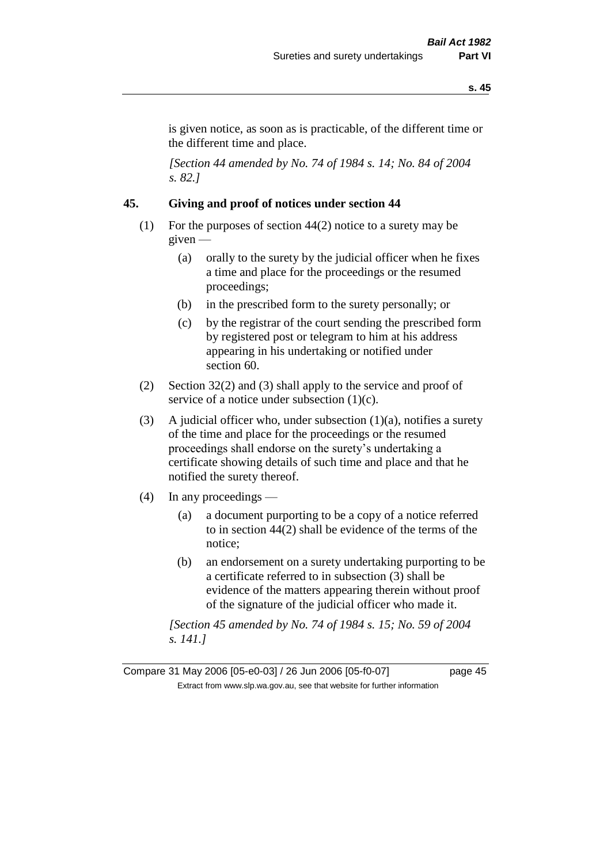is given notice, as soon as is practicable, of the different time or the different time and place.

*[Section 44 amended by No. 74 of 1984 s. 14; No. 84 of 2004 s. 82.]* 

## **45. Giving and proof of notices under section 44**

- (1) For the purposes of section 44(2) notice to a surety may be given —
	- (a) orally to the surety by the judicial officer when he fixes a time and place for the proceedings or the resumed proceedings;
	- (b) in the prescribed form to the surety personally; or
	- (c) by the registrar of the court sending the prescribed form by registered post or telegram to him at his address appearing in his undertaking or notified under section 60.
- (2) Section 32(2) and (3) shall apply to the service and proof of service of a notice under subsection  $(1)(c)$ .
- (3) A judicial officer who, under subsection  $(1)(a)$ , notifies a surety of the time and place for the proceedings or the resumed proceedings shall endorse on the surety's undertaking a certificate showing details of such time and place and that he notified the surety thereof.
- (4) In any proceedings
	- (a) a document purporting to be a copy of a notice referred to in section 44(2) shall be evidence of the terms of the notice;
	- (b) an endorsement on a surety undertaking purporting to be a certificate referred to in subsection (3) shall be evidence of the matters appearing therein without proof of the signature of the judicial officer who made it.

*[Section 45 amended by No. 74 of 1984 s. 15; No. 59 of 2004 s. 141.]* 

Compare 31 May 2006 [05-e0-03] / 26 Jun 2006 [05-f0-07] page 45 Extract from www.slp.wa.gov.au, see that website for further information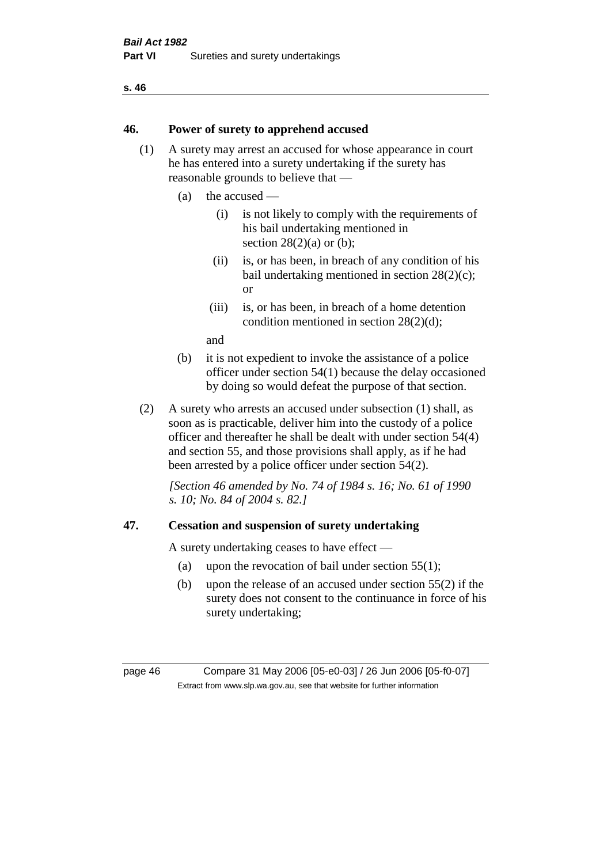#### **46. Power of surety to apprehend accused**

- (1) A surety may arrest an accused for whose appearance in court he has entered into a surety undertaking if the surety has reasonable grounds to believe that —
	- (a) the accused
		- (i) is not likely to comply with the requirements of his bail undertaking mentioned in section  $28(2)(a)$  or (b):
		- (ii) is, or has been, in breach of any condition of his bail undertaking mentioned in section 28(2)(c); or
		- (iii) is, or has been, in breach of a home detention condition mentioned in section 28(2)(d);

and

- (b) it is not expedient to invoke the assistance of a police officer under section 54(1) because the delay occasioned by doing so would defeat the purpose of that section.
- (2) A surety who arrests an accused under subsection (1) shall, as soon as is practicable, deliver him into the custody of a police officer and thereafter he shall be dealt with under section 54(4) and section 55, and those provisions shall apply, as if he had been arrested by a police officer under section 54(2).

*[Section 46 amended by No. 74 of 1984 s. 16; No. 61 of 1990 s. 10; No. 84 of 2004 s. 82.]* 

#### **47. Cessation and suspension of surety undertaking**

A surety undertaking ceases to have effect —

- (a) upon the revocation of bail under section  $55(1)$ ;
- (b) upon the release of an accused under section 55(2) if the surety does not consent to the continuance in force of his surety undertaking;

page 46 Compare 31 May 2006 [05-e0-03] / 26 Jun 2006 [05-f0-07] Extract from www.slp.wa.gov.au, see that website for further information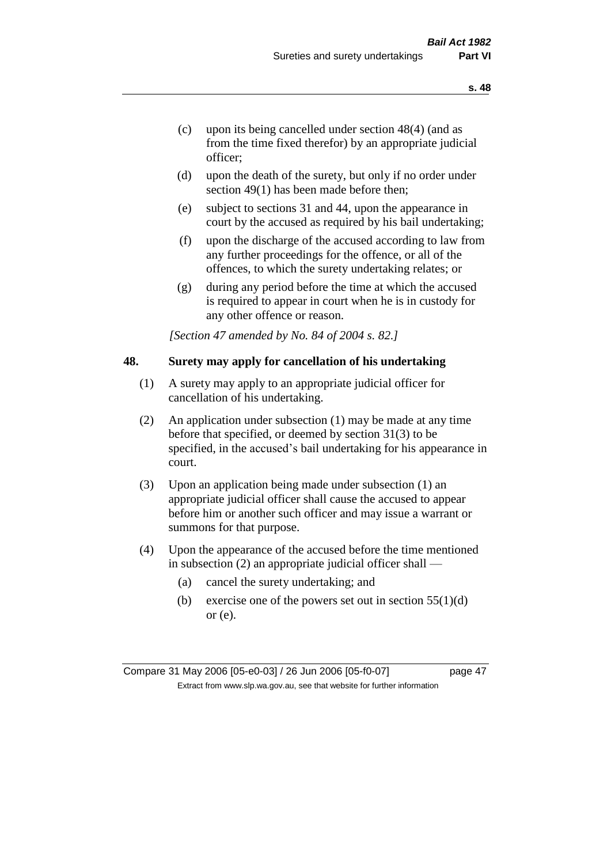- (c) upon its being cancelled under section 48(4) (and as from the time fixed therefor) by an appropriate judicial officer;
- (d) upon the death of the surety, but only if no order under section 49(1) has been made before then;
- (e) subject to sections 31 and 44, upon the appearance in court by the accused as required by his bail undertaking;
- (f) upon the discharge of the accused according to law from any further proceedings for the offence, or all of the offences, to which the surety undertaking relates; or
- (g) during any period before the time at which the accused is required to appear in court when he is in custody for any other offence or reason.

*[Section 47 amended by No. 84 of 2004 s. 82.]* 

#### **48. Surety may apply for cancellation of his undertaking**

- (1) A surety may apply to an appropriate judicial officer for cancellation of his undertaking.
- (2) An application under subsection (1) may be made at any time before that specified, or deemed by section 31(3) to be specified, in the accused's bail undertaking for his appearance in court.
- (3) Upon an application being made under subsection (1) an appropriate judicial officer shall cause the accused to appear before him or another such officer and may issue a warrant or summons for that purpose.
- (4) Upon the appearance of the accused before the time mentioned in subsection (2) an appropriate judicial officer shall —
	- (a) cancel the surety undertaking; and
	- (b) exercise one of the powers set out in section  $55(1)(d)$ or (e).

Compare 31 May 2006 [05-e0-03] / 26 Jun 2006 [05-f0-07] page 47 Extract from www.slp.wa.gov.au, see that website for further information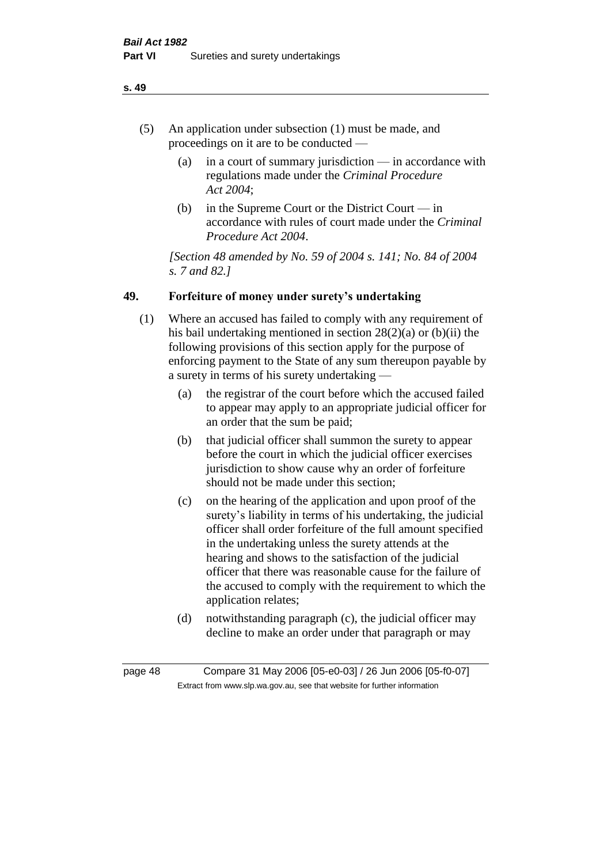- (5) An application under subsection (1) must be made, and proceedings on it are to be conducted —
	- (a) in a court of summary jurisdiction in accordance with regulations made under the *Criminal Procedure Act 2004*;
	- (b) in the Supreme Court or the District Court  $-\text{in}$ accordance with rules of court made under the *Criminal Procedure Act 2004*.

*[Section 48 amended by No. 59 of 2004 s. 141; No. 84 of 2004 s. 7 and 82.]* 

## **49. Forfeiture of money under surety's undertaking**

- (1) Where an accused has failed to comply with any requirement of his bail undertaking mentioned in section 28(2)(a) or (b)(ii) the following provisions of this section apply for the purpose of enforcing payment to the State of any sum thereupon payable by a surety in terms of his surety undertaking —
	- (a) the registrar of the court before which the accused failed to appear may apply to an appropriate judicial officer for an order that the sum be paid;
	- (b) that judicial officer shall summon the surety to appear before the court in which the judicial officer exercises jurisdiction to show cause why an order of forfeiture should not be made under this section;
	- (c) on the hearing of the application and upon proof of the surety's liability in terms of his undertaking, the judicial officer shall order forfeiture of the full amount specified in the undertaking unless the surety attends at the hearing and shows to the satisfaction of the judicial officer that there was reasonable cause for the failure of the accused to comply with the requirement to which the application relates;
	- (d) notwithstanding paragraph (c), the judicial officer may decline to make an order under that paragraph or may

page 48 Compare 31 May 2006 [05-e0-03] / 26 Jun 2006 [05-f0-07] Extract from www.slp.wa.gov.au, see that website for further information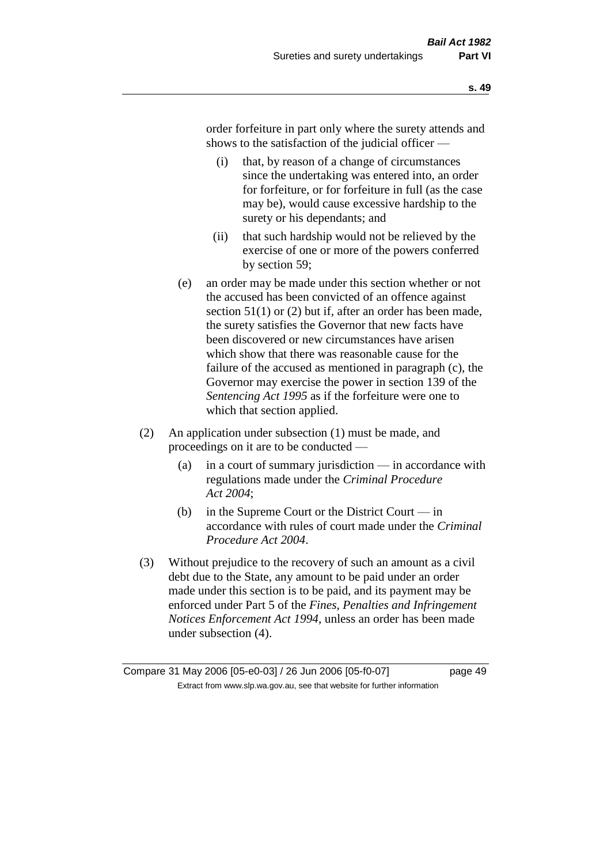order forfeiture in part only where the surety attends and shows to the satisfaction of the judicial officer —

- (i) that, by reason of a change of circumstances since the undertaking was entered into, an order for forfeiture, or for forfeiture in full (as the case may be), would cause excessive hardship to the surety or his dependants; and
- (ii) that such hardship would not be relieved by the exercise of one or more of the powers conferred by section 59;
- (e) an order may be made under this section whether or not the accused has been convicted of an offence against section 51(1) or (2) but if, after an order has been made, the surety satisfies the Governor that new facts have been discovered or new circumstances have arisen which show that there was reasonable cause for the failure of the accused as mentioned in paragraph (c), the Governor may exercise the power in section 139 of the *Sentencing Act 1995* as if the forfeiture were one to which that section applied.
- (2) An application under subsection (1) must be made, and proceedings on it are to be conducted —
	- (a) in a court of summary jurisdiction in accordance with regulations made under the *Criminal Procedure Act 2004*;
	- (b) in the Supreme Court or the District Court in accordance with rules of court made under the *Criminal Procedure Act 2004*.
- (3) Without prejudice to the recovery of such an amount as a civil debt due to the State, any amount to be paid under an order made under this section is to be paid, and its payment may be enforced under Part 5 of the *Fines, Penalties and Infringement Notices Enforcement Act 1994*, unless an order has been made under subsection (4).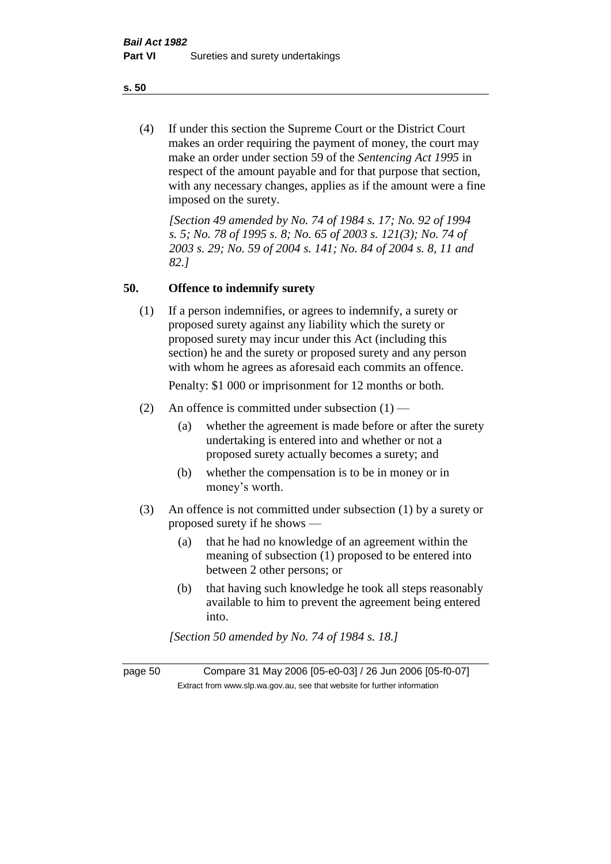(4) If under this section the Supreme Court or the District Court makes an order requiring the payment of money, the court may make an order under section 59 of the *Sentencing Act 1995* in respect of the amount payable and for that purpose that section, with any necessary changes, applies as if the amount were a fine imposed on the surety.

*[Section 49 amended by No. 74 of 1984 s. 17; No. 92 of 1994 s. 5; No. 78 of 1995 s. 8; No. 65 of 2003 s. 121(3); No. 74 of 2003 s. 29; No. 59 of 2004 s. 141; No. 84 of 2004 s. 8, 11 and 82.]* 

#### **50. Offence to indemnify surety**

(1) If a person indemnifies, or agrees to indemnify, a surety or proposed surety against any liability which the surety or proposed surety may incur under this Act (including this section) he and the surety or proposed surety and any person with whom he agrees as aforesaid each commits an offence.

Penalty: \$1 000 or imprisonment for 12 months or both.

- (2) An offence is committed under subsection  $(1)$ 
	- (a) whether the agreement is made before or after the surety undertaking is entered into and whether or not a proposed surety actually becomes a surety; and
	- (b) whether the compensation is to be in money or in money's worth.
- (3) An offence is not committed under subsection (1) by a surety or proposed surety if he shows —
	- (a) that he had no knowledge of an agreement within the meaning of subsection (1) proposed to be entered into between 2 other persons; or
	- (b) that having such knowledge he took all steps reasonably available to him to prevent the agreement being entered into.

*[Section 50 amended by No. 74 of 1984 s. 18.]* 

page 50 Compare 31 May 2006 [05-e0-03] / 26 Jun 2006 [05-f0-07] Extract from www.slp.wa.gov.au, see that website for further information

**s. 50**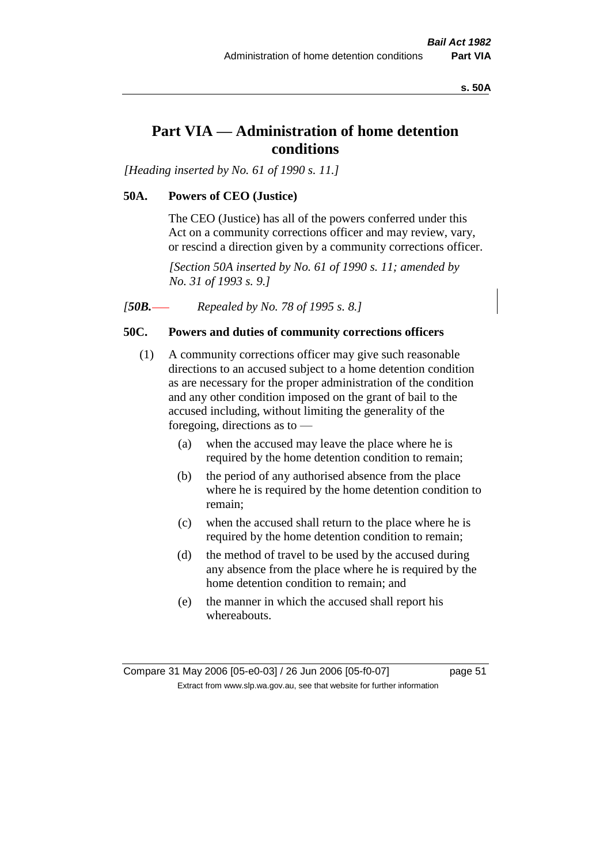**s. 50A**

# **Part VIA — Administration of home detention conditions**

*[Heading inserted by No. 61 of 1990 s. 11.]* 

#### **50A. Powers of CEO (Justice)**

The CEO (Justice) has all of the powers conferred under this Act on a community corrections officer and may review, vary, or rescind a direction given by a community corrections officer.

*[Section 50A inserted by No. 61 of 1990 s. 11; amended by No. 31 of 1993 s. 9.]* 

*[50B. Repealed by No. 78 of 1995 s. 8.]* 

## **50C. Powers and duties of community corrections officers**

- (1) A community corrections officer may give such reasonable directions to an accused subject to a home detention condition as are necessary for the proper administration of the condition and any other condition imposed on the grant of bail to the accused including, without limiting the generality of the foregoing, directions as to —
	- (a) when the accused may leave the place where he is required by the home detention condition to remain;
	- (b) the period of any authorised absence from the place where he is required by the home detention condition to remain;
	- (c) when the accused shall return to the place where he is required by the home detention condition to remain;
	- (d) the method of travel to be used by the accused during any absence from the place where he is required by the home detention condition to remain; and
	- (e) the manner in which the accused shall report his whereabouts.

Compare 31 May 2006 [05-e0-03] / 26 Jun 2006 [05-f0-07] page 51 Extract from www.slp.wa.gov.au, see that website for further information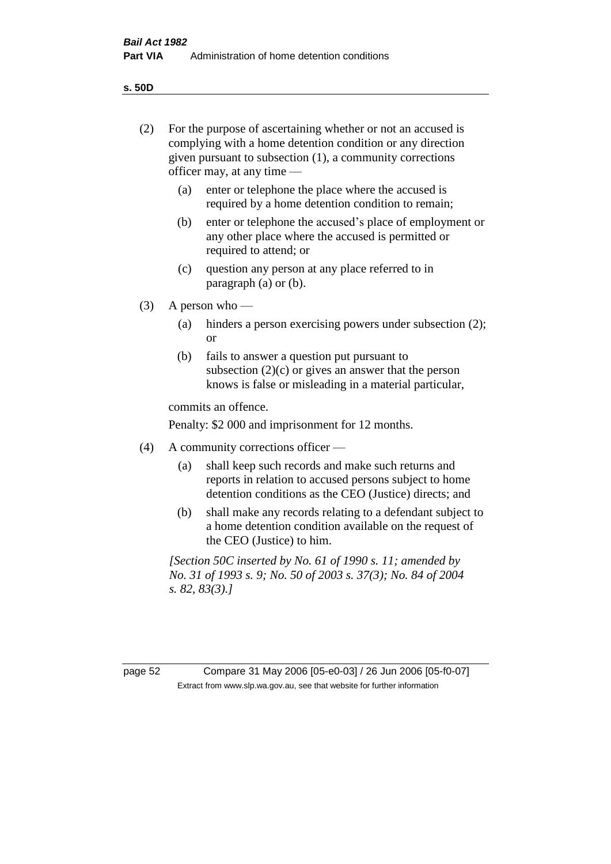**s. 50D**

| (2)     | For the purpose of ascertaining whether or not an accused is<br>complying with a home detention condition or any direction<br>given pursuant to subsection (1), a community corrections<br>officer may, at any time $-$ |                                                                                                                                                                       |  |  |
|---------|-------------------------------------------------------------------------------------------------------------------------------------------------------------------------------------------------------------------------|-----------------------------------------------------------------------------------------------------------------------------------------------------------------------|--|--|
|         | (a)                                                                                                                                                                                                                     | enter or telephone the place where the accused is<br>required by a home detention condition to remain;                                                                |  |  |
|         | (b)                                                                                                                                                                                                                     | enter or telephone the accused's place of employment or<br>any other place where the accused is permitted or<br>required to attend; or                                |  |  |
|         | (c)                                                                                                                                                                                                                     | question any person at any place referred to in<br>paragraph $(a)$ or $(b)$ .                                                                                         |  |  |
| (3)     | A person who $-$                                                                                                                                                                                                        |                                                                                                                                                                       |  |  |
|         | (a)                                                                                                                                                                                                                     | hinders a person exercising powers under subsection (2);<br><sub>or</sub>                                                                                             |  |  |
|         | (b)                                                                                                                                                                                                                     | fails to answer a question put pursuant to<br>subsection $(2)(c)$ or gives an answer that the person<br>knows is false or misleading in a material particular,        |  |  |
|         | commits an offence.                                                                                                                                                                                                     |                                                                                                                                                                       |  |  |
|         | Penalty: \$2 000 and imprisonment for 12 months.                                                                                                                                                                        |                                                                                                                                                                       |  |  |
| (4)     | A community corrections officer —                                                                                                                                                                                       |                                                                                                                                                                       |  |  |
|         | (a)                                                                                                                                                                                                                     | shall keep such records and make such returns and<br>reports in relation to accused persons subject to home<br>detention conditions as the CEO (Justice) directs; and |  |  |
|         | (b)                                                                                                                                                                                                                     | shall make any records relating to a defendant subject to<br>a home detention condition available on the request of<br>the CEO (Justice) to him.                      |  |  |
|         | [Section 50C inserted by No. 61 of 1990 s. 11; amended by<br>No. 31 of 1993 s. 9; No. 50 of 2003 s. 37(3); No. 84 of 2004<br>s. 82, 83(3).                                                                              |                                                                                                                                                                       |  |  |
|         |                                                                                                                                                                                                                         |                                                                                                                                                                       |  |  |
| page 52 |                                                                                                                                                                                                                         | Compare 31 May 2006 [05-e0-03] / 26 Jun 2006 [05-f0-07]                                                                                                               |  |  |
|         |                                                                                                                                                                                                                         | Extract from www.slp.wa.gov.au, see that website for further information                                                                                              |  |  |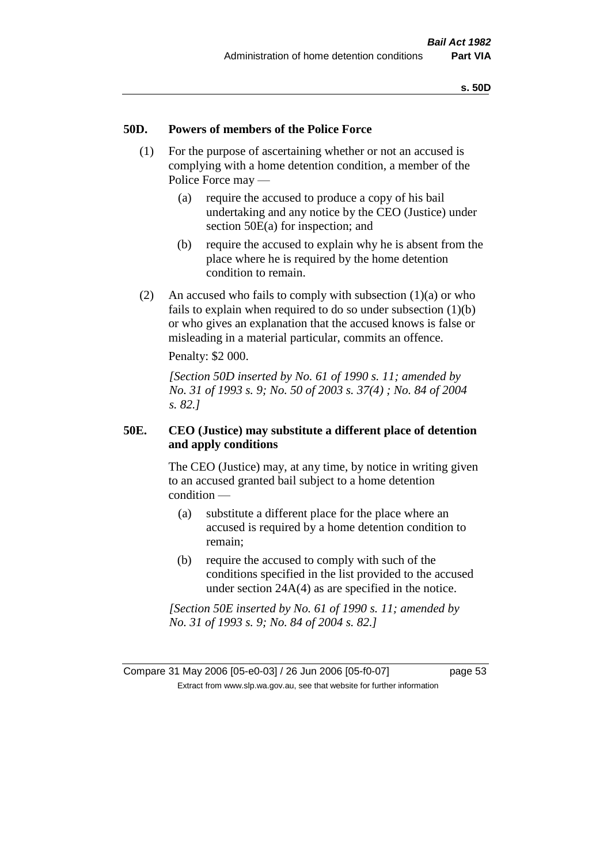#### **50D. Powers of members of the Police Force**

- (1) For the purpose of ascertaining whether or not an accused is complying with a home detention condition, a member of the Police Force may —
	- (a) require the accused to produce a copy of his bail undertaking and any notice by the CEO (Justice) under section 50E(a) for inspection; and
	- (b) require the accused to explain why he is absent from the place where he is required by the home detention condition to remain.
- (2) An accused who fails to comply with subsection  $(1)(a)$  or who fails to explain when required to do so under subsection (1)(b) or who gives an explanation that the accused knows is false or misleading in a material particular, commits an offence.

Penalty: \$2 000.

*[Section 50D inserted by No. 61 of 1990 s. 11; amended by No. 31 of 1993 s. 9; No. 50 of 2003 s. 37(4) ; No. 84 of 2004 s. 82.]* 

#### **50E. CEO (Justice) may substitute a different place of detention and apply conditions**

The CEO (Justice) may, at any time, by notice in writing given to an accused granted bail subject to a home detention condition —

- (a) substitute a different place for the place where an accused is required by a home detention condition to remain;
- (b) require the accused to comply with such of the conditions specified in the list provided to the accused under section 24A(4) as are specified in the notice.

*[Section 50E inserted by No. 61 of 1990 s. 11; amended by No. 31 of 1993 s. 9; No. 84 of 2004 s. 82.]* 

Compare 31 May 2006 [05-e0-03] / 26 Jun 2006 [05-f0-07] page 53 Extract from www.slp.wa.gov.au, see that website for further information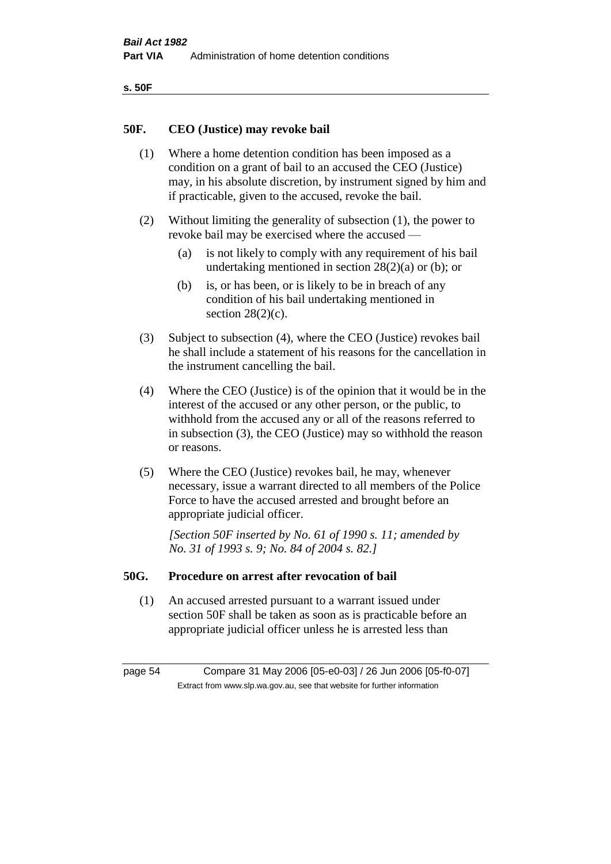| ۰.<br>×<br>-<br>۰.<br>× |  |
|-------------------------|--|
|-------------------------|--|

#### **50F. CEO (Justice) may revoke bail**

- (1) Where a home detention condition has been imposed as a condition on a grant of bail to an accused the CEO (Justice) may, in his absolute discretion, by instrument signed by him and if practicable, given to the accused, revoke the bail.
- (2) Without limiting the generality of subsection (1), the power to revoke bail may be exercised where the accused —
	- (a) is not likely to comply with any requirement of his bail undertaking mentioned in section 28(2)(a) or (b); or
	- (b) is, or has been, or is likely to be in breach of any condition of his bail undertaking mentioned in section  $28(2)(c)$ .
- (3) Subject to subsection (4), where the CEO (Justice) revokes bail he shall include a statement of his reasons for the cancellation in the instrument cancelling the bail.
- (4) Where the CEO (Justice) is of the opinion that it would be in the interest of the accused or any other person, or the public, to withhold from the accused any or all of the reasons referred to in subsection (3), the CEO (Justice) may so withhold the reason or reasons.
- (5) Where the CEO (Justice) revokes bail, he may, whenever necessary, issue a warrant directed to all members of the Police Force to have the accused arrested and brought before an appropriate judicial officer.

*[Section 50F inserted by No. 61 of 1990 s. 11; amended by No. 31 of 1993 s. 9; No. 84 of 2004 s. 82.]* 

#### **50G. Procedure on arrest after revocation of bail**

(1) An accused arrested pursuant to a warrant issued under section 50F shall be taken as soon as is practicable before an appropriate judicial officer unless he is arrested less than

page 54 Compare 31 May 2006 [05-e0-03] / 26 Jun 2006 [05-f0-07] Extract from www.slp.wa.gov.au, see that website for further information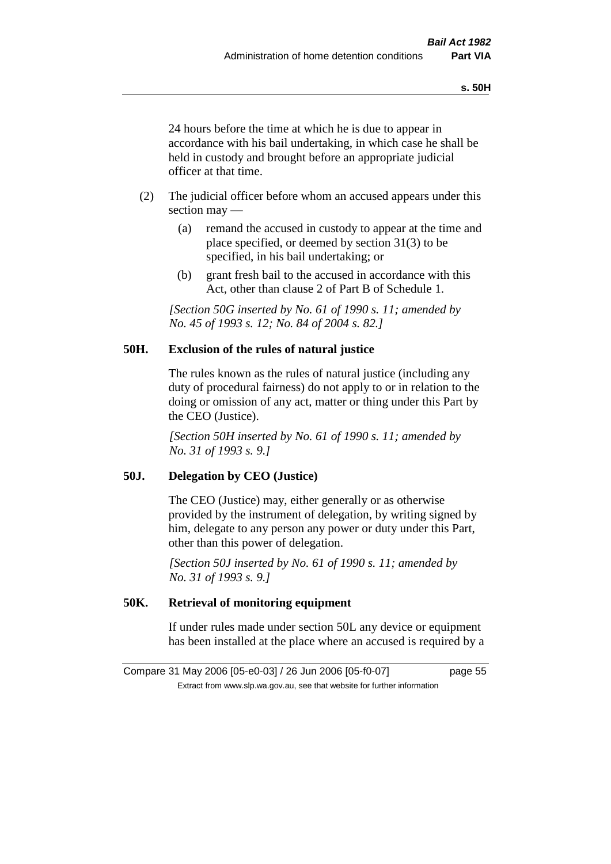24 hours before the time at which he is due to appear in accordance with his bail undertaking, in which case he shall be held in custody and brought before an appropriate judicial officer at that time.

- (2) The judicial officer before whom an accused appears under this section may —
	- (a) remand the accused in custody to appear at the time and place specified, or deemed by section 31(3) to be specified, in his bail undertaking; or
	- (b) grant fresh bail to the accused in accordance with this Act, other than clause 2 of Part B of Schedule 1.

*[Section 50G inserted by No. 61 of 1990 s. 11; amended by No. 45 of 1993 s. 12; No. 84 of 2004 s. 82.]* 

#### **50H. Exclusion of the rules of natural justice**

The rules known as the rules of natural justice (including any duty of procedural fairness) do not apply to or in relation to the doing or omission of any act, matter or thing under this Part by the CEO (Justice).

*[Section 50H inserted by No. 61 of 1990 s. 11; amended by No. 31 of 1993 s. 9.]* 

## **50J. Delegation by CEO (Justice)**

The CEO (Justice) may, either generally or as otherwise provided by the instrument of delegation, by writing signed by him, delegate to any person any power or duty under this Part, other than this power of delegation.

*[Section 50J inserted by No. 61 of 1990 s. 11; amended by No. 31 of 1993 s. 9.]* 

## **50K. Retrieval of monitoring equipment**

If under rules made under section 50L any device or equipment has been installed at the place where an accused is required by a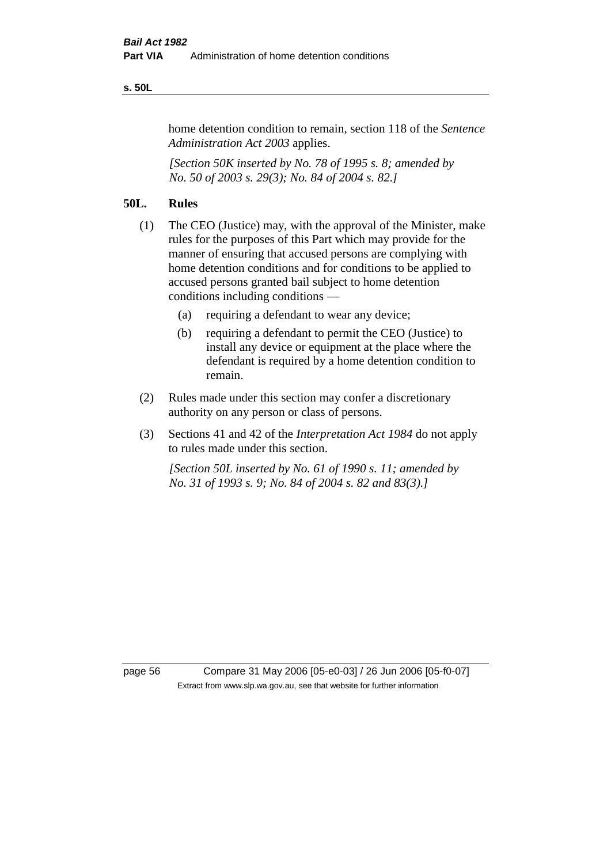#### **s. 50L**

home detention condition to remain, section 118 of the *Sentence Administration Act 2003* applies.

*[Section 50K inserted by No. 78 of 1995 s. 8; amended by No. 50 of 2003 s. 29(3); No. 84 of 2004 s. 82.]* 

## **50L. Rules**

- (1) The CEO (Justice) may, with the approval of the Minister, make rules for the purposes of this Part which may provide for the manner of ensuring that accused persons are complying with home detention conditions and for conditions to be applied to accused persons granted bail subject to home detention conditions including conditions —
	- (a) requiring a defendant to wear any device;
	- (b) requiring a defendant to permit the CEO (Justice) to install any device or equipment at the place where the defendant is required by a home detention condition to remain.
- (2) Rules made under this section may confer a discretionary authority on any person or class of persons.
- (3) Sections 41 and 42 of the *Interpretation Act 1984* do not apply to rules made under this section.

*[Section 50L inserted by No. 61 of 1990 s. 11; amended by No. 31 of 1993 s. 9; No. 84 of 2004 s. 82 and 83(3).]* 

page 56 Compare 31 May 2006 [05-e0-03] / 26 Jun 2006 [05-f0-07] Extract from www.slp.wa.gov.au, see that website for further information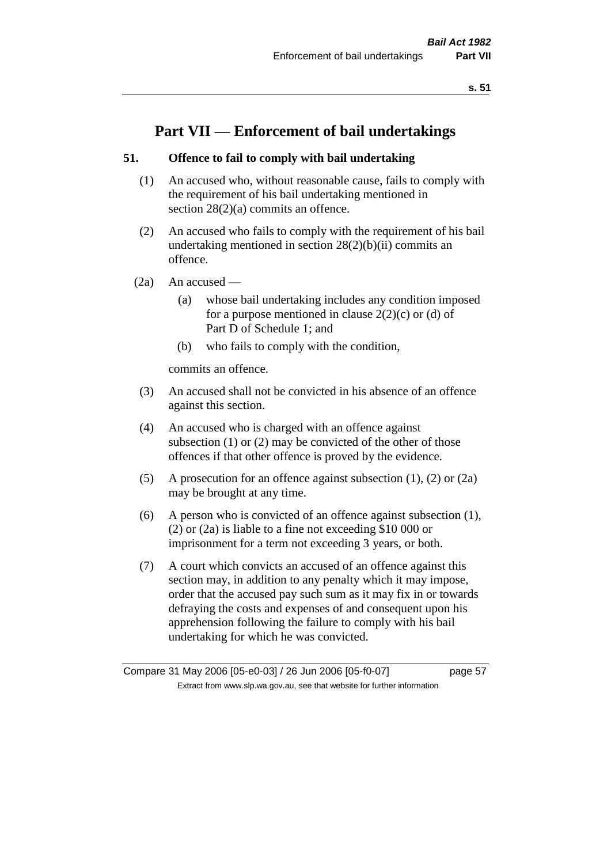# **Part VII — Enforcement of bail undertakings**

## **51. Offence to fail to comply with bail undertaking**

- (1) An accused who, without reasonable cause, fails to comply with the requirement of his bail undertaking mentioned in section 28(2)(a) commits an offence.
- (2) An accused who fails to comply with the requirement of his bail undertaking mentioned in section  $28(2)(b)(ii)$  commits an offence.
- $(2a)$  An accused
	- (a) whose bail undertaking includes any condition imposed for a purpose mentioned in clause  $2(2)(c)$  or (d) of Part D of Schedule 1; and
	- (b) who fails to comply with the condition,

commits an offence.

- (3) An accused shall not be convicted in his absence of an offence against this section.
- (4) An accused who is charged with an offence against subsection (1) or (2) may be convicted of the other of those offences if that other offence is proved by the evidence.
- (5) A prosecution for an offence against subsection (1), (2) or (2a) may be brought at any time.
- (6) A person who is convicted of an offence against subsection (1), (2) or (2a) is liable to a fine not exceeding \$10 000 or imprisonment for a term not exceeding 3 years, or both.
- (7) A court which convicts an accused of an offence against this section may, in addition to any penalty which it may impose, order that the accused pay such sum as it may fix in or towards defraying the costs and expenses of and consequent upon his apprehension following the failure to comply with his bail undertaking for which he was convicted.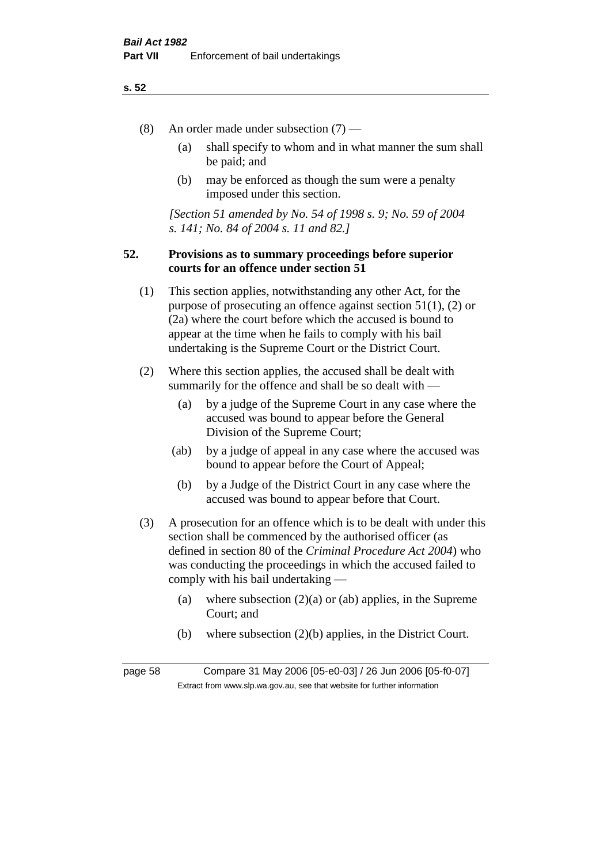- (8) An order made under subsection (7)
	- (a) shall specify to whom and in what manner the sum shall be paid; and
	- (b) may be enforced as though the sum were a penalty imposed under this section.

*[Section 51 amended by No. 54 of 1998 s. 9; No. 59 of 2004 s. 141; No. 84 of 2004 s. 11 and 82.]*

#### **52. Provisions as to summary proceedings before superior courts for an offence under section 51**

- (1) This section applies, notwithstanding any other Act, for the purpose of prosecuting an offence against section 51(1), (2) or (2a) where the court before which the accused is bound to appear at the time when he fails to comply with his bail undertaking is the Supreme Court or the District Court.
- (2) Where this section applies, the accused shall be dealt with summarily for the offence and shall be so dealt with —
	- (a) by a judge of the Supreme Court in any case where the accused was bound to appear before the General Division of the Supreme Court;
	- (ab) by a judge of appeal in any case where the accused was bound to appear before the Court of Appeal;
	- (b) by a Judge of the District Court in any case where the accused was bound to appear before that Court.
- (3) A prosecution for an offence which is to be dealt with under this section shall be commenced by the authorised officer (as defined in section 80 of the *Criminal Procedure Act 2004*) who was conducting the proceedings in which the accused failed to comply with his bail undertaking —
	- (a) where subsection  $(2)(a)$  or (ab) applies, in the Supreme Court; and
	- (b) where subsection (2)(b) applies, in the District Court.

page 58 Compare 31 May 2006 [05-e0-03] / 26 Jun 2006 [05-f0-07] Extract from www.slp.wa.gov.au, see that website for further information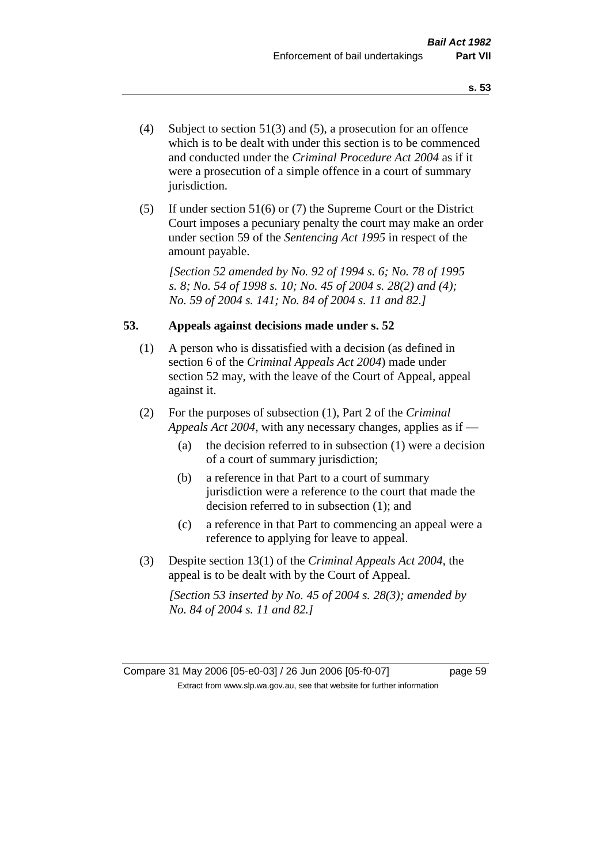- (4) Subject to section 51(3) and (5), a prosecution for an offence which is to be dealt with under this section is to be commenced and conducted under the *Criminal Procedure Act 2004* as if it were a prosecution of a simple offence in a court of summary jurisdiction.
- (5) If under section 51(6) or (7) the Supreme Court or the District Court imposes a pecuniary penalty the court may make an order under section 59 of the *Sentencing Act 1995* in respect of the amount payable.

*[Section 52 amended by No. 92 of 1994 s. 6; No. 78 of 1995 s. 8; No. 54 of 1998 s. 10; No. 45 of 2004 s. 28(2) and (4); No. 59 of 2004 s. 141; No. 84 of 2004 s. 11 and 82.]* 

#### **53. Appeals against decisions made under s. 52**

- (1) A person who is dissatisfied with a decision (as defined in section 6 of the *Criminal Appeals Act 2004*) made under section 52 may, with the leave of the Court of Appeal, appeal against it.
- (2) For the purposes of subsection (1), Part 2 of the *Criminal Appeals Act 2004*, with any necessary changes, applies as if —
	- (a) the decision referred to in subsection (1) were a decision of a court of summary jurisdiction;
	- (b) a reference in that Part to a court of summary jurisdiction were a reference to the court that made the decision referred to in subsection (1); and
	- (c) a reference in that Part to commencing an appeal were a reference to applying for leave to appeal.
- (3) Despite section 13(1) of the *Criminal Appeals Act 2004*, the appeal is to be dealt with by the Court of Appeal.

*[Section 53 inserted by No. 45 of 2004 s. 28(3); amended by No. 84 of 2004 s. 11 and 82.]*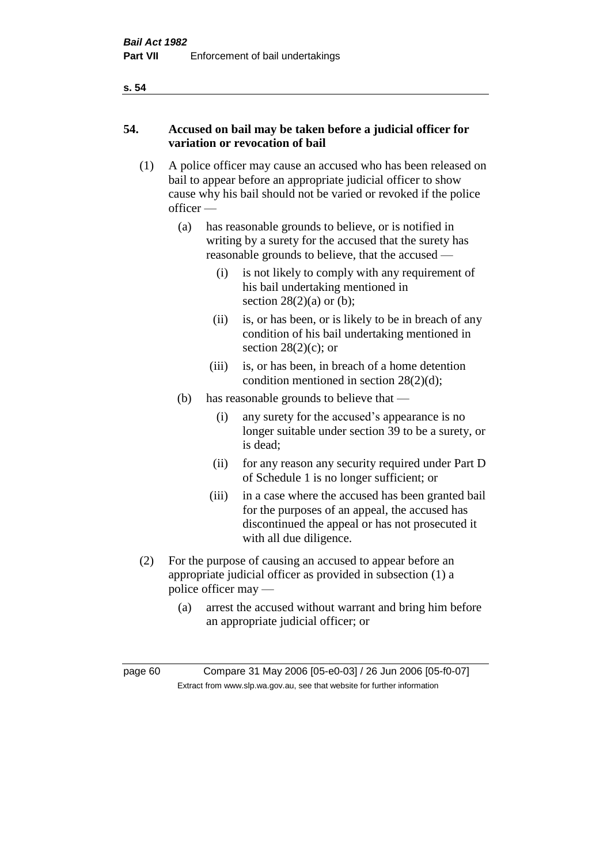## **54. Accused on bail may be taken before a judicial officer for variation or revocation of bail**

- (1) A police officer may cause an accused who has been released on bail to appear before an appropriate judicial officer to show cause why his bail should not be varied or revoked if the police officer —
	- (a) has reasonable grounds to believe, or is notified in writing by a surety for the accused that the surety has reasonable grounds to believe, that the accused —
		- (i) is not likely to comply with any requirement of his bail undertaking mentioned in section  $28(2)(a)$  or (b);
		- (ii) is, or has been, or is likely to be in breach of any condition of his bail undertaking mentioned in section  $28(2)(c)$ ; or
		- (iii) is, or has been, in breach of a home detention condition mentioned in section 28(2)(d);
	- (b) has reasonable grounds to believe that
		- (i) any surety for the accused's appearance is no longer suitable under section 39 to be a surety, or is dead;
		- (ii) for any reason any security required under Part D of Schedule 1 is no longer sufficient; or
		- (iii) in a case where the accused has been granted bail for the purposes of an appeal, the accused has discontinued the appeal or has not prosecuted it with all due diligence.
- (2) For the purpose of causing an accused to appear before an appropriate judicial officer as provided in subsection (1) a police officer may —
	- (a) arrest the accused without warrant and bring him before an appropriate judicial officer; or

page 60 Compare 31 May 2006 [05-e0-03] / 26 Jun 2006 [05-f0-07] Extract from www.slp.wa.gov.au, see that website for further information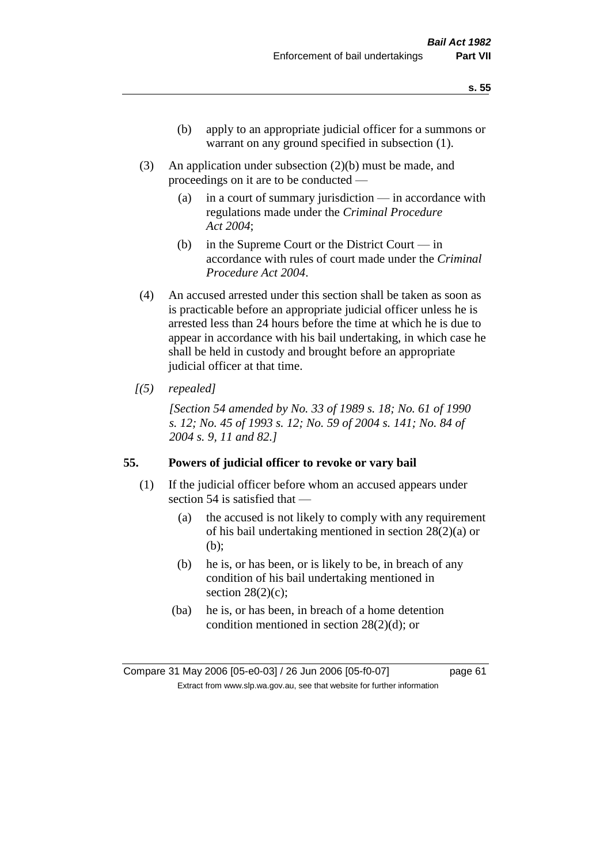- (b) apply to an appropriate judicial officer for a summons or warrant on any ground specified in subsection (1).
- (3) An application under subsection (2)(b) must be made, and proceedings on it are to be conducted —
	- (a) in a court of summary jurisdiction in accordance with regulations made under the *Criminal Procedure Act 2004*;
	- (b) in the Supreme Court or the District Court  $-\text{in}$ accordance with rules of court made under the *Criminal Procedure Act 2004*.
- (4) An accused arrested under this section shall be taken as soon as is practicable before an appropriate judicial officer unless he is arrested less than 24 hours before the time at which he is due to appear in accordance with his bail undertaking, in which case he shall be held in custody and brought before an appropriate judicial officer at that time.
- *[(5) repealed]*

*[Section 54 amended by No. 33 of 1989 s. 18; No. 61 of 1990 s. 12; No. 45 of 1993 s. 12; No. 59 of 2004 s. 141; No. 84 of 2004 s. 9, 11 and 82.]* 

#### **55. Powers of judicial officer to revoke or vary bail**

- (1) If the judicial officer before whom an accused appears under section 54 is satisfied that —
	- (a) the accused is not likely to comply with any requirement of his bail undertaking mentioned in section 28(2)(a) or (b);
	- (b) he is, or has been, or is likely to be, in breach of any condition of his bail undertaking mentioned in section  $28(2)(c)$ ;
	- (ba) he is, or has been, in breach of a home detention condition mentioned in section 28(2)(d); or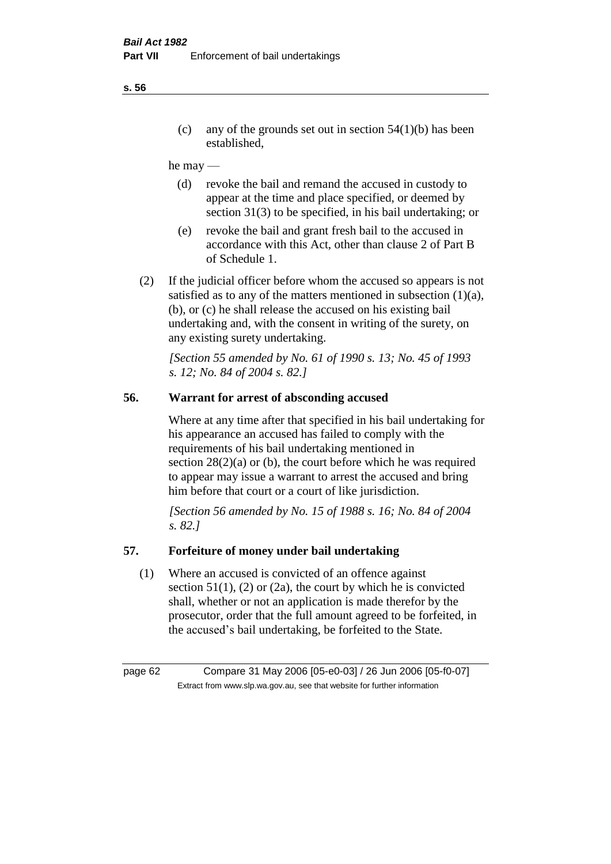(c) any of the grounds set out in section  $54(1)(b)$  has been established,

#### he may —

- (d) revoke the bail and remand the accused in custody to appear at the time and place specified, or deemed by section 31(3) to be specified, in his bail undertaking; or
- (e) revoke the bail and grant fresh bail to the accused in accordance with this Act, other than clause 2 of Part B of Schedule 1.
- (2) If the judicial officer before whom the accused so appears is not satisfied as to any of the matters mentioned in subsection (1)(a), (b), or (c) he shall release the accused on his existing bail undertaking and, with the consent in writing of the surety, on any existing surety undertaking.

*[Section 55 amended by No. 61 of 1990 s. 13; No. 45 of 1993 s. 12; No. 84 of 2004 s. 82.]* 

## **56. Warrant for arrest of absconding accused**

Where at any time after that specified in his bail undertaking for his appearance an accused has failed to comply with the requirements of his bail undertaking mentioned in section  $28(2)(a)$  or (b), the court before which he was required to appear may issue a warrant to arrest the accused and bring him before that court or a court of like jurisdiction.

*[Section 56 amended by No. 15 of 1988 s. 16; No. 84 of 2004 s. 82.]* 

#### **57. Forfeiture of money under bail undertaking**

(1) Where an accused is convicted of an offence against section  $51(1)$ , (2) or (2a), the court by which he is convicted shall, whether or not an application is made therefor by the prosecutor, order that the full amount agreed to be forfeited, in the accused's bail undertaking, be forfeited to the State.

page 62 Compare 31 May 2006 [05-e0-03] / 26 Jun 2006 [05-f0-07] Extract from www.slp.wa.gov.au, see that website for further information

#### **s. 56**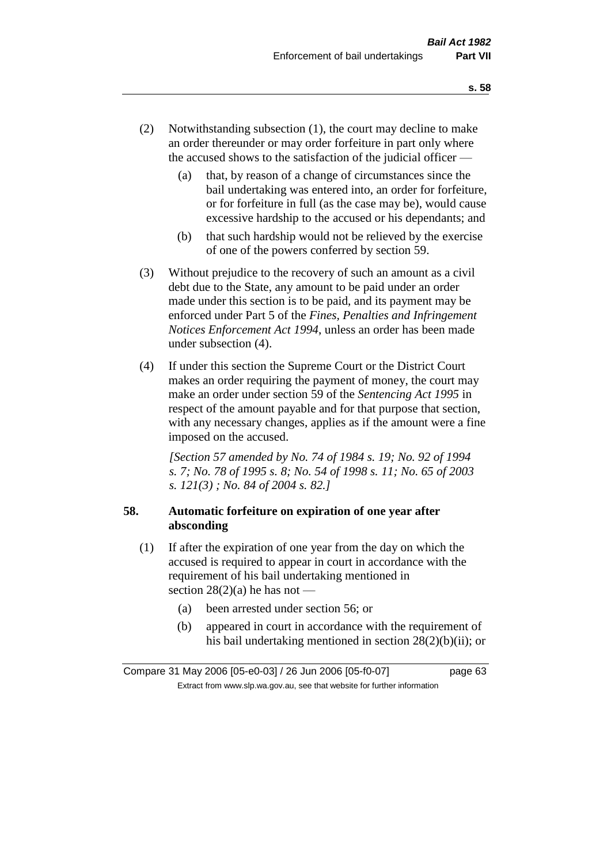- (2) Notwithstanding subsection (1), the court may decline to make an order thereunder or may order forfeiture in part only where the accused shows to the satisfaction of the judicial officer —
	- (a) that, by reason of a change of circumstances since the bail undertaking was entered into, an order for forfeiture, or for forfeiture in full (as the case may be), would cause excessive hardship to the accused or his dependants; and
	- (b) that such hardship would not be relieved by the exercise of one of the powers conferred by section 59.
- (3) Without prejudice to the recovery of such an amount as a civil debt due to the State, any amount to be paid under an order made under this section is to be paid, and its payment may be enforced under Part 5 of the *Fines, Penalties and Infringement Notices Enforcement Act 1994*, unless an order has been made under subsection (4).
- (4) If under this section the Supreme Court or the District Court makes an order requiring the payment of money, the court may make an order under section 59 of the *Sentencing Act 1995* in respect of the amount payable and for that purpose that section, with any necessary changes, applies as if the amount were a fine imposed on the accused.

*[Section 57 amended by No. 74 of 1984 s. 19; No. 92 of 1994 s. 7; No. 78 of 1995 s. 8; No. 54 of 1998 s. 11; No. 65 of 2003 s. 121(3) ; No. 84 of 2004 s. 82.]* 

## **58. Automatic forfeiture on expiration of one year after absconding**

- (1) If after the expiration of one year from the day on which the accused is required to appear in court in accordance with the requirement of his bail undertaking mentioned in section  $28(2)(a)$  he has not —
	- (a) been arrested under section 56; or
	- (b) appeared in court in accordance with the requirement of his bail undertaking mentioned in section 28(2)(b)(ii); or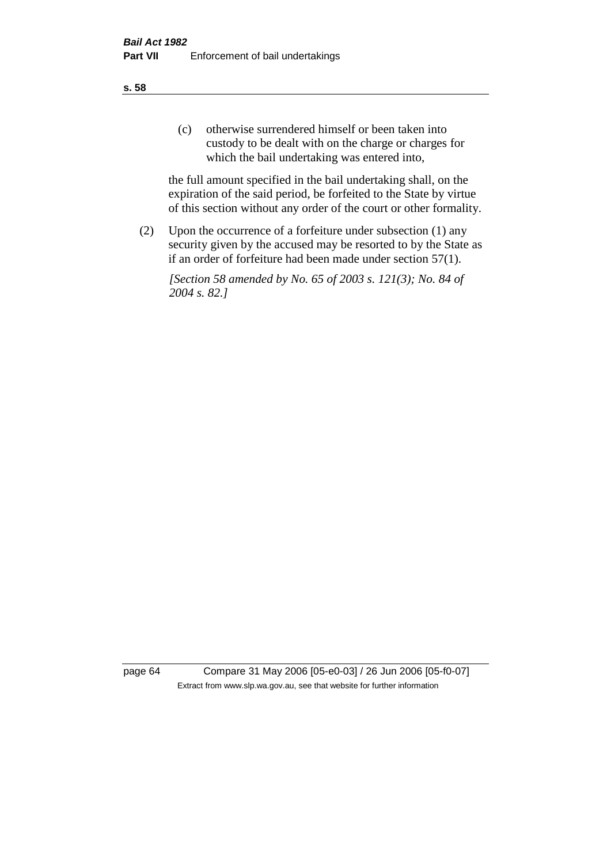(c) otherwise surrendered himself or been taken into custody to be dealt with on the charge or charges for which the bail undertaking was entered into,

the full amount specified in the bail undertaking shall, on the expiration of the said period, be forfeited to the State by virtue of this section without any order of the court or other formality.

(2) Upon the occurrence of a forfeiture under subsection (1) any security given by the accused may be resorted to by the State as if an order of forfeiture had been made under section 57(1).

*[Section 58 amended by No. 65 of 2003 s. 121(3); No. 84 of 2004 s. 82.]*

page 64 Compare 31 May 2006 [05-e0-03] / 26 Jun 2006 [05-f0-07] Extract from www.slp.wa.gov.au, see that website for further information

**s. 58**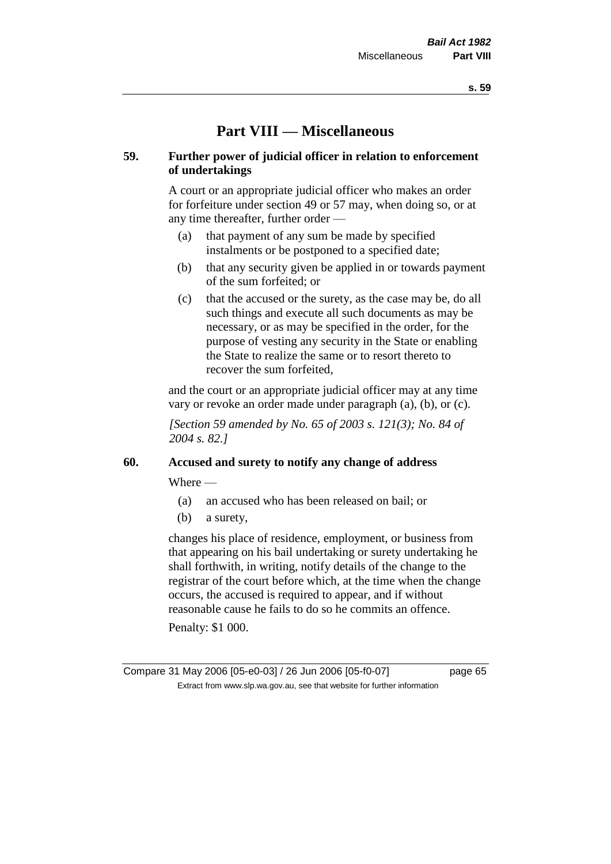# **Part VIII — Miscellaneous**

### **59. Further power of judicial officer in relation to enforcement of undertakings**

A court or an appropriate judicial officer who makes an order for forfeiture under section 49 or 57 may, when doing so, or at any time thereafter, further order —

- (a) that payment of any sum be made by specified instalments or be postponed to a specified date;
- (b) that any security given be applied in or towards payment of the sum forfeited; or
- (c) that the accused or the surety, as the case may be, do all such things and execute all such documents as may be necessary, or as may be specified in the order, for the purpose of vesting any security in the State or enabling the State to realize the same or to resort thereto to recover the sum forfeited,

and the court or an appropriate judicial officer may at any time vary or revoke an order made under paragraph (a), (b), or (c).

*[Section 59 amended by No. 65 of 2003 s. 121(3); No. 84 of 2004 s. 82.]*

#### **60. Accused and surety to notify any change of address**

Where —

- (a) an accused who has been released on bail; or
- (b) a surety,

changes his place of residence, employment, or business from that appearing on his bail undertaking or surety undertaking he shall forthwith, in writing, notify details of the change to the registrar of the court before which, at the time when the change occurs, the accused is required to appear, and if without reasonable cause he fails to do so he commits an offence.

Penalty: \$1 000.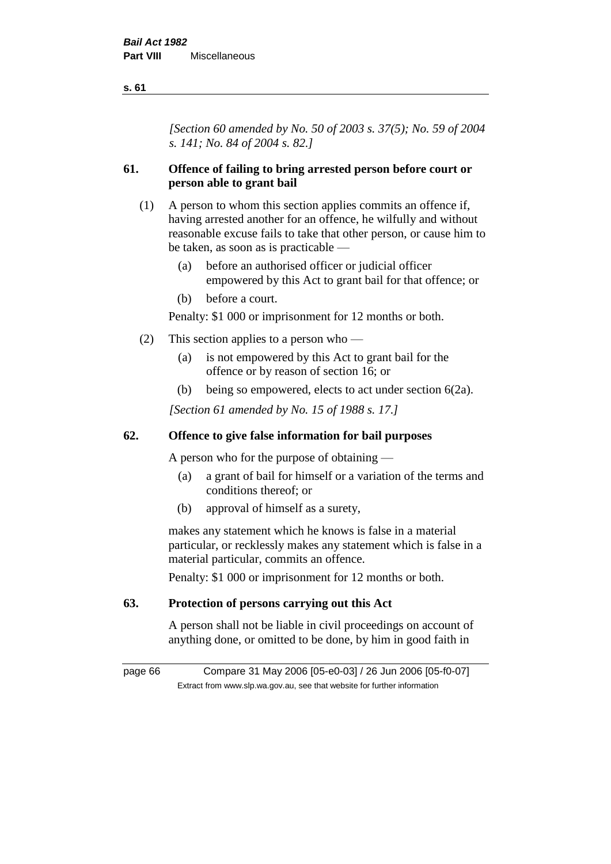*[Section 60 amended by No. 50 of 2003 s. 37(5); No. 59 of 2004 s. 141; No. 84 of 2004 s. 82.]*

## **61. Offence of failing to bring arrested person before court or person able to grant bail**

- (1) A person to whom this section applies commits an offence if, having arrested another for an offence, he wilfully and without reasonable excuse fails to take that other person, or cause him to be taken, as soon as is practicable —
	- (a) before an authorised officer or judicial officer empowered by this Act to grant bail for that offence; or
	- (b) before a court.

Penalty: \$1 000 or imprisonment for 12 months or both.

- (2) This section applies to a person who
	- (a) is not empowered by this Act to grant bail for the offence or by reason of section 16; or
	- (b) being so empowered, elects to act under section 6(2a).

*[Section 61 amended by No. 15 of 1988 s. 17.]* 

## **62. Offence to give false information for bail purposes**

A person who for the purpose of obtaining —

- (a) a grant of bail for himself or a variation of the terms and conditions thereof; or
- (b) approval of himself as a surety,

makes any statement which he knows is false in a material particular, or recklessly makes any statement which is false in a material particular, commits an offence.

Penalty: \$1 000 or imprisonment for 12 months or both.

#### **63. Protection of persons carrying out this Act**

A person shall not be liable in civil proceedings on account of anything done, or omitted to be done, by him in good faith in

page 66 Compare 31 May 2006 [05-e0-03] / 26 Jun 2006 [05-f0-07] Extract from www.slp.wa.gov.au, see that website for further information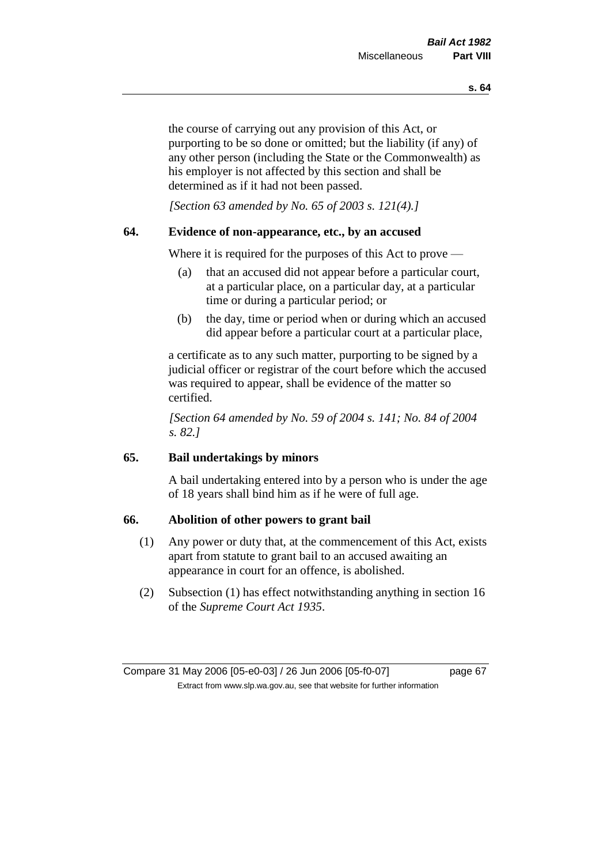the course of carrying out any provision of this Act, or purporting to be so done or omitted; but the liability (if any) of any other person (including the State or the Commonwealth) as his employer is not affected by this section and shall be determined as if it had not been passed.

*[Section 63 amended by No. 65 of 2003 s. 121(4).]*

#### **64. Evidence of non-appearance, etc., by an accused**

Where it is required for the purposes of this Act to prove —

- (a) that an accused did not appear before a particular court, at a particular place, on a particular day, at a particular time or during a particular period; or
- (b) the day, time or period when or during which an accused did appear before a particular court at a particular place,

a certificate as to any such matter, purporting to be signed by a judicial officer or registrar of the court before which the accused was required to appear, shall be evidence of the matter so certified.

*[Section 64 amended by No. 59 of 2004 s. 141; No. 84 of 2004 s. 82.]* 

## **65. Bail undertakings by minors**

A bail undertaking entered into by a person who is under the age of 18 years shall bind him as if he were of full age.

#### **66. Abolition of other powers to grant bail**

- (1) Any power or duty that, at the commencement of this Act, exists apart from statute to grant bail to an accused awaiting an appearance in court for an offence, is abolished.
- (2) Subsection (1) has effect notwithstanding anything in section 16 of the *Supreme Court Act 1935*.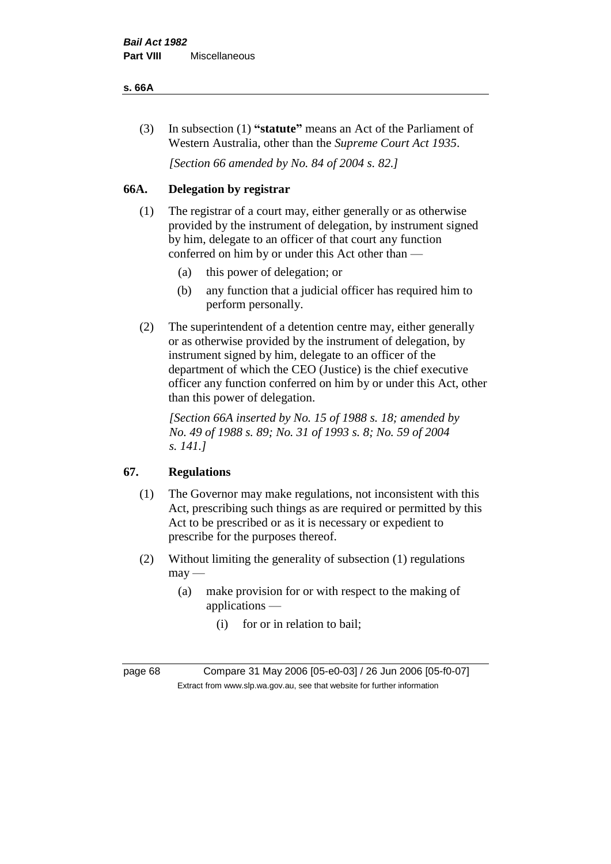#### **s. 66A**

(3) In subsection (1) **"statute"** means an Act of the Parliament of Western Australia, other than the *Supreme Court Act 1935*.

*[Section 66 amended by No. 84 of 2004 s. 82.]*

## **66A. Delegation by registrar**

- (1) The registrar of a court may, either generally or as otherwise provided by the instrument of delegation, by instrument signed by him, delegate to an officer of that court any function conferred on him by or under this Act other than —
	- (a) this power of delegation; or
	- (b) any function that a judicial officer has required him to perform personally.
- (2) The superintendent of a detention centre may, either generally or as otherwise provided by the instrument of delegation, by instrument signed by him, delegate to an officer of the department of which the CEO (Justice) is the chief executive officer any function conferred on him by or under this Act, other than this power of delegation.

*[Section 66A inserted by No. 15 of 1988 s. 18; amended by No. 49 of 1988 s. 89; No. 31 of 1993 s. 8; No. 59 of 2004 s. 141.]* 

## **67. Regulations**

- (1) The Governor may make regulations, not inconsistent with this Act, prescribing such things as are required or permitted by this Act to be prescribed or as it is necessary or expedient to prescribe for the purposes thereof.
- (2) Without limiting the generality of subsection (1) regulations  $may -$ 
	- (a) make provision for or with respect to the making of applications —
		- (i) for or in relation to bail;

page 68 Compare 31 May 2006 [05-e0-03] / 26 Jun 2006 [05-f0-07] Extract from www.slp.wa.gov.au, see that website for further information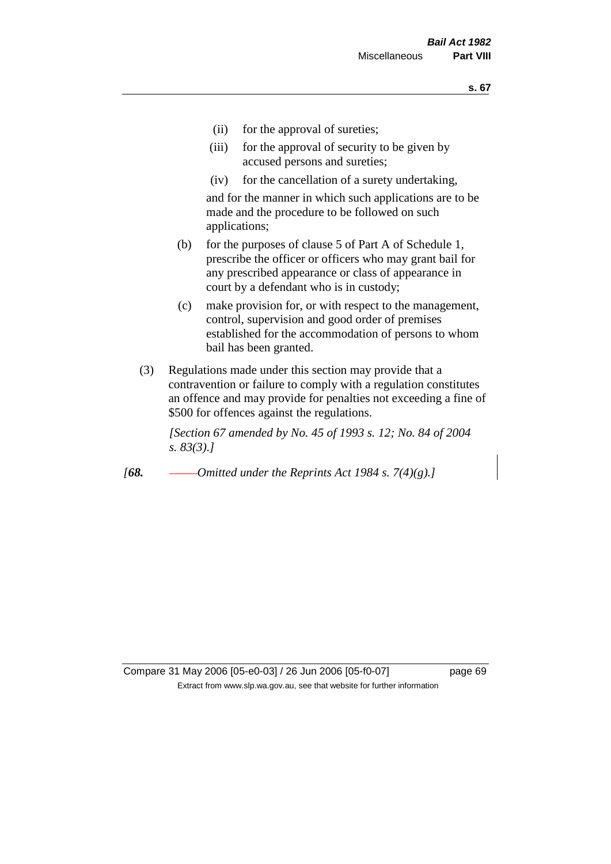- (ii) for the approval of sureties;
- (iii) for the approval of security to be given by accused persons and sureties;
- (iv) for the cancellation of a surety undertaking,

and for the manner in which such applications are to be made and the procedure to be followed on such applications;

- (b) for the purposes of clause 5 of Part A of Schedule 1, prescribe the officer or officers who may grant bail for any prescribed appearance or class of appearance in court by a defendant who is in custody;
- (c) make provision for, or with respect to the management, control, supervision and good order of premises established for the accommodation of persons to whom bail has been granted.
- (3) Regulations made under this section may provide that a contravention or failure to comply with a regulation constitutes an offence and may provide for penalties not exceeding a fine of \$500 for offences against the regulations.

*[Section 67 amended by No. 45 of 1993 s. 12; No. 84 of 2004 s. 83(3).]* 

*[68. Omitted under the Reprints Act 1984 s. 7(4)(g).]*

Compare 31 May 2006 [05-e0-03] / 26 Jun 2006 [05-f0-07] page 69 Extract from www.slp.wa.gov.au, see that website for further information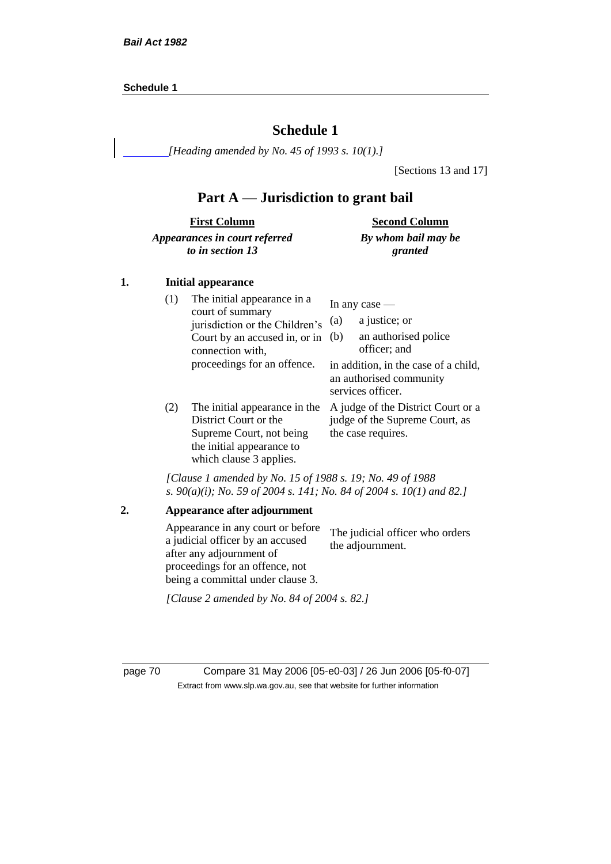#### **Schedule 1**

## **Schedule 1**

*[Heading amended by No. 45 of 1993 s. 10(1).]*

[Sections 13 and 17]

## **Part A — Jurisdiction to grant bail**

| <b>First Column</b>           | <b>Second Column</b> |
|-------------------------------|----------------------|
| Appearances in court referred | By whom bail may be  |
| to in section 13              | granted              |

#### **1. Initial appearance**

| (1) | The initial appearance in a<br>court of summary<br>jurisdiction or the Children's<br>Court by an accused in, or in<br>connection with,     | In any case $-$<br>a justice; or<br>(a)<br>an authorised police<br>(b)<br>officer; and     |
|-----|--------------------------------------------------------------------------------------------------------------------------------------------|--------------------------------------------------------------------------------------------|
|     | proceedings for an offence.                                                                                                                | in addition, in the case of a child,<br>an authorised community<br>services officer.       |
| (2) | The initial appearance in the<br>District Court or the<br>Supreme Court, not being<br>the initial appearance to<br>which clause 3 applies. | A judge of the District Court or a<br>judge of the Supreme Court, as<br>the case requires. |

*[Clause 1 amended by No. 15 of 1988 s. 19; No. 49 of 1988 s. 90(a)(i); No. 59 of 2004 s. 141; No. 84 of 2004 s. 10(1) and 82.]*

*[Clause 2 amended by No. 84 of 2004 s. 82.]*

page 70 Compare 31 May 2006 [05-e0-03] / 26 Jun 2006 [05-f0-07] Extract from www.slp.wa.gov.au, see that website for further information

**<sup>2.</sup> Appearance after adjournment** Appearance in any court or before a judicial officer by an accused after any adjournment of proceedings for an offence, not being a committal under clause 3. The judicial officer who orders the adjournment.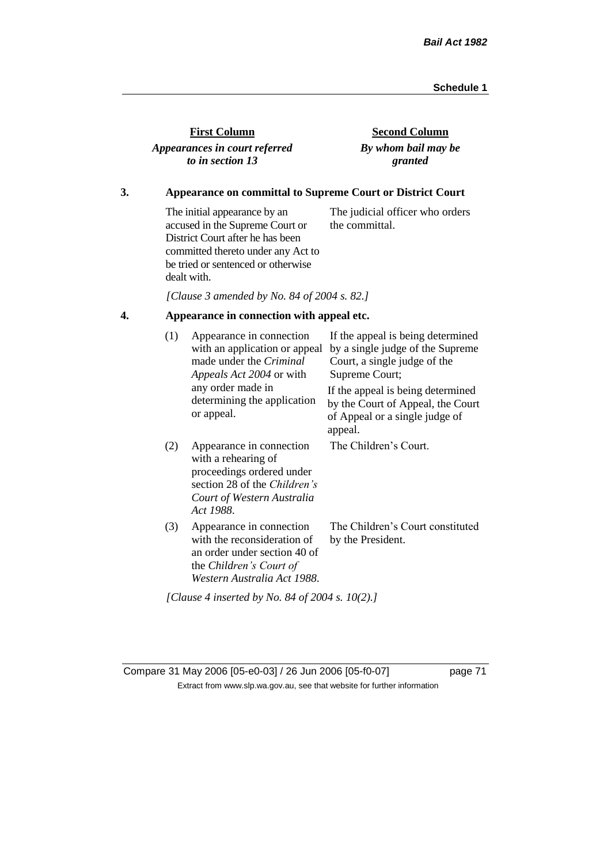| <b>First Column</b>           |
|-------------------------------|
| Appearances in court referred |
| to in section 13              |

**Second Column** *By whom bail may be granted*

## **3. Appearance on committal to Supreme Court or District Court**

The initial appearance by an accused in the Supreme Court or District Court after he has been committed thereto under any Act to be tried or sentenced or otherwise dealt with. The judicial officer who orders the committal.

*[Clause 3 amended by No. 84 of 2004 s. 82.]*

## **4. Appearance in connection with appeal etc.**

| (1) | Appearance in connection<br>with an application or appeal<br>made under the <i>Criminal</i><br><i>Appeals Act 2004</i> or with                          | If the appeal is being determined<br>by a single judge of the Supreme<br>Court, a single judge of the<br>Supreme Court; |  |  |
|-----|---------------------------------------------------------------------------------------------------------------------------------------------------------|-------------------------------------------------------------------------------------------------------------------------|--|--|
|     | any order made in<br>determining the application<br>or appeal.                                                                                          | If the appeal is being determined<br>by the Court of Appeal, the Court<br>of Appeal or a single judge of<br>appeal.     |  |  |
| (2) | Appearance in connection<br>with a rehearing of<br>proceedings ordered under<br>section 28 of the Children's<br>Court of Western Australia<br>Act 1988. | The Children's Court.                                                                                                   |  |  |
| (3) | Appearance in connection<br>with the reconsideration of<br>an order under section 40 of<br>the Children's Court of<br>Western Australia Act 1988.       | The Children's Court constituted<br>by the President.                                                                   |  |  |
|     | [Clause 4 inserted by No. 84 of 2004 s. 10(2).]                                                                                                         |                                                                                                                         |  |  |

Compare 31 May 2006 [05-e0-03] / 26 Jun 2006 [05-f0-07] page 71 Extract from www.slp.wa.gov.au, see that website for further information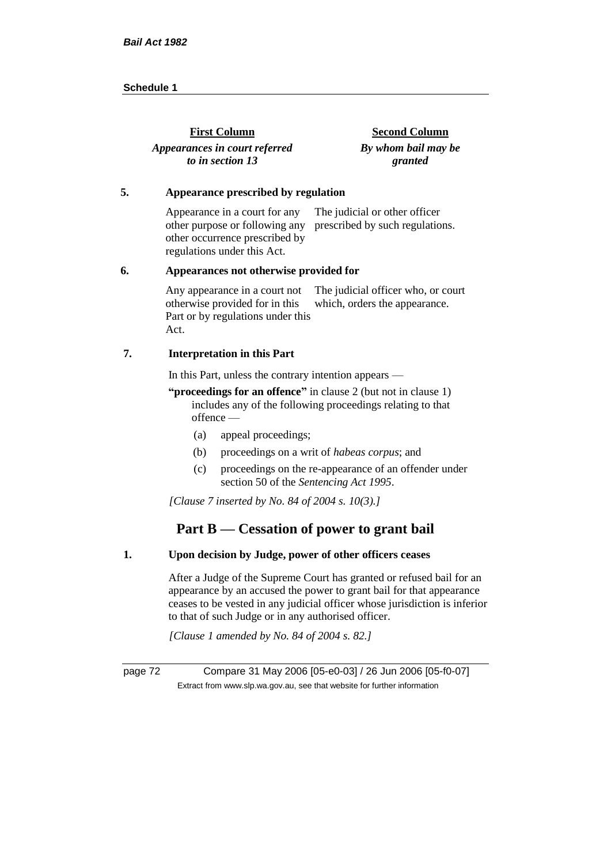| <b>First Column</b>           | <b>Second Column</b> |
|-------------------------------|----------------------|
| Appearances in court referred | By whom bail may be  |
| to in section 13              | granted              |

#### **5. Appearance prescribed by regulation**

Appearance in a court for any other purpose or following any prescribed by such regulations. other occurrence prescribed by regulations under this Act. The judicial or other officer

#### **6. Appearances not otherwise provided for**

Any appearance in a court not otherwise provided for in this Part or by regulations under this Act. The judicial officer who, or court which, orders the appearance.

#### **7. Interpretation in this Part**

In this Part, unless the contrary intention appears —

**"proceedings for an offence"** in clause 2 (but not in clause 1) includes any of the following proceedings relating to that offence —

- (a) appeal proceedings;
- (b) proceedings on a writ of *habeas corpus*; and
- (c) proceedings on the re-appearance of an offender under section 50 of the *Sentencing Act 1995*.

*[Clause 7 inserted by No. 84 of 2004 s. 10(3).]*

## **Part B — Cessation of power to grant bail**

## **1. Upon decision by Judge, power of other officers ceases**

After a Judge of the Supreme Court has granted or refused bail for an appearance by an accused the power to grant bail for that appearance ceases to be vested in any judicial officer whose jurisdiction is inferior to that of such Judge or in any authorised officer.

*[Clause 1 amended by No. 84 of 2004 s. 82.]*

page 72 Compare 31 May 2006 [05-e0-03] / 26 Jun 2006 [05-f0-07] Extract from www.slp.wa.gov.au, see that website for further information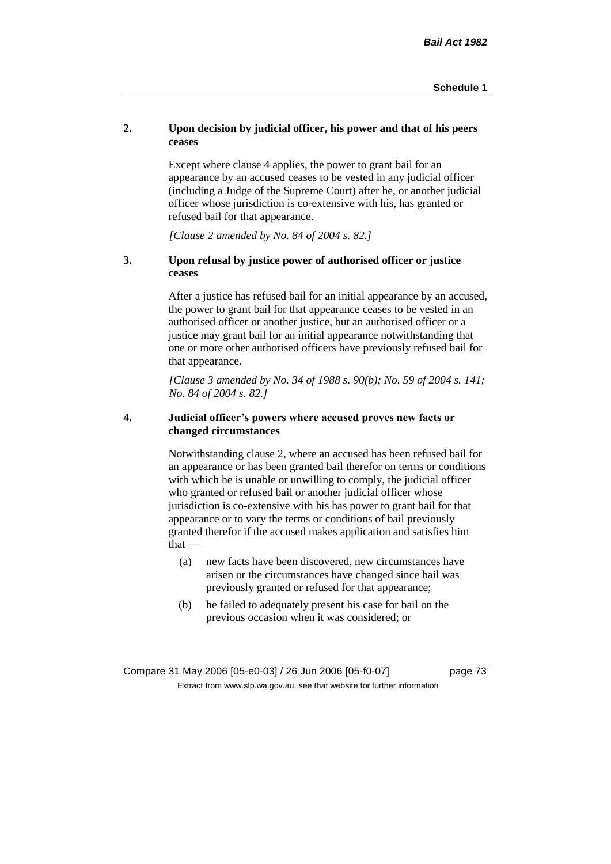## **2. Upon decision by judicial officer, his power and that of his peers ceases**

Except where clause 4 applies, the power to grant bail for an appearance by an accused ceases to be vested in any judicial officer (including a Judge of the Supreme Court) after he, or another judicial officer whose jurisdiction is co-extensive with his, has granted or refused bail for that appearance.

*[Clause 2 amended by No. 84 of 2004 s. 82.]*

## **3. Upon refusal by justice power of authorised officer or justice ceases**

After a justice has refused bail for an initial appearance by an accused, the power to grant bail for that appearance ceases to be vested in an authorised officer or another justice, but an authorised officer or a justice may grant bail for an initial appearance notwithstanding that one or more other authorised officers have previously refused bail for that appearance.

*[Clause 3 amended by No. 34 of 1988 s. 90(b); No. 59 of 2004 s. 141; No. 84 of 2004 s. 82.]*

## **4. Judicial officer's powers where accused proves new facts or changed circumstances**

Notwithstanding clause 2, where an accused has been refused bail for an appearance or has been granted bail therefor on terms or conditions with which he is unable or unwilling to comply, the judicial officer who granted or refused bail or another judicial officer whose jurisdiction is co-extensive with his has power to grant bail for that appearance or to vary the terms or conditions of bail previously granted therefor if the accused makes application and satisfies him  $that -$ 

- (a) new facts have been discovered, new circumstances have arisen or the circumstances have changed since bail was previously granted or refused for that appearance;
- (b) he failed to adequately present his case for bail on the previous occasion when it was considered; or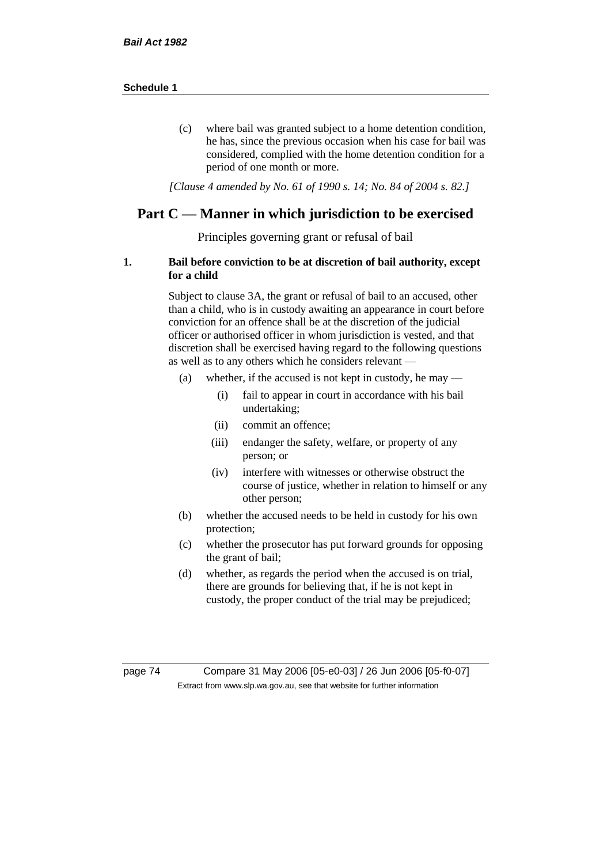(c) where bail was granted subject to a home detention condition, he has, since the previous occasion when his case for bail was considered, complied with the home detention condition for a period of one month or more.

*[Clause 4 amended by No. 61 of 1990 s. 14; No. 84 of 2004 s. 82.]*

## **Part C — Manner in which jurisdiction to be exercised**

Principles governing grant or refusal of bail

### **1. Bail before conviction to be at discretion of bail authority, except for a child**

Subject to clause 3A, the grant or refusal of bail to an accused, other than a child, who is in custody awaiting an appearance in court before conviction for an offence shall be at the discretion of the judicial officer or authorised officer in whom jurisdiction is vested, and that discretion shall be exercised having regard to the following questions as well as to any others which he considers relevant —

- (a) whether, if the accused is not kept in custody, he may
	- (i) fail to appear in court in accordance with his bail undertaking;
	- (ii) commit an offence;
	- (iii) endanger the safety, welfare, or property of any person; or
	- (iv) interfere with witnesses or otherwise obstruct the course of justice, whether in relation to himself or any other person;
- (b) whether the accused needs to be held in custody for his own protection;
- (c) whether the prosecutor has put forward grounds for opposing the grant of bail;
- (d) whether, as regards the period when the accused is on trial, there are grounds for believing that, if he is not kept in custody, the proper conduct of the trial may be prejudiced;

page 74 Compare 31 May 2006 [05-e0-03] / 26 Jun 2006 [05-f0-07] Extract from www.slp.wa.gov.au, see that website for further information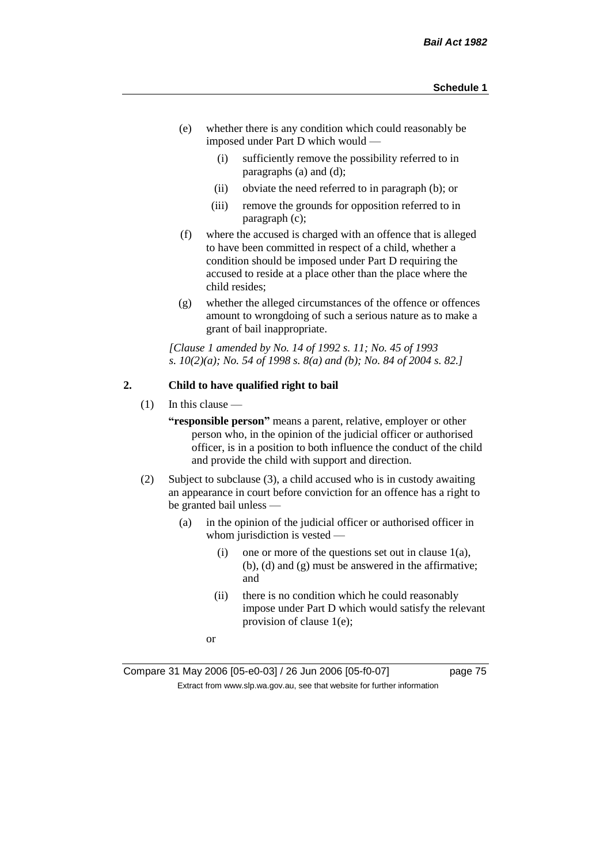- (e) whether there is any condition which could reasonably be imposed under Part D which would —
	- (i) sufficiently remove the possibility referred to in paragraphs (a) and (d);
	- (ii) obviate the need referred to in paragraph (b); or
	- (iii) remove the grounds for opposition referred to in paragraph (c);
- (f) where the accused is charged with an offence that is alleged to have been committed in respect of a child, whether a condition should be imposed under Part D requiring the accused to reside at a place other than the place where the child resides;
- (g) whether the alleged circumstances of the offence or offences amount to wrongdoing of such a serious nature as to make a grant of bail inappropriate.

*[Clause 1 amended by No. 14 of 1992 s. 11; No. 45 of 1993 s. 10(2)(a); No. 54 of 1998 s. 8(a) and (b); No. 84 of 2004 s. 82.]*

## **2. Child to have qualified right to bail**

 $(1)$  In this clause —

**"responsible person"** means a parent, relative, employer or other person who, in the opinion of the judicial officer or authorised officer, is in a position to both influence the conduct of the child and provide the child with support and direction.

- (2) Subject to subclause (3), a child accused who is in custody awaiting an appearance in court before conviction for an offence has a right to be granted bail unless —
	- (a) in the opinion of the judicial officer or authorised officer in whom jurisdiction is vested —
		- (i) one or more of the questions set out in clause  $1(a)$ , (b), (d) and (g) must be answered in the affirmative; and
		- (ii) there is no condition which he could reasonably impose under Part D which would satisfy the relevant provision of clause 1(e);
		- or

Compare 31 May 2006 [05-e0-03] / 26 Jun 2006 [05-f0-07] page 75 Extract from www.slp.wa.gov.au, see that website for further information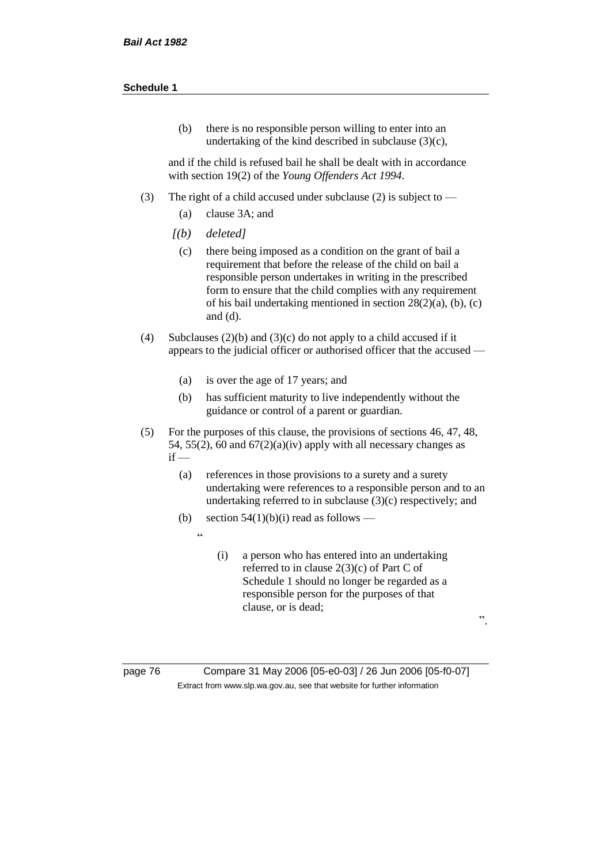(b) there is no responsible person willing to enter into an undertaking of the kind described in subclause (3)(c),

and if the child is refused bail he shall be dealt with in accordance with section 19(2) of the *Young Offenders Act 1994*.

- (3) The right of a child accused under subclause (2) is subject to
	- (a) clause 3A; and
	- *[(b) deleted]*

 $\overline{a}$ 

- (c) there being imposed as a condition on the grant of bail a requirement that before the release of the child on bail a responsible person undertakes in writing in the prescribed form to ensure that the child complies with any requirement of his bail undertaking mentioned in section 28(2)(a), (b), (c) and (d).
- (4) Subclauses (2)(b) and (3)(c) do not apply to a child accused if it appears to the judicial officer or authorised officer that the accused —
	- (a) is over the age of 17 years; and
	- (b) has sufficient maturity to live independently without the guidance or control of a parent or guardian.
- (5) For the purposes of this clause, the provisions of sections 46, 47, 48, 54, 55(2), 60 and  $67(2)(a)(iv)$  apply with all necessary changes as  $if -$ 
	- (a) references in those provisions to a surety and a surety undertaking were references to a responsible person and to an undertaking referred to in subclause (3)(c) respectively; and
	- (b) section  $54(1)(b)(i)$  read as follows
		- (i) a person who has entered into an undertaking referred to in clause 2(3)(c) of Part C of Schedule 1 should no longer be regarded as a responsible person for the purposes of that clause, or is dead;

".

page 76 Compare 31 May 2006 [05-e0-03] / 26 Jun 2006 [05-f0-07] Extract from www.slp.wa.gov.au, see that website for further information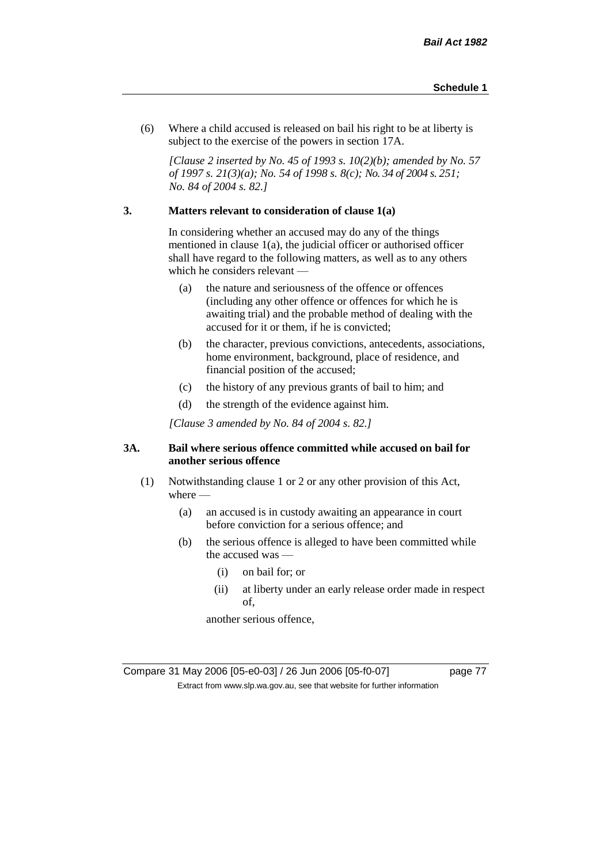(6) Where a child accused is released on bail his right to be at liberty is subject to the exercise of the powers in section 17A.

*[Clause 2 inserted by No. 45 of 1993 s. 10(2)(b); amended by No. 57 of 1997 s. 21(3)(a); No. 54 of 1998 s. 8(c); No. 34 of 2004 s. 251; No. 84 of 2004 s. 82.]*

## **3. Matters relevant to consideration of clause 1(a)**

In considering whether an accused may do any of the things mentioned in clause 1(a), the judicial officer or authorised officer shall have regard to the following matters, as well as to any others which he considers relevant —

- (a) the nature and seriousness of the offence or offences (including any other offence or offences for which he is awaiting trial) and the probable method of dealing with the accused for it or them, if he is convicted;
- (b) the character, previous convictions, antecedents, associations, home environment, background, place of residence, and financial position of the accused;
- (c) the history of any previous grants of bail to him; and
- (d) the strength of the evidence against him.

*[Clause 3 amended by No. 84 of 2004 s. 82.]*

### **3A. Bail where serious offence committed while accused on bail for another serious offence**

- (1) Notwithstanding clause 1 or 2 or any other provision of this Act, where —
	- (a) an accused is in custody awaiting an appearance in court before conviction for a serious offence; and
	- (b) the serious offence is alleged to have been committed while the accused was —
		- (i) on bail for; or
		- (ii) at liberty under an early release order made in respect of,

another serious offence,

Compare 31 May 2006 [05-e0-03] / 26 Jun 2006 [05-f0-07] page 77 Extract from www.slp.wa.gov.au, see that website for further information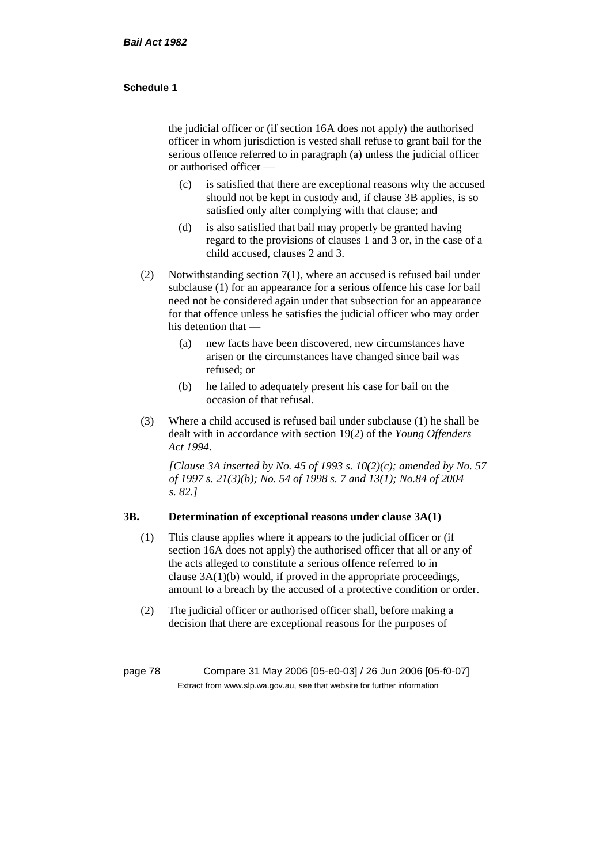the judicial officer or (if section 16A does not apply) the authorised officer in whom jurisdiction is vested shall refuse to grant bail for the serious offence referred to in paragraph (a) unless the judicial officer or authorised officer —

- (c) is satisfied that there are exceptional reasons why the accused should not be kept in custody and, if clause 3B applies, is so satisfied only after complying with that clause; and
- (d) is also satisfied that bail may properly be granted having regard to the provisions of clauses 1 and 3 or, in the case of a child accused, clauses 2 and 3.
- (2) Notwithstanding section 7(1), where an accused is refused bail under subclause (1) for an appearance for a serious offence his case for bail need not be considered again under that subsection for an appearance for that offence unless he satisfies the judicial officer who may order his detention that —
	- (a) new facts have been discovered, new circumstances have arisen or the circumstances have changed since bail was refused; or
	- (b) he failed to adequately present his case for bail on the occasion of that refusal.
- (3) Where a child accused is refused bail under subclause (1) he shall be dealt with in accordance with section 19(2) of the *Young Offenders Act 1994*.

*[Clause 3A inserted by No. 45 of 1993 s. 10(2)(c); amended by No. 57 of 1997 s. 21(3)(b); No. 54 of 1998 s. 7 and 13(1); No.84 of 2004 s. 82.]*

## **3B. Determination of exceptional reasons under clause 3A(1)**

- (1) This clause applies where it appears to the judicial officer or (if section 16A does not apply) the authorised officer that all or any of the acts alleged to constitute a serious offence referred to in clause 3A(1)(b) would, if proved in the appropriate proceedings, amount to a breach by the accused of a protective condition or order.
- (2) The judicial officer or authorised officer shall, before making a decision that there are exceptional reasons for the purposes of

page 78 Compare 31 May 2006 [05-e0-03] / 26 Jun 2006 [05-f0-07] Extract from www.slp.wa.gov.au, see that website for further information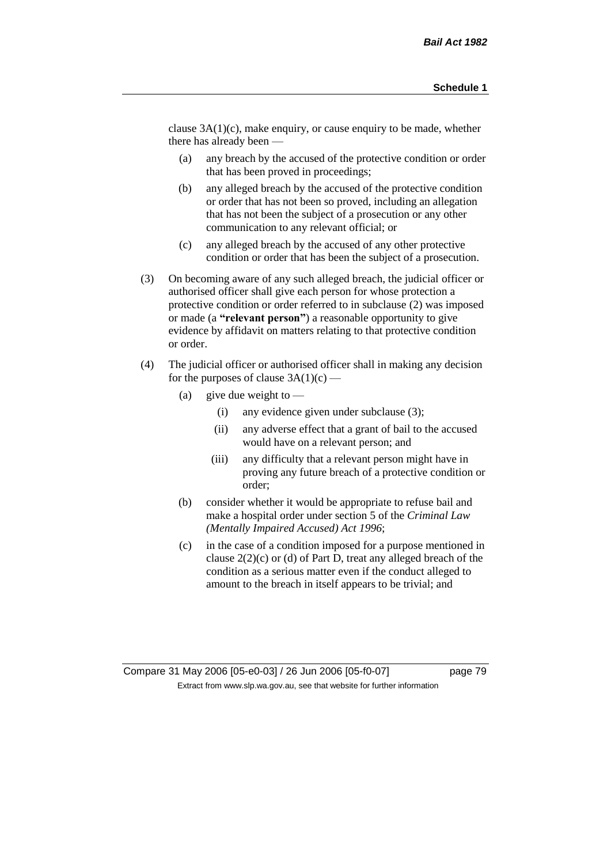clause 3A(1)(c), make enquiry, or cause enquiry to be made, whether there has already been —

- (a) any breach by the accused of the protective condition or order that has been proved in proceedings;
- (b) any alleged breach by the accused of the protective condition or order that has not been so proved, including an allegation that has not been the subject of a prosecution or any other communication to any relevant official; or
- (c) any alleged breach by the accused of any other protective condition or order that has been the subject of a prosecution.
- (3) On becoming aware of any such alleged breach, the judicial officer or authorised officer shall give each person for whose protection a protective condition or order referred to in subclause (2) was imposed or made (a **"relevant person"**) a reasonable opportunity to give evidence by affidavit on matters relating to that protective condition or order.
- (4) The judicial officer or authorised officer shall in making any decision for the purposes of clause  $3A(1)(c)$  —
	- (a) give due weight to  $\equiv$ 
		- (i) any evidence given under subclause (3);
		- (ii) any adverse effect that a grant of bail to the accused would have on a relevant person; and
		- (iii) any difficulty that a relevant person might have in proving any future breach of a protective condition or order;
	- (b) consider whether it would be appropriate to refuse bail and make a hospital order under section 5 of the *Criminal Law (Mentally Impaired Accused) Act 1996*;
	- (c) in the case of a condition imposed for a purpose mentioned in clause 2(2)(c) or (d) of Part D, treat any alleged breach of the condition as a serious matter even if the conduct alleged to amount to the breach in itself appears to be trivial; and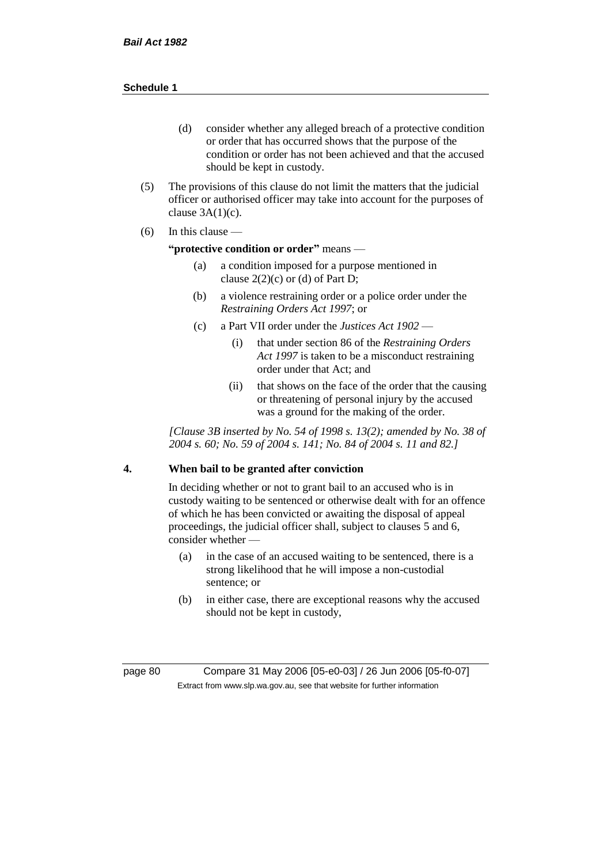- (d) consider whether any alleged breach of a protective condition or order that has occurred shows that the purpose of the condition or order has not been achieved and that the accused should be kept in custody.
- (5) The provisions of this clause do not limit the matters that the judicial officer or authorised officer may take into account for the purposes of clause  $3A(1)(c)$ .
- $(6)$  In this clause —

#### **"protective condition or order"** means —

- (a) a condition imposed for a purpose mentioned in clause  $2(2)(c)$  or (d) of Part D;
- (b) a violence restraining order or a police order under the *Restraining Orders Act 1997*; or
- (c) a Part VII order under the *Justices Act 1902*
	- (i) that under section 86 of the *Restraining Orders Act 1997* is taken to be a misconduct restraining order under that Act; and
	- (ii) that shows on the face of the order that the causing or threatening of personal injury by the accused was a ground for the making of the order.

*[Clause 3B inserted by No. 54 of 1998 s. 13(2); amended by No. 38 of 2004 s. 60; No. 59 of 2004 s. 141; No. 84 of 2004 s. 11 and 82.]*

## **4. When bail to be granted after conviction**

In deciding whether or not to grant bail to an accused who is in custody waiting to be sentenced or otherwise dealt with for an offence of which he has been convicted or awaiting the disposal of appeal proceedings, the judicial officer shall, subject to clauses 5 and 6, consider whether -

- (a) in the case of an accused waiting to be sentenced, there is a strong likelihood that he will impose a non-custodial sentence; or
- (b) in either case, there are exceptional reasons why the accused should not be kept in custody,

page 80 Compare 31 May 2006 [05-e0-03] / 26 Jun 2006 [05-f0-07] Extract from www.slp.wa.gov.au, see that website for further information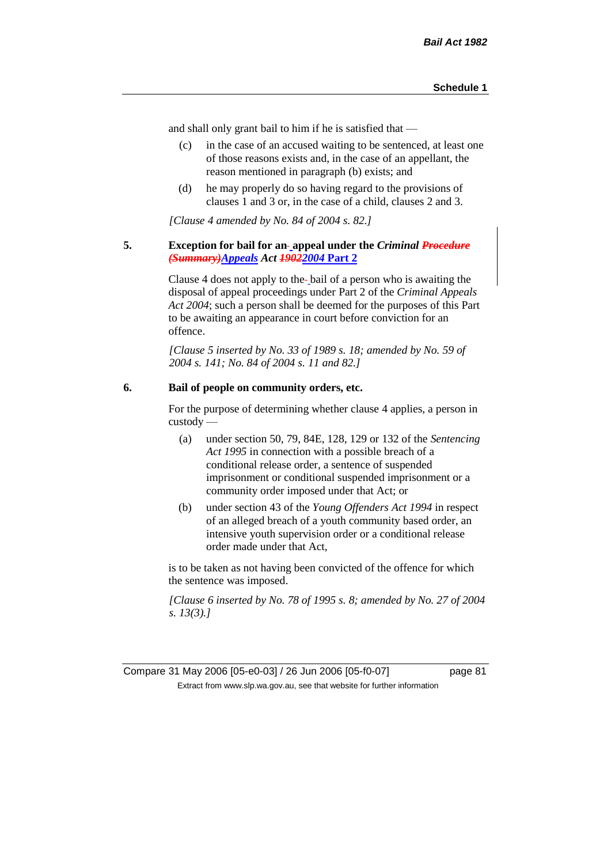and shall only grant bail to him if he is satisfied that —

- (c) in the case of an accused waiting to be sentenced, at least one of those reasons exists and, in the case of an appellant, the reason mentioned in paragraph (b) exists; and
- (d) he may properly do so having regard to the provisions of clauses 1 and 3 or, in the case of a child, clauses 2 and 3.

*[Clause 4 amended by No. 84 of 2004 s. 82.]*

### **5. Exception for bail for an appeal under the** *Criminal Procedure (Summary)Appeals Act 19022004* **Part 2**

Clause 4 does not apply to the bail of a person who is awaiting the disposal of appeal proceedings under Part 2 of the *Criminal Appeals Act 2004*; such a person shall be deemed for the purposes of this Part to be awaiting an appearance in court before conviction for an offence.

*[Clause 5 inserted by No. 33 of 1989 s. 18; amended by No. 59 of 2004 s. 141; No. 84 of 2004 s. 11 and 82.]*

## **6. Bail of people on community orders, etc.**

For the purpose of determining whether clause 4 applies, a person in custody —

- (a) under section 50, 79, 84E, 128, 129 or 132 of the *Sentencing Act 1995* in connection with a possible breach of a conditional release order, a sentence of suspended imprisonment or conditional suspended imprisonment or a community order imposed under that Act; or
- (b) under section 43 of the *Young Offenders Act 1994* in respect of an alleged breach of a youth community based order, an intensive youth supervision order or a conditional release order made under that Act,

is to be taken as not having been convicted of the offence for which the sentence was imposed.

*[Clause 6 inserted by No. 78 of 1995 s. 8; amended by No. 27 of 2004 s. 13(3).]*

Compare 31 May 2006 [05-e0-03] / 26 Jun 2006 [05-f0-07] page 81 Extract from www.slp.wa.gov.au, see that website for further information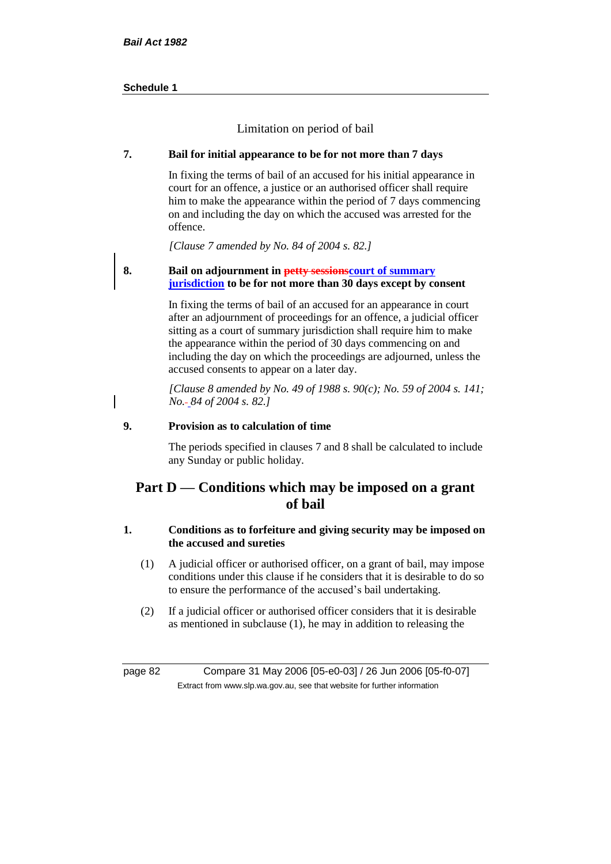Limitation on period of bail

## **7. Bail for initial appearance to be for not more than 7 days**

In fixing the terms of bail of an accused for his initial appearance in court for an offence, a justice or an authorised officer shall require him to make the appearance within the period of 7 days commencing on and including the day on which the accused was arrested for the offence.

*[Clause 7 amended by No. 84 of 2004 s. 82.]*

## **8. Bail on adjournment in petty sessionscourt of summary jurisdiction to be for not more than 30 days except by consent**

In fixing the terms of bail of an accused for an appearance in court after an adjournment of proceedings for an offence, a judicial officer sitting as a court of summary jurisdiction shall require him to make the appearance within the period of 30 days commencing on and including the day on which the proceedings are adjourned, unless the accused consents to appear on a later day.

*[Clause 8 amended by No. 49 of 1988 s. 90(c); No. 59 of 2004 s. 141; No. 84 of 2004 s. 82.]*

## **9. Provision as to calculation of time**

The periods specified in clauses 7 and 8 shall be calculated to include any Sunday or public holiday.

## **Part D — Conditions which may be imposed on a grant of bail**

## **1. Conditions as to forfeiture and giving security may be imposed on the accused and sureties**

- (1) A judicial officer or authorised officer, on a grant of bail, may impose conditions under this clause if he considers that it is desirable to do so to ensure the performance of the accused's bail undertaking.
- (2) If a judicial officer or authorised officer considers that it is desirable as mentioned in subclause (1), he may in addition to releasing the

page 82 Compare 31 May 2006 [05-e0-03] / 26 Jun 2006 [05-f0-07] Extract from www.slp.wa.gov.au, see that website for further information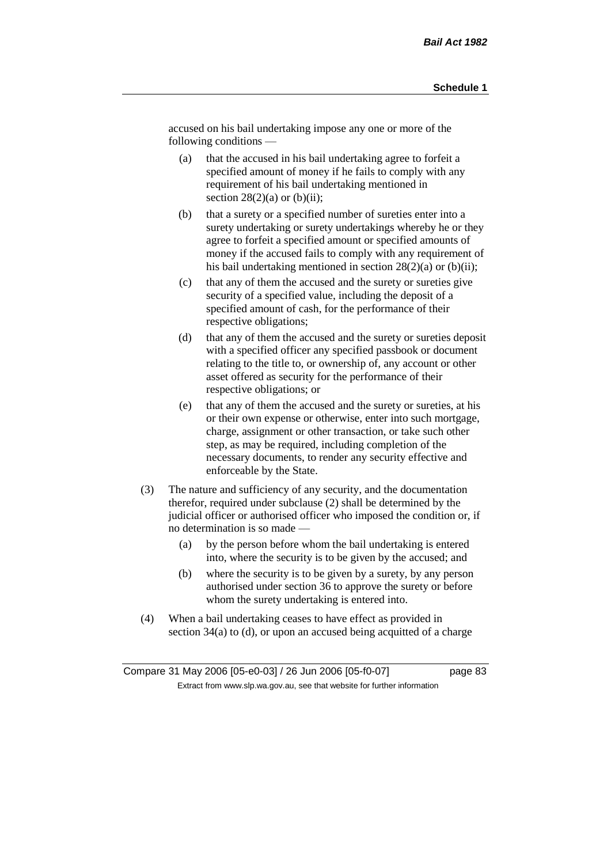accused on his bail undertaking impose any one or more of the following conditions —

- (a) that the accused in his bail undertaking agree to forfeit a specified amount of money if he fails to comply with any requirement of his bail undertaking mentioned in section  $28(2)(a)$  or  $(b)(ii)$ ;
- (b) that a surety or a specified number of sureties enter into a surety undertaking or surety undertakings whereby he or they agree to forfeit a specified amount or specified amounts of money if the accused fails to comply with any requirement of his bail undertaking mentioned in section  $28(2)(a)$  or (b)(ii);
- (c) that any of them the accused and the surety or sureties give security of a specified value, including the deposit of a specified amount of cash, for the performance of their respective obligations;
- (d) that any of them the accused and the surety or sureties deposit with a specified officer any specified passbook or document relating to the title to, or ownership of, any account or other asset offered as security for the performance of their respective obligations; or
- (e) that any of them the accused and the surety or sureties, at his or their own expense or otherwise, enter into such mortgage, charge, assignment or other transaction, or take such other step, as may be required, including completion of the necessary documents, to render any security effective and enforceable by the State.
- (3) The nature and sufficiency of any security, and the documentation therefor, required under subclause (2) shall be determined by the judicial officer or authorised officer who imposed the condition or, if no determination is so made —
	- (a) by the person before whom the bail undertaking is entered into, where the security is to be given by the accused; and
	- (b) where the security is to be given by a surety, by any person authorised under section 36 to approve the surety or before whom the surety undertaking is entered into.
- (4) When a bail undertaking ceases to have effect as provided in section 34(a) to (d), or upon an accused being acquitted of a charge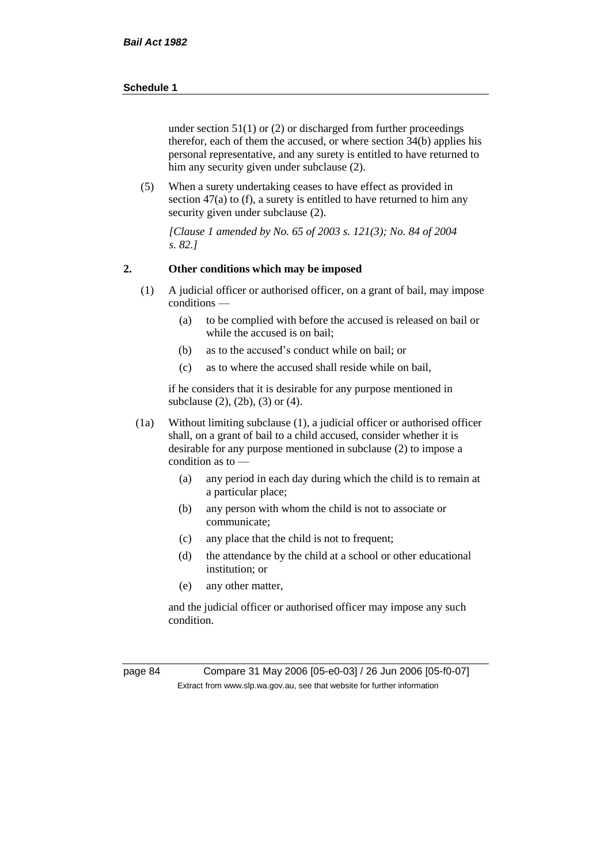under section  $51(1)$  or (2) or discharged from further proceedings therefor, each of them the accused, or where section 34(b) applies his personal representative, and any surety is entitled to have returned to him any security given under subclause (2).

(5) When a surety undertaking ceases to have effect as provided in section 47(a) to (f), a surety is entitled to have returned to him any security given under subclause (2).

*[Clause 1 amended by No. 65 of 2003 s. 121(3); No. 84 of 2004 s. 82.]*

## **2. Other conditions which may be imposed**

- (1) A judicial officer or authorised officer, on a grant of bail, may impose conditions —
	- (a) to be complied with before the accused is released on bail or while the accused is on bail;
	- (b) as to the accused's conduct while on bail; or
	- (c) as to where the accused shall reside while on bail,

if he considers that it is desirable for any purpose mentioned in subclause (2), (2b), (3) or (4).

- (1a) Without limiting subclause (1), a judicial officer or authorised officer shall, on a grant of bail to a child accused, consider whether it is desirable for any purpose mentioned in subclause (2) to impose a condition as to —
	- (a) any period in each day during which the child is to remain at a particular place;
	- (b) any person with whom the child is not to associate or communicate;
	- (c) any place that the child is not to frequent;
	- (d) the attendance by the child at a school or other educational institution; or
	- (e) any other matter,

and the judicial officer or authorised officer may impose any such condition.

page 84 Compare 31 May 2006 [05-e0-03] / 26 Jun 2006 [05-f0-07] Extract from www.slp.wa.gov.au, see that website for further information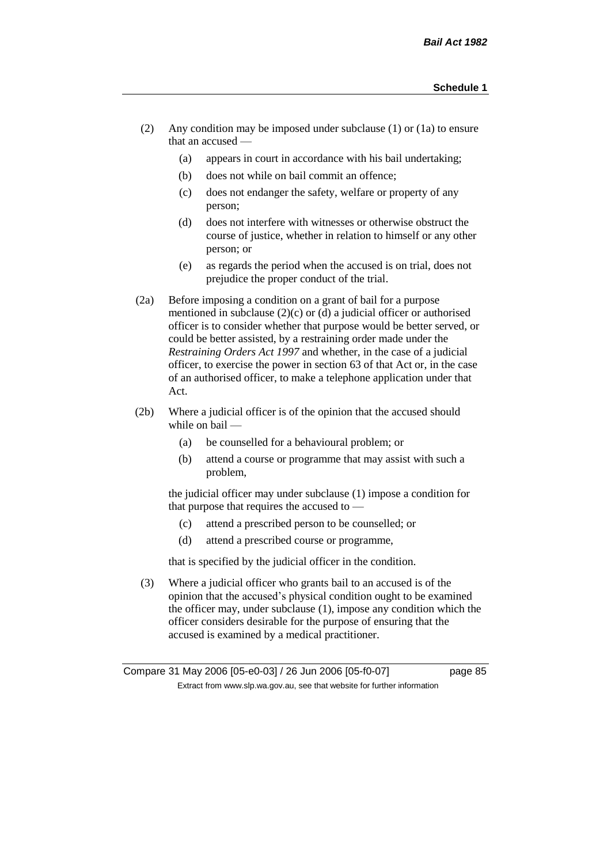- (2) Any condition may be imposed under subclause (1) or (1a) to ensure that an accused —
	- (a) appears in court in accordance with his bail undertaking;
	- (b) does not while on bail commit an offence;
	- (c) does not endanger the safety, welfare or property of any person;
	- (d) does not interfere with witnesses or otherwise obstruct the course of justice, whether in relation to himself or any other person; or
	- (e) as regards the period when the accused is on trial, does not prejudice the proper conduct of the trial.
- (2a) Before imposing a condition on a grant of bail for a purpose mentioned in subclause (2)(c) or (d) a judicial officer or authorised officer is to consider whether that purpose would be better served, or could be better assisted, by a restraining order made under the *Restraining Orders Act 1997* and whether, in the case of a judicial officer, to exercise the power in section 63 of that Act or, in the case of an authorised officer, to make a telephone application under that Act.
- (2b) Where a judicial officer is of the opinion that the accused should while on bail -
	- (a) be counselled for a behavioural problem; or
	- (b) attend a course or programme that may assist with such a problem,

the judicial officer may under subclause (1) impose a condition for that purpose that requires the accused to —

- (c) attend a prescribed person to be counselled; or
- (d) attend a prescribed course or programme,

that is specified by the judicial officer in the condition.

(3) Where a judicial officer who grants bail to an accused is of the opinion that the accused's physical condition ought to be examined the officer may, under subclause (1), impose any condition which the officer considers desirable for the purpose of ensuring that the accused is examined by a medical practitioner.

Compare 31 May 2006 [05-e0-03] / 26 Jun 2006 [05-f0-07] page 85 Extract from www.slp.wa.gov.au, see that website for further information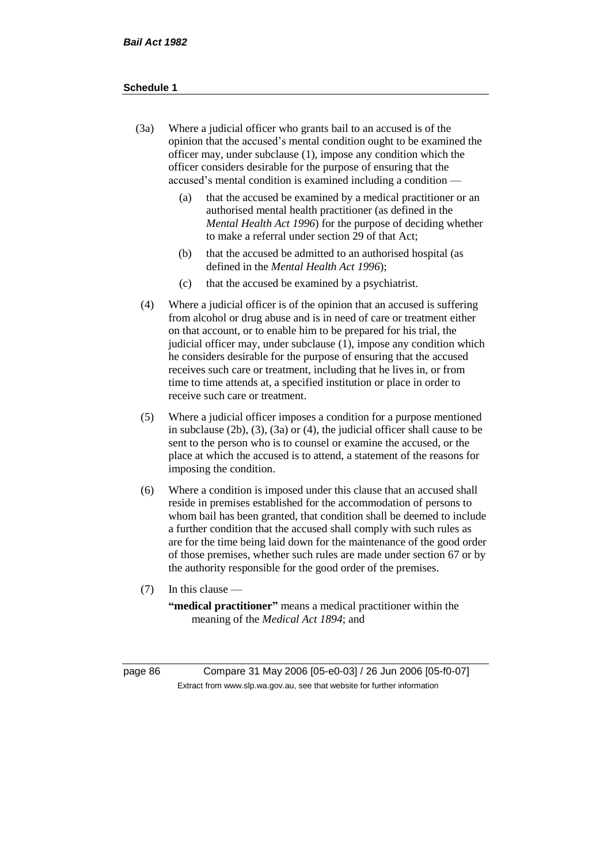- (3a) Where a judicial officer who grants bail to an accused is of the opinion that the accused's mental condition ought to be examined the officer may, under subclause (1), impose any condition which the officer considers desirable for the purpose of ensuring that the accused's mental condition is examined including a condition —
	- (a) that the accused be examined by a medical practitioner or an authorised mental health practitioner (as defined in the *Mental Health Act 1996*) for the purpose of deciding whether to make a referral under section 29 of that Act;
	- (b) that the accused be admitted to an authorised hospital (as defined in the *Mental Health Act 1996*);
	- (c) that the accused be examined by a psychiatrist.
- (4) Where a judicial officer is of the opinion that an accused is suffering from alcohol or drug abuse and is in need of care or treatment either on that account, or to enable him to be prepared for his trial, the judicial officer may, under subclause (1), impose any condition which he considers desirable for the purpose of ensuring that the accused receives such care or treatment, including that he lives in, or from time to time attends at, a specified institution or place in order to receive such care or treatment.
- (5) Where a judicial officer imposes a condition for a purpose mentioned in subclause (2b), (3), (3a) or (4), the judicial officer shall cause to be sent to the person who is to counsel or examine the accused, or the place at which the accused is to attend, a statement of the reasons for imposing the condition.
- (6) Where a condition is imposed under this clause that an accused shall reside in premises established for the accommodation of persons to whom bail has been granted, that condition shall be deemed to include a further condition that the accused shall comply with such rules as are for the time being laid down for the maintenance of the good order of those premises, whether such rules are made under section 67 or by the authority responsible for the good order of the premises.
- (7) In this clause —

**"medical practitioner"** means a medical practitioner within the meaning of the *Medical Act 1894*; and

page 86 Compare 31 May 2006 [05-e0-03] / 26 Jun 2006 [05-f0-07] Extract from www.slp.wa.gov.au, see that website for further information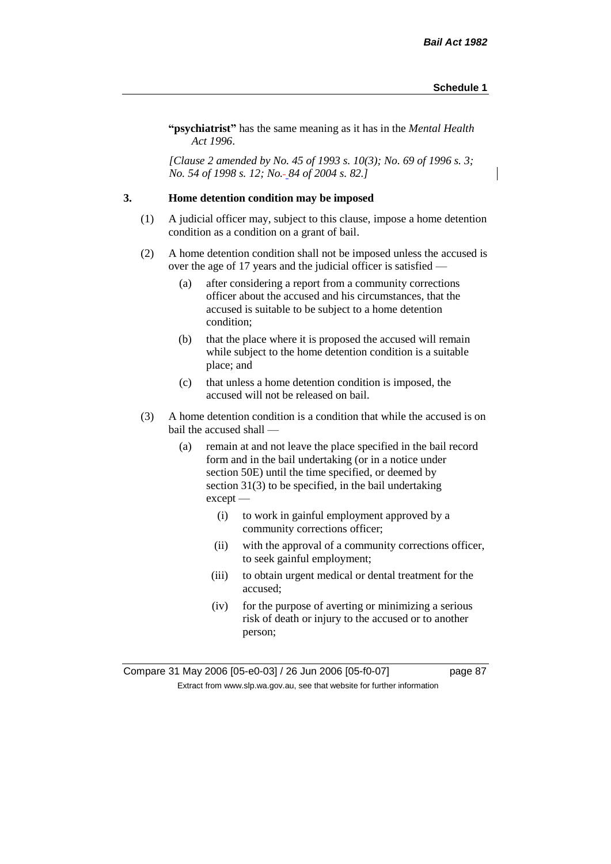**"psychiatrist"** has the same meaning as it has in the *Mental Health Act 1996*.

*[Clause 2 amended by No. 45 of 1993 s. 10(3); No. 69 of 1996 s. 3; No. 54 of 1998 s. 12; No. 84 of 2004 s. 82.]*

### **3. Home detention condition may be imposed**

- (1) A judicial officer may, subject to this clause, impose a home detention condition as a condition on a grant of bail.
- (2) A home detention condition shall not be imposed unless the accused is over the age of 17 years and the judicial officer is satisfied —
	- (a) after considering a report from a community corrections officer about the accused and his circumstances, that the accused is suitable to be subject to a home detention condition;
	- (b) that the place where it is proposed the accused will remain while subject to the home detention condition is a suitable place; and
	- (c) that unless a home detention condition is imposed, the accused will not be released on bail.
- (3) A home detention condition is a condition that while the accused is on bail the accused shall —
	- (a) remain at and not leave the place specified in the bail record form and in the bail undertaking (or in a notice under section 50E) until the time specified, or deemed by section 31(3) to be specified, in the bail undertaking except —
		- (i) to work in gainful employment approved by a community corrections officer;
		- (ii) with the approval of a community corrections officer, to seek gainful employment;
		- (iii) to obtain urgent medical or dental treatment for the accused;
		- (iv) for the purpose of averting or minimizing a serious risk of death or injury to the accused or to another person;

Compare 31 May 2006 [05-e0-03] / 26 Jun 2006 [05-f0-07] page 87 Extract from www.slp.wa.gov.au, see that website for further information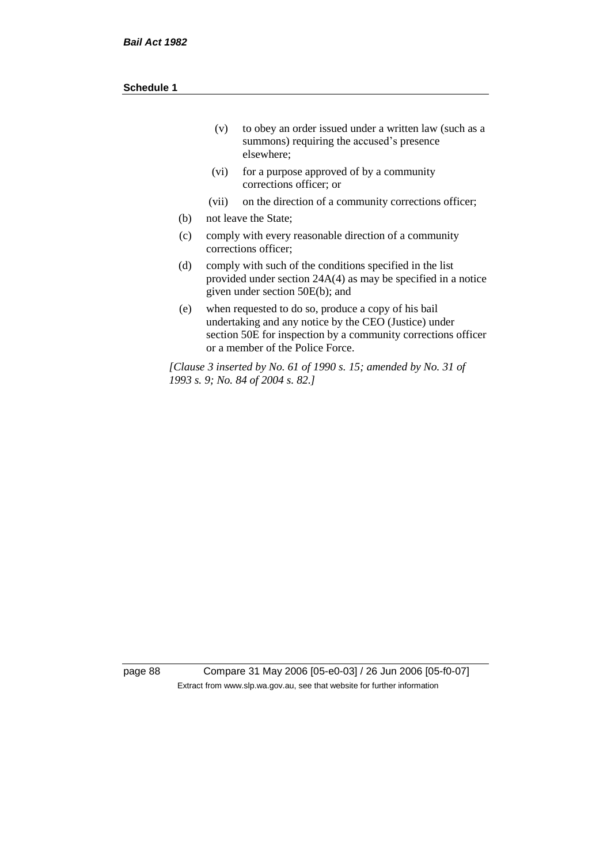| (v) | to obey an order issued under a written law (such as a |
|-----|--------------------------------------------------------|
|     | summons) requiring the accused's presence              |
|     | elsewhere:                                             |

- (vi) for a purpose approved of by a community corrections officer; or
- (vii) on the direction of a community corrections officer;
- (b) not leave the State;
- (c) comply with every reasonable direction of a community corrections officer;
- (d) comply with such of the conditions specified in the list provided under section 24A(4) as may be specified in a notice given under section 50E(b); and
- (e) when requested to do so, produce a copy of his bail undertaking and any notice by the CEO (Justice) under section 50E for inspection by a community corrections officer or a member of the Police Force.

*[Clause 3 inserted by No. 61 of 1990 s. 15; amended by No. 31 of 1993 s. 9; No. 84 of 2004 s. 82.]*

page 88 Compare 31 May 2006 [05-e0-03] / 26 Jun 2006 [05-f0-07] Extract from www.slp.wa.gov.au, see that website for further information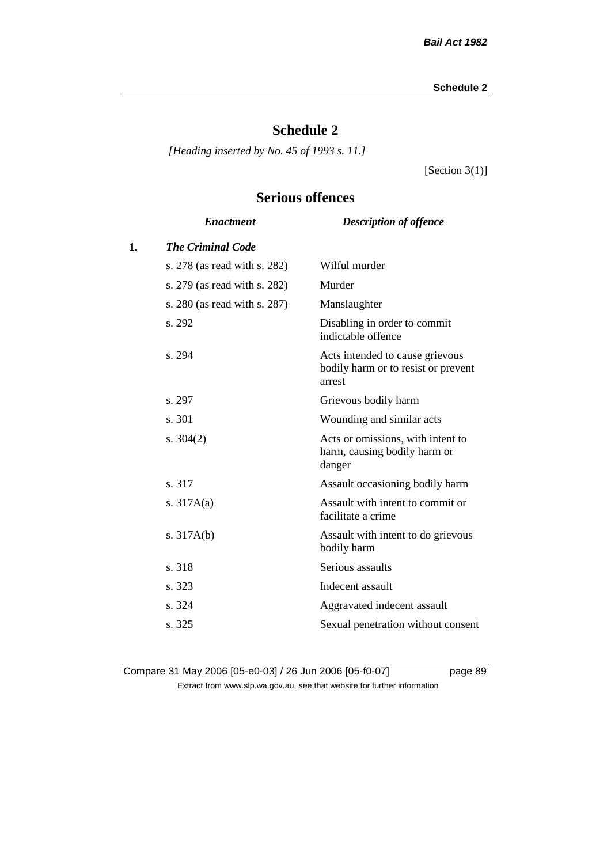# **Schedule 2**

*[Heading inserted by No. 45 of 1993 s. 11.]*

[Section 3(1)]

## **Serious offences**

|    | <b>Enactment</b>             | <b>Description of offence</b>                                                    |
|----|------------------------------|----------------------------------------------------------------------------------|
| 1. | <b>The Criminal Code</b>     |                                                                                  |
|    | s. 278 (as read with s. 282) | Wilful murder                                                                    |
|    | s. 279 (as read with s. 282) | Murder                                                                           |
|    | s. 280 (as read with s. 287) | Manslaughter                                                                     |
|    | s. 292                       | Disabling in order to commit<br>indictable offence                               |
|    | s. 294                       | Acts intended to cause grievous<br>bodily harm or to resist or prevent<br>arrest |
|    | s. 297                       | Grievous bodily harm                                                             |
|    | s. 301                       | Wounding and similar acts                                                        |
|    | s. $304(2)$                  | Acts or omissions, with intent to<br>harm, causing bodily harm or<br>danger      |
|    | s. 317                       | Assault occasioning bodily harm                                                  |
|    | s. $317A(a)$                 | Assault with intent to commit or<br>facilitate a crime                           |
|    | s. $317A(b)$                 | Assault with intent to do grievous<br>bodily harm                                |
|    | s. 318                       | Serious assaults                                                                 |
|    | s. 323                       | Indecent assault                                                                 |
|    | s. 324                       | Aggravated indecent assault                                                      |
|    | s. 325                       | Sexual penetration without consent                                               |
|    |                              |                                                                                  |

Compare 31 May 2006 [05-e0-03] / 26 Jun 2006 [05-f0-07] page 89 Extract from www.slp.wa.gov.au, see that website for further information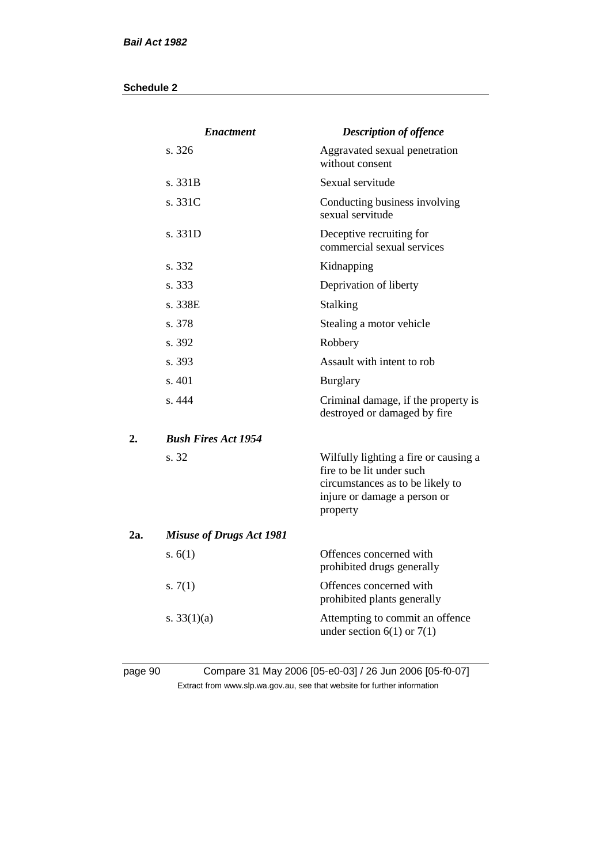|     | <b>Enactment</b>                | <b>Description of offence</b>                                                                                                                      |
|-----|---------------------------------|----------------------------------------------------------------------------------------------------------------------------------------------------|
|     | s. 326                          | Aggravated sexual penetration<br>without consent                                                                                                   |
|     | s. 331B                         | Sexual servitude                                                                                                                                   |
|     | s. 331C                         | Conducting business involving<br>sexual servitude                                                                                                  |
|     | s. 331D                         | Deceptive recruiting for<br>commercial sexual services                                                                                             |
|     | s. 332                          | Kidnapping                                                                                                                                         |
|     | s. 333                          | Deprivation of liberty                                                                                                                             |
|     | s. 338E                         | <b>Stalking</b>                                                                                                                                    |
|     | s. 378                          | Stealing a motor vehicle                                                                                                                           |
|     | s. 392                          | Robbery                                                                                                                                            |
|     | s. 393                          | Assault with intent to rob                                                                                                                         |
|     | s. 401                          | <b>Burglary</b>                                                                                                                                    |
|     | s. 444                          | Criminal damage, if the property is<br>destroyed or damaged by fire                                                                                |
| 2.  | <b>Bush Fires Act 1954</b>      |                                                                                                                                                    |
|     | s. 32                           | Wilfully lighting a fire or causing a<br>fire to be lit under such<br>circumstances as to be likely to<br>injure or damage a person or<br>property |
| 2a. | <b>Misuse of Drugs Act 1981</b> |                                                                                                                                                    |
|     | s. $6(1)$                       | Offences concerned with<br>prohibited drugs generally                                                                                              |
|     | s. $7(1)$                       | Offences concerned with<br>prohibited plants generally                                                                                             |
|     | s. $33(1)(a)$                   | Attempting to commit an offence<br>under section $6(1)$ or $7(1)$                                                                                  |
|     |                                 |                                                                                                                                                    |

## page 90 Compare 31 May 2006 [05-e0-03] / 26 Jun 2006 [05-f0-07] Extract from www.slp.wa.gov.au, see that website for further information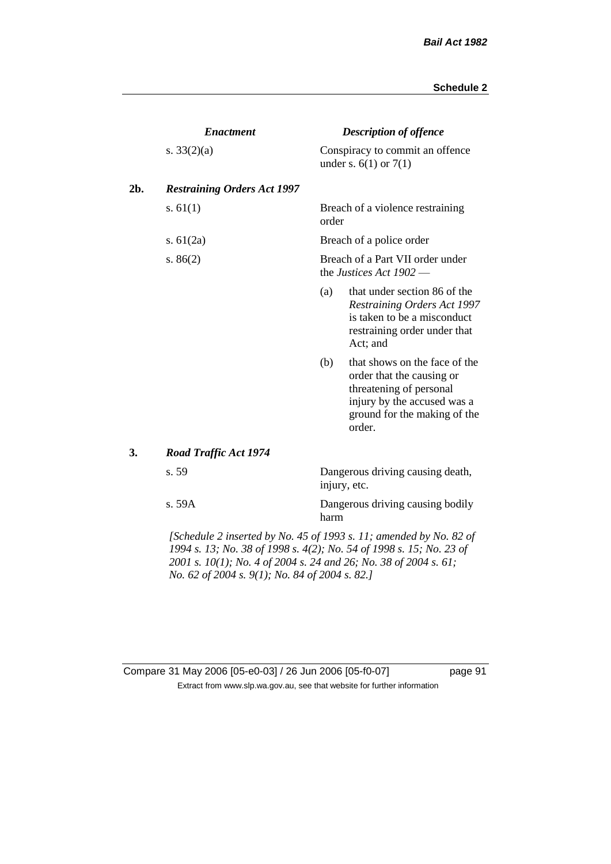|     | <b>Enactment</b>                                                           |                                                             | <b>Description of offence</b>                                                                                                                                  |  |
|-----|----------------------------------------------------------------------------|-------------------------------------------------------------|----------------------------------------------------------------------------------------------------------------------------------------------------------------|--|
|     | s. $33(2)(a)$                                                              |                                                             | Conspiracy to commit an offence<br>under s. $6(1)$ or $7(1)$                                                                                                   |  |
| 2b. | <b>Restraining Orders Act 1997</b>                                         |                                                             |                                                                                                                                                                |  |
|     | s. $61(1)$                                                                 | order                                                       | Breach of a violence restraining                                                                                                                               |  |
|     | s. $61(2a)$                                                                |                                                             | Breach of a police order                                                                                                                                       |  |
|     | s. $86(2)$                                                                 | Breach of a Part VII order under<br>the Justices Act 1902 - |                                                                                                                                                                |  |
|     |                                                                            | (a)                                                         | that under section 86 of the<br><b>Restraining Orders Act 1997</b><br>is taken to be a misconduct<br>restraining order under that<br>Act; and                  |  |
|     |                                                                            | (b)                                                         | that shows on the face of the<br>order that the causing or<br>threatening of personal<br>injury by the accused was a<br>ground for the making of the<br>order. |  |
| 3.  | <b>Road Traffic Act 1974</b>                                               |                                                             |                                                                                                                                                                |  |
|     | s. 59                                                                      |                                                             | Dangerous driving causing death,<br>injury, etc.                                                                                                               |  |
|     | s. 59A                                                                     | harm                                                        | Dangerous driving causing bodily                                                                                                                               |  |
|     | [Schedule 2 inserted by No. 45 of 1993 $\epsilon$ 11: amended by No. 82 of |                                                             |                                                                                                                                                                |  |

*[Schedule 2 inserted by No. 45 of 1993 s. 11; amended by No. 82 of 1994 s. 13; No. 38 of 1998 s. 4(2); No. 54 of 1998 s. 15; No. 23 of 2001 s. 10(1); No. 4 of 2004 s. 24 and 26; No. 38 of 2004 s. 61; No. 62 of 2004 s. 9(1); No. 84 of 2004 s. 82.]* 

## Compare 31 May 2006 [05-e0-03] / 26 Jun 2006 [05-f0-07] page 91 Extract from www.slp.wa.gov.au, see that website for further information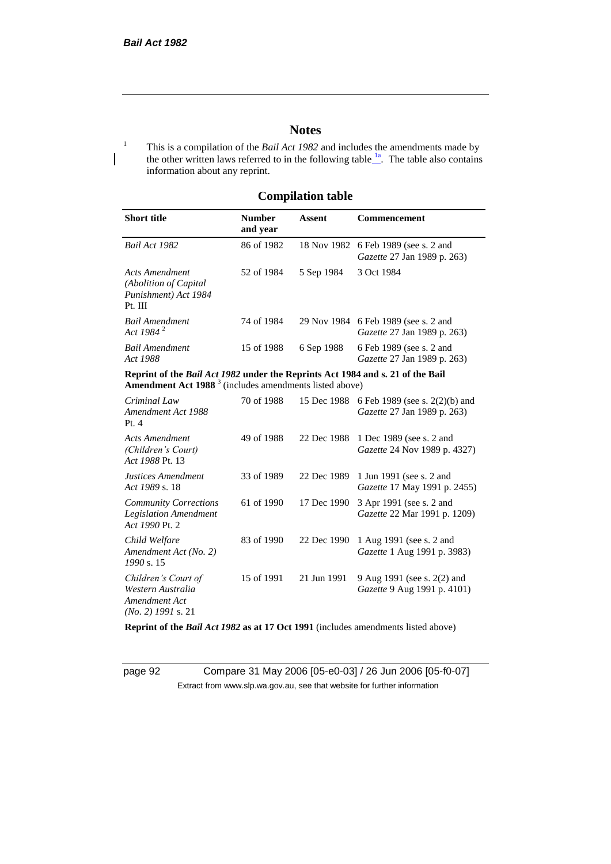## **Notes**

<sup>1</sup> This is a compilation of the *Bail Act 1982* and includes the amendments made by the other written laws referred to in the following table  $\frac{1}{n}$ . The table also contains information about any reprint.

## **Compilation table**

| <b>Short title</b>                                                          | <b>Number</b><br>and year | Assent     | <b>Commencement</b>                                                        |
|-----------------------------------------------------------------------------|---------------------------|------------|----------------------------------------------------------------------------|
| Bail Act 1982                                                               | 86 of 1982                |            | 18 Nov 1982 6 Feb 1989 (see s. 2 and<br><i>Gazette</i> 27 Jan 1989 p. 263) |
| Acts Amendment<br>(Abolition of Capital)<br>Punishment) Act 1984<br>Pt. III | 52 of 1984                | 5 Sep 1984 | 3 Oct 1984                                                                 |
| <b>Bail Amendment</b><br>Act 1984 $^{2}$                                    | 74 of 1984                |            | 29 Nov 1984 6 Feb 1989 (see s. 2 and<br><i>Gazette</i> 27 Jan 1989 p. 263) |
| <b>Bail Amendment</b><br>Act 1988                                           | 15 of 1988                | 6 Sep 1988 | 6 Feb 1989 (see s. 2 and<br><i>Gazette</i> 27 Jan 1989 p. 263)             |

**Reprint of the** *Bail Act 1982* **under the Reprints Act 1984 and s. 21 of the Bail Amendment Act 1988** <sup>3</sup> (includes amendments listed above)

| Criminal Law<br>Amendment Act 1988<br>Pt.4                                        | 70 of 1988 | 15 Dec 1988 | 6 Feb 1989 (see s. $2(2)(b)$ ) and<br>Gazette 27 Jan 1989 p. 263) |
|-----------------------------------------------------------------------------------|------------|-------------|-------------------------------------------------------------------|
| <b>Acts Amendment</b><br>(Children's Court)<br>Act 1988 Pt. 13                    | 49 of 1988 | 22 Dec 1988 | 1 Dec 1989 (see s. 2 and<br><i>Gazette</i> 24 Nov 1989 p. 4327)   |
| Justices Amendment<br>Act 1989 s. 18                                              | 33 of 1989 | 22 Dec 1989 | 1 Jun 1991 (see s. 2 and<br><i>Gazette</i> 17 May 1991 p. 2455)   |
| <b>Community Corrections</b><br><b>Legislation Amendment</b><br>Act 1990 Pt. 2    | 61 of 1990 | 17 Dec 1990 | 3 Apr 1991 (see s. 2 and<br><i>Gazette</i> 22 Mar 1991 p. 1209)   |
| Child Welfare<br>Amendment Act (No. 2)<br>1990 s. 15                              | 83 of 1990 | 22 Dec 1990 | 1 Aug 1991 (see s. 2 and<br><i>Gazette</i> 1 Aug 1991 p. 3983)    |
| Children's Court of<br>Western Australia<br>Amendment Act<br>$(No. 2)$ 1991 s. 21 | 15 of 1991 | 21 Jun 1991 | 9 Aug 1991 (see s. 2(2) and<br><i>Gazette</i> 9 Aug 1991 p. 4101) |

**Reprint of the** *Bail Act 1982* **as at 17 Oct 1991** (includes amendments listed above)

page 92 Compare 31 May 2006 [05-e0-03] / 26 Jun 2006 [05-f0-07] Extract from www.slp.wa.gov.au, see that website for further information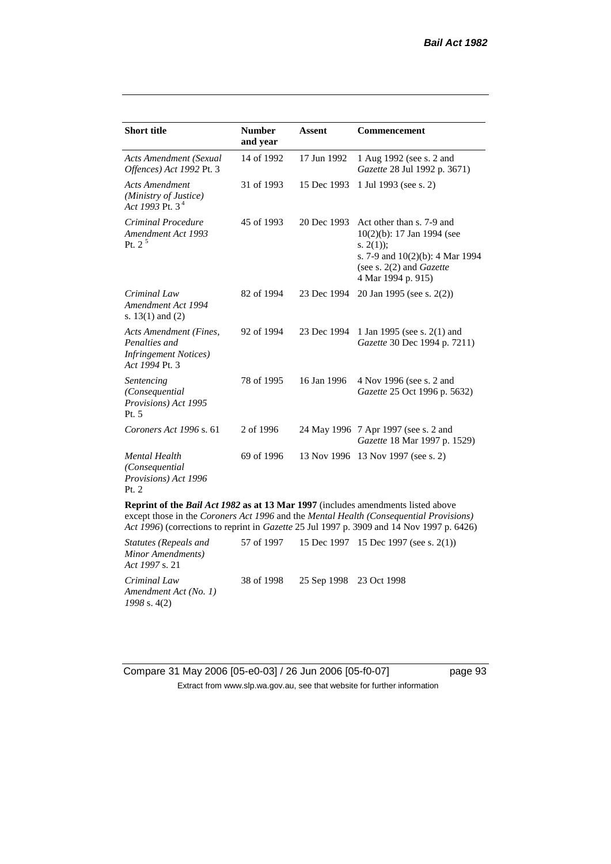| <b>Short title</b>                                                                                                                                                                                                                                                             | <b>Number</b><br>and year | <b>Assent</b> | <b>Commencement</b>                                                                                                                                                        |  |
|--------------------------------------------------------------------------------------------------------------------------------------------------------------------------------------------------------------------------------------------------------------------------------|---------------------------|---------------|----------------------------------------------------------------------------------------------------------------------------------------------------------------------------|--|
| <b>Acts Amendment (Sexual</b><br>Offences) Act 1992 Pt. 3                                                                                                                                                                                                                      | 14 of 1992                | 17 Jun 1992   | 1 Aug 1992 (see s. 2 and<br>Gazette 28 Jul 1992 p. 3671)                                                                                                                   |  |
| <b>Acts Amendment</b><br>(Ministry of Justice)<br>Act 1993 Pt. 3 <sup>4</sup>                                                                                                                                                                                                  | 31 of 1993                | 15 Dec 1993   | 1 Jul 1993 (see s. 2)                                                                                                                                                      |  |
| Criminal Procedure<br>Amendment Act 1993<br>Pt. $2^5$                                                                                                                                                                                                                          | 45 of 1993                | 20 Dec 1993   | Act other than s. 7-9 and<br>$10(2)(b)$ : 17 Jan 1994 (see<br>s. $2(1)$ ;<br>s. 7-9 and $10(2)(b)$ : 4 Mar 1994<br>(see s. $2(2)$ and <i>Gazette</i><br>4 Mar 1994 p. 915) |  |
| Criminal Law<br>Amendment Act 1994<br>s. $13(1)$ and $(2)$                                                                                                                                                                                                                     | 82 of 1994                | 23 Dec 1994   | 20 Jan 1995 (see s. 2(2))                                                                                                                                                  |  |
| <b>Acts Amendment (Fines,</b><br>Penalties and<br><b>Infringement Notices</b> )<br>Act 1994 Pt. 3                                                                                                                                                                              | 92 of 1994                | 23 Dec 1994   | 1 Jan 1995 (see s. 2(1) and<br>Gazette 30 Dec 1994 p. 7211)                                                                                                                |  |
| Sentencing<br>(Consequential<br>Provisions) Act 1995<br>Pt. 5                                                                                                                                                                                                                  | 78 of 1995                | 16 Jan 1996   | 4 Nov 1996 (see s. 2 and<br>Gazette 25 Oct 1996 p. 5632)                                                                                                                   |  |
| Coroners Act 1996 s. 61                                                                                                                                                                                                                                                        | 2 of 1996                 |               | 24 May 1996 7 Apr 1997 (see s. 2 and<br>Gazette 18 Mar 1997 p. 1529)                                                                                                       |  |
| <b>Mental Health</b><br>(Consequential<br>Provisions) Act 1996<br>Pt. 2                                                                                                                                                                                                        | 69 of 1996                |               | 13 Nov 1996 13 Nov 1997 (see s. 2)                                                                                                                                         |  |
| <b>Reprint of the Bail Act 1982 as at 13 Mar 1997</b> (includes amendments listed above<br>except those in the Coroners Act 1996 and the Mental Health (Consequential Provisions)<br>Act 1996) (corrections to reprint in Gazette 25 Jul 1997 p. 3909 and 14 Nov 1997 p. 6426) |                           |               |                                                                                                                                                                            |  |

| Statutes (Repeals and<br>Minor Amendments)<br><i>Act 1997 s. 21</i> |            |                         | 57 of 1997 15 Dec 1997 15 Dec 1997 (see s. 2(1)) |
|---------------------------------------------------------------------|------------|-------------------------|--------------------------------------------------|
| Criminal Law<br>Amendment Act (No. 1)<br>$1998$ s. 4(2)             | 38 of 1998 | 25 Sep 1998 23 Oct 1998 |                                                  |

Compare 31 May 2006 [05-e0-03] / 26 Jun 2006 [05-f0-07] page 93 Extract from www.slp.wa.gov.au, see that website for further information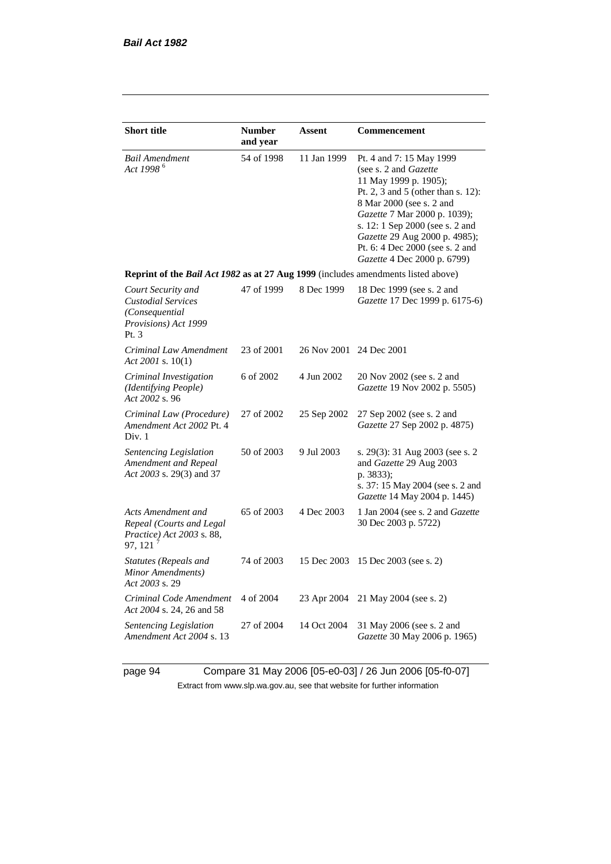| <b>Short title</b>                                                                                 | <b>Number</b><br>and year | <b>Assent</b>           | Commencement                                                                                                                                                                                                                                                                                                       |  |  |
|----------------------------------------------------------------------------------------------------|---------------------------|-------------------------|--------------------------------------------------------------------------------------------------------------------------------------------------------------------------------------------------------------------------------------------------------------------------------------------------------------------|--|--|
| <b>Bail Amendment</b><br>Act 1998 <sup>6</sup>                                                     | 54 of 1998                | 11 Jan 1999             | Pt. 4 and 7: 15 May 1999<br>(see s. 2 and Gazette<br>11 May 1999 p. 1905);<br>Pt. 2, 3 and 5 (other than s. 12):<br>8 Mar 2000 (see s. 2 and<br>Gazette 7 Mar 2000 p. 1039);<br>s. 12: 1 Sep 2000 (see s. 2 and<br>Gazette 29 Aug 2000 p. 4985);<br>Pt. 6: 4 Dec 2000 (see s. 2 and<br>Gazette 4 Dec 2000 p. 6799) |  |  |
| Reprint of the Bail Act 1982 as at 27 Aug 1999 (includes amendments listed above)                  |                           |                         |                                                                                                                                                                                                                                                                                                                    |  |  |
| Court Security and<br><b>Custodial Services</b><br>(Consequential<br>Provisions) Act 1999<br>Pt. 3 | 47 of 1999                | 8 Dec 1999              | 18 Dec 1999 (see s. 2 and<br>Gazette 17 Dec 1999 p. 6175-6)                                                                                                                                                                                                                                                        |  |  |
| Criminal Law Amendment<br>Act 2001 s. 10(1)                                                        | 23 of 2001                | 26 Nov 2001 24 Dec 2001 |                                                                                                                                                                                                                                                                                                                    |  |  |
| Criminal Investigation<br>(Identifying People)<br>Act 2002 s. 96                                   | 6 of 2002                 | 4 Jun 2002              | 20 Nov 2002 (see s. 2 and<br>Gazette 19 Nov 2002 p. 5505)                                                                                                                                                                                                                                                          |  |  |
| Criminal Law (Procedure)<br>Amendment Act 2002 Pt. 4<br>Div. 1                                     | 27 of 2002                | 25 Sep 2002             | 27 Sep 2002 (see s. 2 and<br>Gazette 27 Sep 2002 p. 4875)                                                                                                                                                                                                                                                          |  |  |
| Sentencing Legislation<br>Amendment and Repeal<br>Act 2003 s. 29(3) and 37                         | 50 of 2003                | 9 Jul 2003              | s. 29(3): 31 Aug 2003 (see s. 2<br>and Gazette 29 Aug 2003<br>p. 3833);<br>s. 37: 15 May 2004 (see s. 2 and<br>Gazette 14 May 2004 p. 1445)                                                                                                                                                                        |  |  |
| Acts Amendment and<br>Repeal (Courts and Legal<br>Practice) Act 2003 s. 88,<br>97, 121             | 65 of 2003                | 4 Dec 2003              | 1 Jan 2004 (see s. 2 and <i>Gazette</i><br>30 Dec 2003 p. 5722)                                                                                                                                                                                                                                                    |  |  |
| <b>Statutes (Repeals and</b><br>Minor Amendments)<br>Act 2003 s. 29                                | 74 of 2003                | 15 Dec 2003             | 15 Dec 2003 (see s. 2)                                                                                                                                                                                                                                                                                             |  |  |
| Criminal Code Amendment<br>Act 2004 s. 24, 26 and 58                                               | 4 of 2004                 | 23 Apr 2004             | 21 May 2004 (see s. 2)                                                                                                                                                                                                                                                                                             |  |  |
| Sentencing Legislation<br>Amendment Act 2004 s. 13                                                 | 27 of 2004                | 14 Oct 2004             | 31 May 2006 (see s. 2 and<br>Gazette 30 May 2006 p. 1965)                                                                                                                                                                                                                                                          |  |  |

page 94 Compare 31 May 2006 [05-e0-03] / 26 Jun 2006 [05-f0-07] Extract from www.slp.wa.gov.au, see that website for further information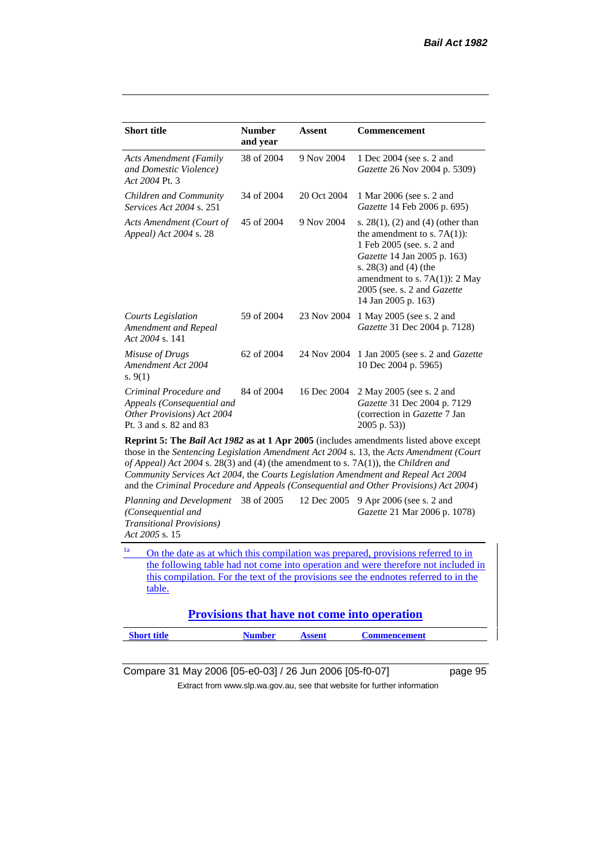| <b>Short title</b>                                                                                           | <b>Number</b><br>and year | <b>Assent</b> | <b>Commencement</b>                                                                                                                                                                                                                                     |  |  |
|--------------------------------------------------------------------------------------------------------------|---------------------------|---------------|---------------------------------------------------------------------------------------------------------------------------------------------------------------------------------------------------------------------------------------------------------|--|--|
| <b>Acts Amendment (Family</b><br>and Domestic Violence)<br>Act 2004 Pt. 3                                    | 38 of 2004                | 9 Nov 2004    | 1 Dec 2004 (see s. 2 and<br>Gazette 26 Nov 2004 p. 5309)                                                                                                                                                                                                |  |  |
| Children and Community<br><i>Services Act 2004 s. 251</i>                                                    | 34 of 2004                | 20 Oct 2004   | 1 Mar 2006 (see s. 2 and<br>Gazette 14 Feb 2006 p. 695)                                                                                                                                                                                                 |  |  |
| Acts Amendment (Court of<br>Appeal) Act 2004 s. 28                                                           | 45 of 2004                | 9 Nov 2004    | s. $28(1)$ , (2) and (4) (other than<br>the amendment to s. $7A(1)$ :<br>1 Feb 2005 (see. s. 2 and<br>Gazette 14 Jan 2005 p. 163)<br>s. $28(3)$ and $(4)$ (the<br>amendment to s. $7A(1)$ : 2 May<br>2005 (see. s. 2 and Gazette<br>14 Jan 2005 p. 163) |  |  |
| Courts Legislation<br>Amendment and Repeal<br>Act 2004 s. 141                                                | 59 of 2004                | 23 Nov 2004   | 1 May 2005 (see s. 2 and<br>Gazette 31 Dec 2004 p. 7128)                                                                                                                                                                                                |  |  |
| Misuse of Drugs<br>Amendment Act 2004<br>s. $9(1)$                                                           | 62 of 2004                | 24 Nov 2004   | 1 Jan 2005 (see s. 2 and <i>Gazette</i><br>10 Dec 2004 p. 5965)                                                                                                                                                                                         |  |  |
| Criminal Procedure and<br>Appeals (Consequential and<br>Other Provisions) Act 2004<br>Pt. 3 and s. 82 and 83 | 84 of 2004                | 16 Dec 2004   | 2 May 2005 (see s. 2 and<br>Gazette 31 Dec 2004 p. 7129<br>(correction in Gazette 7 Jan<br>$2005$ p. 53))                                                                                                                                               |  |  |
| Reprint 5: The Bail Act 1982 as at 1 Apr 2005 (includes amendments listed above except                       |                           |               |                                                                                                                                                                                                                                                         |  |  |

those in the *Sentencing Legislation Amendment Act 2004* s. 13, the *Acts Amendment (Court of Appeal) Act 2004* s. 28(3) and (4) (the amendment to s. 7A(1)), the *Children and Community Services Act 2004*, the *Courts Legislation Amendment and Repeal Act 2004* and the *Criminal Procedure and Appeals (Consequential and Other Provisions) Act 2004*)

*Planning and Development (Consequential and Transitional Provisions) Act 2005* s. 15 12 Dec 2005 9 Apr 2006 (see s. 2 and *Gazette* 21 Mar 2006 p. 1078)

<sup>1a</sup> On the date as at which this compilation was prepared, provisions referred to in the following table had not come into operation and were therefore not included in this compilation. For the text of the provisions see the endnotes referred to in the table.

**Provisions that have not come into operation**

| <b>Short title</b> | <b>Number</b> | Assent | <b>Commencement</b> |
|--------------------|---------------|--------|---------------------|
|                    |               |        |                     |

Compare 31 May 2006 [05-e0-03] / 26 Jun 2006 [05-f0-07] page 95

Extract from www.slp.wa.gov.au, see that website for further information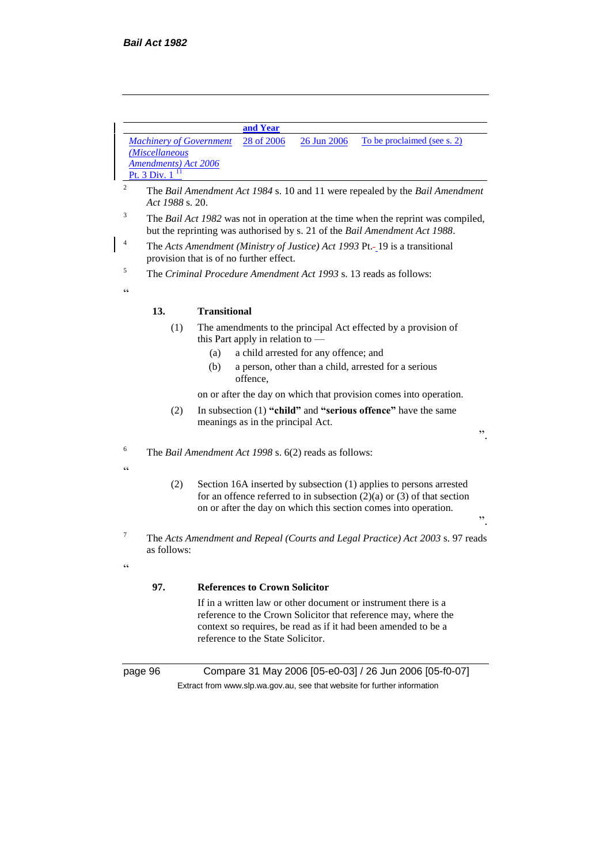**and Year** *Machinery of Government (Miscellaneous Amendments) Act 2006* Pt. 3 Div.  $1<sup>1</sup>$ 28 of 2006 26 Jun 2006 To be proclaimed (see s. 2)

- <sup>2</sup> The *Bail Amendment Act 1984* s. 10 and 11 were repealed by the *Bail Amendment Act 1988* s. 20.
- <sup>3</sup> The *Bail Act 1982* was not in operation at the time when the reprint was compiled, but the reprinting was authorised by s. 21 of the *Bail Amendment Act 1988*.
- <sup>4</sup> The *Acts Amendment (Ministry of Justice) Act 1993* Pt.-19 is a transitional provision that is of no further effect.
- <sup>5</sup> The *Criminal Procedure Amendment Act 1993* s. 13 reads as follows:

#### **13. Transitional**

- (1) The amendments to the principal Act effected by a provision of this Part apply in relation to —
	- (a) a child arrested for any offence; and
	- (b) a person, other than a child, arrested for a serious offence,

on or after the day on which that provision comes into operation.

".

".

- (2) In subsection (1) **"child"** and **"serious offence"** have the same meanings as in the principal Act.
- <sup>6</sup> The *Bail Amendment Act 1998* s. 6(2) reads as follows:
- $\epsilon$

 $\epsilon$ 

 $\epsilon$ 

- (2) Section 16A inserted by subsection (1) applies to persons arrested for an offence referred to in subsection  $(2)(a)$  or  $(3)$  of that section on or after the day on which this section comes into operation.
- <sup>7</sup> The *Acts Amendment and Repeal (Courts and Legal Practice) Act 2003* s. 97 reads as follows:

#### **97. References to Crown Solicitor**

If in a written law or other document or instrument there is a reference to the Crown Solicitor that reference may, where the context so requires, be read as if it had been amended to be a reference to the State Solicitor.

page 96 Compare 31 May 2006 [05-e0-03] / 26 Jun 2006 [05-f0-07] Extract from www.slp.wa.gov.au, see that website for further information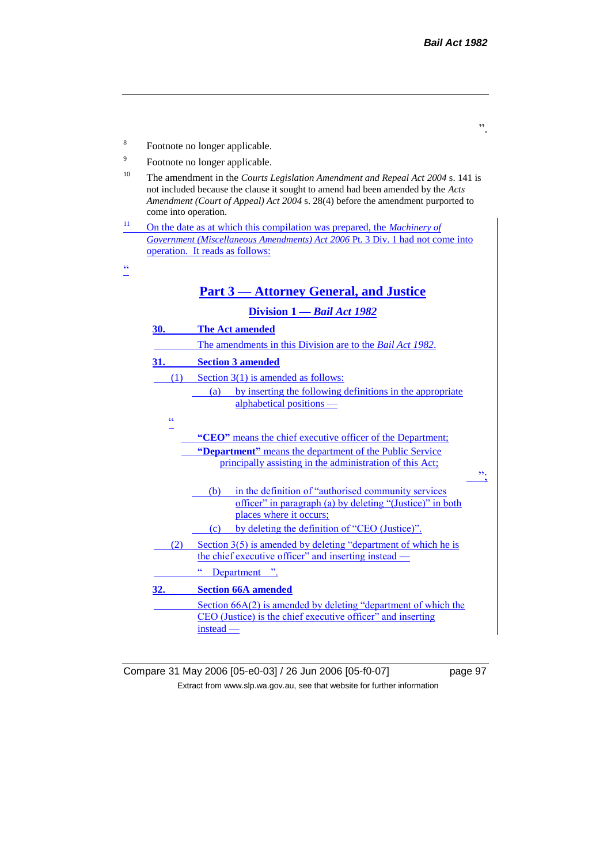

Compare 31 May 2006 [05-e0-03] / 26 Jun 2006 [05-f0-07] page 97 Extract from www.slp.wa.gov.au, see that website for further information